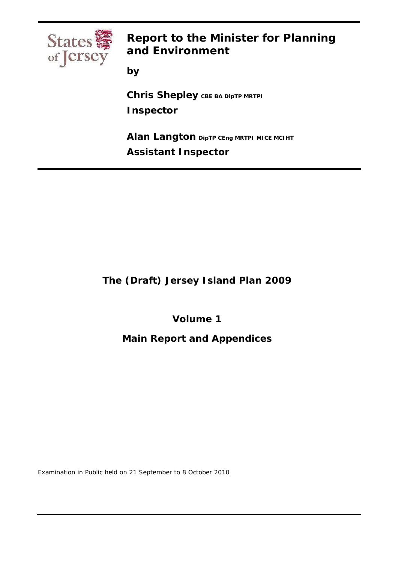

# **Report to the Minister for Planning and Environment**

**by** 

**Chris Shepley** CBE ВА DipTP MRTPI **Inspector** 

**Alan Langton DipTP CEng MRTPI MICE MCIHT Assistant Inspector** 

**The (Draft) Jersey Island Plan 2009** 

**Volume 1** 

**Main Report and Appendices** 

Examination in Public held on 21 September to 8 October 2010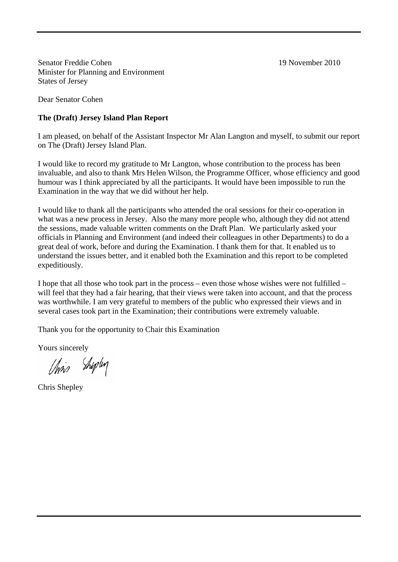Senator Freddie Cohen 19 November 2010 Minister for Planning and Environment States of Jersey

Dear Senator Cohen

## **The (Draft) Jersey Island Plan Report**

I am pleased, on behalf of the Assistant Inspector Mr Alan Langton and myself, to submit our report on The (Draft) Jersey Island Plan.

I would like to record my gratitude to Mr Langton, whose contribution to the process has been invaluable, and also to thank Mrs Helen Wilson, the Programme Officer, whose efficiency and good humour was I think appreciated by all the participants. It would have been impossible to run the Examination in the way that we did without her help.

I would like to thank all the participants who attended the oral sessions for their co-operation in what was a new process in Jersey. Also the many more people who, although they did not attend the sessions, made valuable written comments on the Draft Plan. We particularly asked your officials in Planning and Environment (and indeed their colleagues in other Departments) to do a great deal of work, before and during the Examination. I thank them for that. It enabled us to understand the issues better, and it enabled both the Examination and this report to be completed expeditiously.

I hope that all those who took part in the process – even those whose wishes were not fulfilled – will feel that they had a fair hearing, that their views were taken into account, and that the process was worthwhile. I am very grateful to members of the public who expressed their views and in several cases took part in the Examination; their contributions were extremely valuable.

Thank you for the opportunity to Chair this Examination

Yours sincerely

Chris Shiplin

Chris Shepley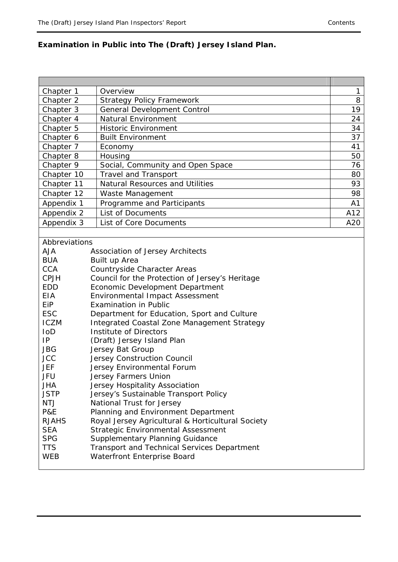# **Examination in Public into The (Draft) Jersey Island Plan.**

| Chapter 1     | Overview                                           | 1   |
|---------------|----------------------------------------------------|-----|
| Chapter 2     | <b>Strategy Policy Framework</b>                   | 8   |
| Chapter 3     | <b>General Development Control</b>                 | 19  |
| Chapter 4     | <b>Natural Environment</b>                         | 24  |
| Chapter 5     | <b>Historic Environment</b>                        | 34  |
| Chapter 6     | <b>Built Environment</b>                           | 37  |
| Chapter 7     | Economy                                            | 41  |
| Chapter 8     | Housing                                            | 50  |
| Chapter 9     | Social, Community and Open Space                   | 76  |
| Chapter 10    | <b>Travel and Transport</b>                        | 80  |
| Chapter 11    | <b>Natural Resources and Utilities</b>             | 93  |
| Chapter 12    | Waste Management                                   | 98  |
| Appendix 1    | Programme and Participants                         | A1  |
| Appendix 2    | <b>List of Documents</b>                           | A12 |
| Appendix 3    | List of Core Documents                             | A20 |
|               |                                                    |     |
| Abbreviations |                                                    |     |
| <b>AJA</b>    | Association of Jersey Architects                   |     |
| <b>BUA</b>    | Built up Area                                      |     |
| <b>CCA</b>    | Countryside Character Areas                        |     |
| <b>CPJH</b>   | Council for the Protection of Jersey's Heritage    |     |
| <b>EDD</b>    | Economic Development Department                    |     |
| <b>EIA</b>    | <b>Environmental Impact Assessment</b>             |     |
| EiP           | <b>Examination in Public</b>                       |     |
| <b>ESC</b>    | Department for Education, Sport and Culture        |     |
| <b>ICZM</b>   | Integrated Coastal Zone Management Strategy        |     |
| IoD           | Institute of Directors                             |     |
| IP            | (Draft) Jersey Island Plan                         |     |
| <b>JBG</b>    | Jersey Bat Group                                   |     |
| <b>JCC</b>    | Jersey Construction Council                        |     |
| JEF           | Jersey Environmental Forum                         |     |
| JFU           | Jersey Farmers Union                               |     |
| <b>JHA</b>    | Jersey Hospitality Association                     |     |
| <b>JSTP</b>   | Jersey's Sustainable Transport Policy              |     |
| NTJ           | National Trust for Jersey                          |     |
| P&E           | Planning and Environment Department                |     |
| <b>RJAHS</b>  | Royal Jersey Agricultural & Horticultural Society  |     |
| <b>SEA</b>    | <b>Strategic Environmental Assessment</b>          |     |
| <b>SPG</b>    | <b>Supplementary Planning Guidance</b>             |     |
| <b>TTS</b>    | <b>Transport and Technical Services Department</b> |     |
| WEB           | Waterfront Enterprise Board                        |     |
|               |                                                    |     |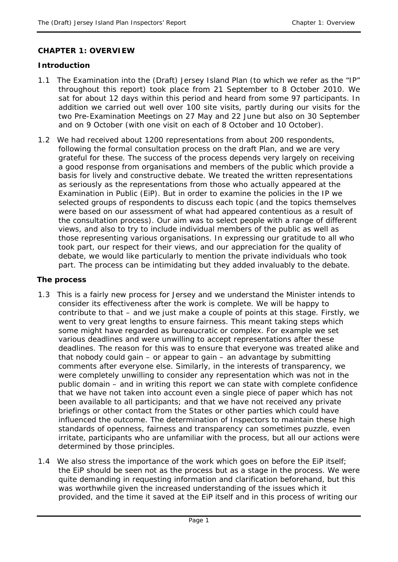#### **CHAPTER 1: OVERVIEW**

#### **Introduction**

- 1.1 The Examination into the (Draft) Jersey Island Plan (to which we refer as the "IP" throughout this report) took place from 21 September to 8 October 2010. We sat for about 12 days within this period and heard from some 97 participants. In addition we carried out well over 100 site visits, partly during our visits for the two Pre-Examination Meetings on 27 May and 22 June but also on 30 September and on 9 October (with one visit on each of 8 October and 10 October).
- 1.2 We had received about 1200 representations from about 200 respondents, following the formal consultation process on the draft Plan, and we are very grateful for these. The success of the process depends very largely on receiving a good response from organisations and members of the public which provide a basis for lively and constructive debate. We treated the written representations as seriously as the representations from those who actually appeared at the Examination in Public (EiP). But in order to examine the policies in the IP we selected groups of respondents to discuss each topic (and the topics themselves were based on our assessment of what had appeared contentious as a result of the consultation process). Our aim was to select people with a range of different views, and also to try to include individual members of the public as well as those representing various organisations. In expressing our gratitude to all who took part, our respect for their views, and our appreciation for the quality of debate, we would like particularly to mention the private individuals who took part. The process can be intimidating but they added invaluably to the debate.

#### **The process**

- 1.3 This is a fairly new process for Jersey and we understand the Minister intends to consider its effectiveness after the work is complete. We will be happy to contribute to that – and we just make a couple of points at this stage. Firstly, we went to very great lengths to ensure fairness. This meant taking steps which some might have regarded as bureaucratic or complex. For example we set various deadlines and were unwilling to accept representations after these deadlines. The reason for this was to ensure that everyone was treated alike and that nobody could gain – or appear to gain – an advantage by submitting comments after everyone else. Similarly, in the interests of transparency, we were completely unwilling to consider any representation which was not in the public domain – and in writing this report we can state with complete confidence that we have not taken into account even a single piece of paper which has not been available to all participants; and that we have not received any private briefings or other contact from the States or other parties which could have influenced the outcome. The determination of Inspectors to maintain these high standards of openness, fairness and transparency can sometimes puzzle, even irritate, participants who are unfamiliar with the process, but all our actions were determined by those principles.
- 1.4 We also stress the importance of the work which goes on before the EiP itself; the EiP should be seen not as *the* process but as a stage *in* the process. We were quite demanding in requesting information and clarification beforehand, but this was worthwhile given the increased understanding of the issues which it provided, and the time it saved at the EiP itself and in this process of writing our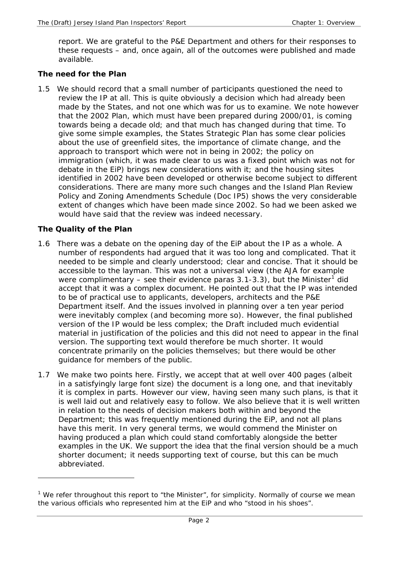report. We are grateful to the P&E Department and others for their responses to these requests – and, once again, all of the outcomes were published and made available.

#### **The need for the Plan**

1.5 We should record that a small number of participants questioned the need to review the IP at all. This is quite obviously a decision which had already been made by the States, and not one which was for us to examine. We note however that the 2002 Plan, which must have been prepared during 2000/01, is coming towards being a decade old; and that much has changed during that time. To give some simple examples, the States Strategic Plan has some clear policies about the use of greenfield sites, the importance of climate change, and the approach to transport which were not in being in 2002; the policy on immigration (which, it was made clear to us was a fixed point which was not for debate in the EiP) brings new considerations with it; and the housing sites identified in 2002 have been developed or otherwise become subject to different considerations. There are many more such changes and the Island Plan Review Policy and Zoning Amendments Schedule (Doc IP5) shows the very considerable extent of changes which have been made since 2002. So had we been asked we would have said that the review was indeed necessary.

## **The Quality of the Plan**

-

- 1.6 There was a debate on the opening day of the EiP about the IP as a whole. A number of respondents had argued that it was too long and complicated. That it needed to be simple and clearly understood; clear and concise. That it should be accessible to the layman. This was not a universal view (the AJA for example were complimentary – see their evidence paras 3.[1](#page-4-0)-3.3), but the Minister<sup>1</sup> did accept that it was a complex document. He pointed out that the IP was intended to be of practical use to applicants, developers, architects and the P&E Department itself. And the issues involved in planning over a ten year period were inevitably complex (and becoming more so). However, the final published version of the IP would be less complex; the Draft included much evidential material in justification of the policies and this did not need to appear in the final version. The supporting text would therefore be much shorter. It would concentrate primarily on the policies themselves; but there would be other guidance for members of the public.
- 1.7 We make two points here. Firstly, we accept that at well over 400 pages (albeit in a satisfyingly large font size) the document is a long one, and that inevitably it is complex in parts. However our view, having seen many such plans, is that it is well laid out and relatively easy to follow. We also believe that it is well written in relation to the needs of decision makers both within and beyond the Department; this was frequently mentioned during the EiP, and not all plans have this merit. In very general terms, we would commend the Minister on having produced a plan which could stand comfortably alongside the better examples in the UK. We support the idea that the final version should be a much shorter document; it needs supporting text of course, but this can be much abbreviated.

<span id="page-4-0"></span><sup>&</sup>lt;sup>1</sup> We refer throughout this report to "the Minister", for simplicity. Normally of course we mean the various officials who represented him at the EiP and who "stood in his shoes".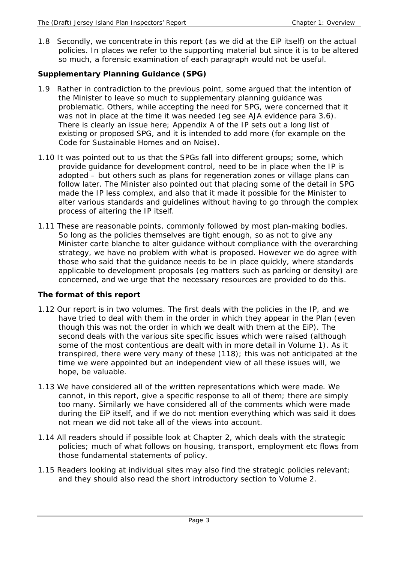1.8 Secondly, we concentrate in this report (as we did at the EiP itself) on the actual policies. In places we refer to the supporting material but since it is to be altered so much, a forensic examination of each paragraph would not be useful.

# **Supplementary Planning Guidance (SPG)**

- 1.9 Rather in contradiction to the previous point, some argued that the intention of the Minister to leave so much to supplementary planning guidance was problematic. Others, while accepting the need for SPG, were concerned that it was not in place at the time it was needed (eg see AJA evidence para 3.6). There is clearly an issue here; Appendix A of the IP sets out a long list of existing or proposed SPG, and it is intended to add more (for example on the Code for Sustainable Homes and on Noise).
- 1.10 It was pointed out to us that the SPGs fall into different groups; some, which provide guidance for development control, need to be in place when the IP is adopted – but others such as plans for regeneration zones or village plans can follow later. The Minister also pointed out that placing some of the detail in SPG made the IP less complex, and also that it made it possible for the Minister to alter various standards and guidelines without having to go through the complex process of altering the IP itself.
- 1.11 These are reasonable points, commonly followed by most plan-making bodies. So long as the policies themselves are tight enough, so as not to give any Minister carte blanche to alter guidance without compliance with the overarching strategy, we have no problem with what is proposed. However we do agree with those who said that the guidance needs to be in place quickly, where standards applicable to development proposals (eg matters such as parking or density) are concerned, and we urge that the necessary resources are provided to do this.

# **The format of this report**

- 1.12 Our report is in two volumes. The first deals with the policies in the IP, and we have tried to deal with them in the order in which they appear in the Plan (even though this was not the order in which we dealt with them at the EiP). The second deals with the various site specific issues which were raised (although some of the most contentious are dealt with in more detail in Volume 1). As it transpired, there were very many of these (118); this was not anticipated at the time we were appointed but an independent view of all these issues will, we hope, be valuable.
- 1.13 We have considered all of the written representations which were made. We cannot, in this report, give a specific response to all of them; there are simply too many. Similarly we have considered all of the comments which were made during the EiP itself, and if we do not mention everything which was said it does not mean we did not take all of the views into account.
- 1.14 All readers should if possible look at Chapter 2, which deals with the strategic policies; much of what follows on housing, transport, employment etc flows from those fundamental statements of policy.
- 1.15 Readers looking at individual sites may also find the strategic policies relevant; and they should also read the short introductory section to Volume 2.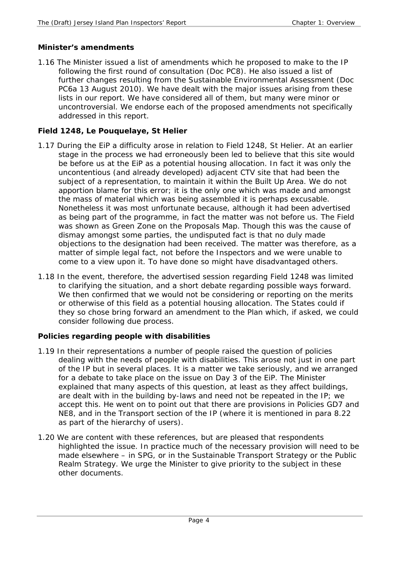## **Minister's amendments**

1.16 The Minister issued a list of amendments which he proposed to make to the IP following the first round of consultation (Doc PC8). He also issued a list of further changes resulting from the Sustainable Environmental Assessment (Doc PC6a 13 August 2010). We have dealt with the major issues arising from these lists in our report. We have considered all of them, but many were minor or uncontroversial. We endorse each of the proposed amendments not specifically addressed in this report.

# **Field 1248, Le Pouquelaye, St Helier**

- 1.17 During the EiP a difficulty arose in relation to Field 1248, St Helier. At an earlier stage in the process we had erroneously been led to believe that this site would be before us at the EiP as a potential housing allocation. In fact it was only the uncontentious (and already developed) adjacent CTV site that had been the subject of a representation, to maintain it within the Built Up Area. We do not apportion blame for this error; it is the only one which was made and amongst the mass of material which was being assembled it is perhaps excusable. Nonetheless it was most unfortunate because, although it had been advertised as being part of the programme, in fact the matter was not before us. The Field was shown as Green Zone on the Proposals Map. Though this was the cause of dismay amongst some parties, the undisputed fact is that no duly made objections to the designation had been received. The matter was therefore, as a matter of simple legal fact, not before the Inspectors and we were unable to come to a view upon it. To have done so might have disadvantaged others.
- 1.18 In the event, therefore, the advertised session regarding Field 1248 was limited to clarifying the situation, and a short debate regarding possible ways forward. We then confirmed that we would not be considering or reporting on the merits or otherwise of this field as a potential housing allocation. The States could if they so chose bring forward an amendment to the Plan which, if asked, we could consider following due process.

## **Policies regarding people with disabilities**

- 1.19 In their representations a number of people raised the question of policies dealing with the needs of people with disabilities. This arose not just in one part of the IP but in several places. It is a matter we take seriously, and we arranged for a debate to take place on the issue on Day 3 of the EiP. The Minister explained that many aspects of this question, at least as they affect buildings, are dealt with in the building by-laws and need not be repeated in the IP; we accept this. He went on to point out that there are provisions in Policies GD7 and NE8, and in the Transport section of the IP (where it is mentioned in para 8.22 as part of the hierarchy of users).
- 1.20 We are content with these references, but are pleased that respondents highlighted the issue. In practice much of the necessary provision will need to be made elsewhere – in SPG, or in the Sustainable Transport Strategy or the Public Realm Strategy. We urge the Minister to give priority to the subject in these other documents.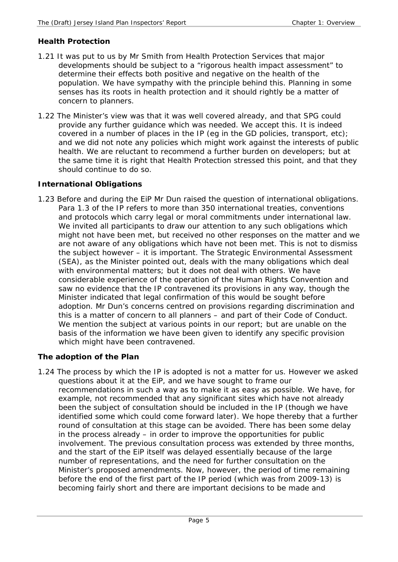## **Health Protection**

- 1.21 It was put to us by Mr Smith from Health Protection Services that major developments should be subject to a "rigorous health impact assessment" to determine their effects both positive and negative on the health of the population. We have sympathy with the principle behind this. Planning in some senses has its roots in health protection and it should rightly be a matter of concern to planners.
- 1.22 The Minister's view was that it was well covered already, and that SPG could provide any further guidance which was needed. We accept this. It is indeed covered in a number of places in the IP (eg in the GD policies, transport, etc); and we did not note any policies which might work against the interests of public health. We are reluctant to recommend a further burden on developers; but at the same time it is right that Health Protection stressed this point, and that they should continue to do so.

## **International Obligations**

1.23 Before and during the EiP Mr Dun raised the question of international obligations. Para 1.3 of the IP refers to more than 350 international treaties, conventions and protocols which carry legal or moral commitments under international law. We invited all participants to draw our attention to any such obligations which might not have been met, but received no other responses on the matter and we are not aware of any obligations which have not been met. This is not to dismiss the subject however – it is important. The Strategic Environmental Assessment (SEA), as the Minister pointed out, deals with the many obligations which deal with environmental matters; but it does not deal with others. We have considerable experience of the operation of the Human Rights Convention and saw no evidence that the IP contravened its provisions in any way, though the Minister indicated that legal confirmation of this would be sought before adoption. Mr Dun's concerns centred on provisions regarding discrimination and this is a matter of concern to all planners – and part of their Code of Conduct. We mention the subject at various points in our report; but are unable on the basis of the information we have been given to identify any specific provision which might have been contravened.

## **The adoption of the Plan**

1.24 The process by which the IP is adopted is not a matter for us. However we asked questions about it at the EiP, and we have sought to frame our recommendations in such a way as to make it as easy as possible. We have, for example, not recommended that any significant sites which have not already been the subject of consultation should be included in the IP (though we have identified some which could come forward later). We hope thereby that a further round of consultation at this stage can be avoided. There has been some delay in the process already – in order to improve the opportunities for public involvement. The previous consultation process was extended by three months, and the start of the EiP itself was delayed essentially because of the large number of representations, and the need for further consultation on the Minister's proposed amendments. Now, however, the period of time remaining before the end of the first part of the IP period (which was from 2009-13) is becoming fairly short and there are important decisions to be made and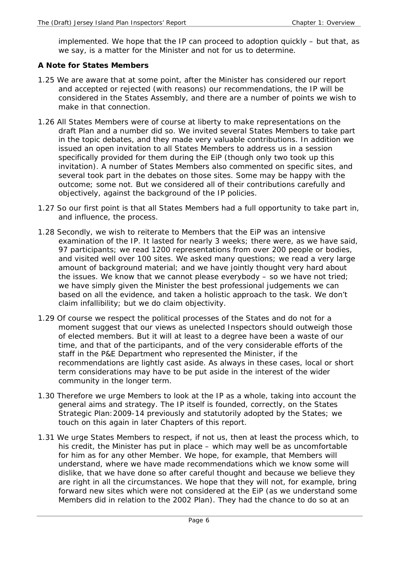implemented. We hope that the IP can proceed to adoption quickly – but that, as we say, is a matter for the Minister and not for us to determine.

#### **A Note for States Members**

- 1.25 We are aware that at some point, after the Minister has considered our report and accepted or rejected (with reasons) our recommendations, the IP will be considered in the States Assembly, and there are a number of points we wish to make in that connection.
- 1.26 All States Members were of course at liberty to make representations on the draft Plan and a number did so. We invited several States Members to take part in the topic debates, and they made very valuable contributions. In addition we issued an open invitation to all States Members to address us in a session specifically provided for them during the EiP (though only two took up this invitation). A number of States Members also commented on specific sites, and several took part in the debates on those sites. Some may be happy with the outcome; some not. But we considered all of their contributions carefully and objectively, against the background of the IP policies.
- 1.27 So our first point is that all States Members had a full opportunity to take part in, and influence, the process.
- 1.28 Secondly, we wish to reiterate to Members that the EiP was an intensive examination of the IP. It lasted for nearly 3 weeks; there were, as we have said, 97 participants; we read 1200 representations from over 200 people or bodies, and visited well over 100 sites. We asked many questions; we read a very large amount of background material; and we have jointly thought very hard about the issues. We know that we cannot please everybody – so we have not tried; we have simply given the Minister the best professional judgements we can based on all the evidence, and taken a holistic approach to the task. We don't claim infallibility; but we do claim objectivity.
- 1.29 Of course we respect the political processes of the States and do not for a moment suggest that our views as unelected Inspectors should outweigh those of elected members. But it will at least to a degree have been a waste of our time, and that of the participants, and of the very considerable efforts of the staff in the P&E Department who represented the Minister, if the recommendations are lightly cast aside. As always in these cases, local or short term considerations may have to be put aside in the interest of the wider community in the longer term.
- 1.30 Therefore we urge Members to look at the IP as a whole, taking into account the general aims and strategy. The IP itself is founded, correctly, on the States Strategic Plan:2009-14 previously and statutorily adopted by the States; we touch on this again in later Chapters of this report.
- 1.31 We urge States Members to respect, if not us, then at least the process which, to his credit, the Minister has put in place – which may well be as uncomfortable for him as for any other Member. We hope, for example, that Members will understand, where we have made recommendations which we know some will dislike, that we have done so after careful thought and because we believe they are right in all the circumstances. We hope that they will not, for example, bring forward new sites which were not considered at the EiP (as we understand some Members did in relation to the 2002 Plan). They had the chance to do so at an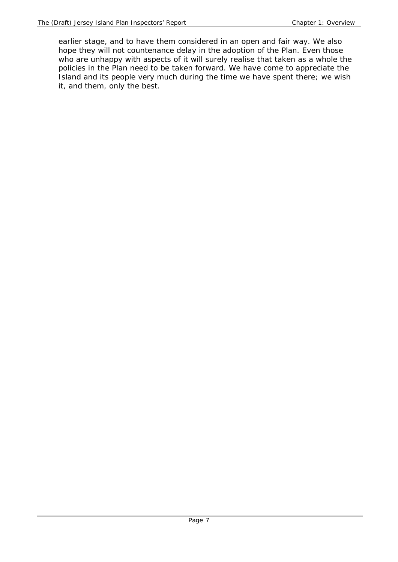earlier stage, and to have them considered in an open and fair way. We also hope they will not countenance delay in the adoption of the Plan. Even those who are unhappy with aspects of it will surely realise that taken as a whole the policies in the Plan need to be taken forward. We have come to appreciate the Island and its people very much during the time we have spent there; we wish it, and them, only the best.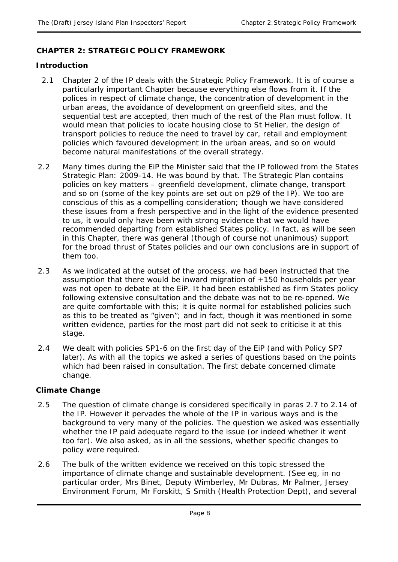## **CHAPTER 2: STRATEGIC POLICY FRAMEWORK**

#### **Introduction**

- 2.1 Chapter 2 of the IP deals with the Strategic Policy Framework. It is of course a particularly important Chapter because everything else flows from it. If the polices in respect of climate change, the concentration of development in the urban areas, the avoidance of development on greenfield sites, and the sequential test are accepted, then much of the rest of the Plan must follow. It would mean that policies to locate housing close to St Helier, the design of transport policies to reduce the need to travel by car, retail and employment policies which favoured development in the urban areas, and so on would become natural manifestations of the overall strategy.
- 2.2 Many times during the EiP the Minister said that the IP followed from the States Strategic Plan: 2009-14. He was bound by that. The Strategic Plan contains policies on key matters – greenfield development, climate change, transport and so on (some of the key points are set out on p29 of the IP). We too are conscious of this as a compelling consideration; though we have considered these issues from a fresh perspective and in the light of the evidence presented to us, it would only have been with strong evidence that we would have recommended departing from established States policy. In fact, as will be seen in this Chapter, there was general (though of course not unanimous) support for the broad thrust of States policies and our own conclusions are in support of them too.
- 2.3 As we indicated at the outset of the process, we had been instructed that the assumption that there would be inward migration of  $+150$  households per year was not open to debate at the EiP. It had been established as firm States policy following extensive consultation and the debate was not to be re-opened. We are quite comfortable with this; it is quite normal for established policies such as this to be treated as "given"; and in fact, though it was mentioned in some written evidence, parties for the most part did not seek to criticise it at this stage.
- 2.4 We dealt with policies SP1-6 on the first day of the EiP (and with Policy SP7 later). As with all the topics we asked a series of questions based on the points which had been raised in consultation. The first debate concerned climate change.

## **Climate Change**

- 2.5 The question of climate change is considered specifically in paras 2.7 to 2.14 of the IP. However it pervades the whole of the IP in various ways and is the background to very many of the policies. The question we asked was essentially whether the IP paid adequate regard to the issue (or indeed whether it went too far). We also asked, as in all the sessions, whether specific changes to policy were required.
- 2.6 The bulk of the written evidence we received on this topic stressed the importance of climate change and sustainable development. (See eg, in no particular order, Mrs Binet, Deputy Wimberley, Mr Dubras, Mr Palmer, Jersey Environment Forum, Mr Forskitt, S Smith (Health Protection Dept), and several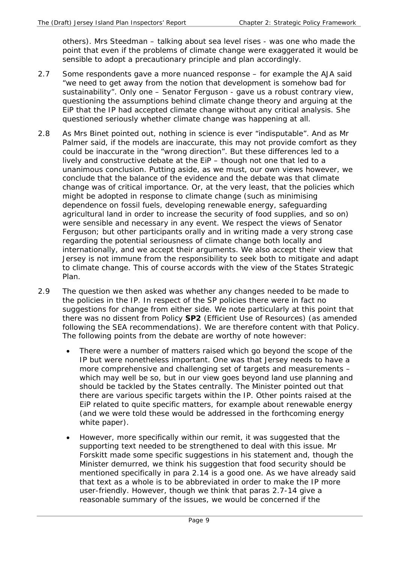others). Mrs Steedman – talking about sea level rises - was one who made the point that even if the problems of climate change were exaggerated it would be sensible to adopt a precautionary principle and plan accordingly.

- 2.7 Some respondents gave a more nuanced response for example the AJA said "we need to get away from the notion that development is somehow bad for sustainability". Only one – Senator Ferguson - gave us a robust contrary view, questioning the assumptions behind climate change theory and arguing at the EiP that the IP had accepted climate change without any critical analysis. She questioned seriously whether climate change was happening at all.
- 2.8 As Mrs Binet pointed out, nothing in science is ever "indisputable". And as Mr Palmer said, if the models are inaccurate, this may not provide comfort as they could be inaccurate in the "wrong direction". But these differences led to a lively and constructive debate at the EiP – though not one that led to a unanimous conclusion. Putting aside, as we must, our own views however, we conclude that the balance of the evidence and the debate was that climate change was of critical importance. Or, at the very least, that the policies which might be adopted in response to climate change (such as minimising dependence on fossil fuels, developing renewable energy, safeguarding agricultural land in order to increase the security of food supplies, and so on) were sensible and necessary in any event. We respect the views of Senator Ferguson; but other participants orally and in writing made a very strong case regarding the potential seriousness of climate change both locally and internationally, and we accept their arguments. We also accept their view that Jersey is not immune from the responsibility to seek both to mitigate and adapt to climate change. This of course accords with the view of the States Strategic Plan.
- 2.9 The question we then asked was whether any changes needed to be made to the policies in the IP. In respect of the SP policies there were in fact no suggestions for change from either side. We note particularly at this point that there was no dissent from Policy **SP2** (Efficient Use of Resources) (as amended following the SEA recommendations). We are therefore content with that Policy. The following points from the debate are worthy of note however:
	- There were a number of matters raised which go beyond the scope of the IP but were nonetheless important. One was that Jersey needs to have a more comprehensive and challenging set of targets and measurements – which may well be so, but in our view goes beyond land use planning and should be tackled by the States centrally. The Minister pointed out that there are various specific targets within the IP. Other points raised at the EiP related to quite specific matters, for example about renewable energy (and we were told these would be addressed in the forthcoming energy white paper).
	- However, more specifically within our remit, it was suggested that the supporting text needed to be strengthened to deal with this issue. Mr Forskitt made some specific suggestions in his statement and, though the Minister demurred, we think his suggestion that food security should be mentioned specifically in para 2.14 is a good one. As we have already said that text as a whole is to be abbreviated in order to make the IP more user-friendly. However, though we think that paras 2.7-14 give a reasonable summary of the issues, we would be concerned if the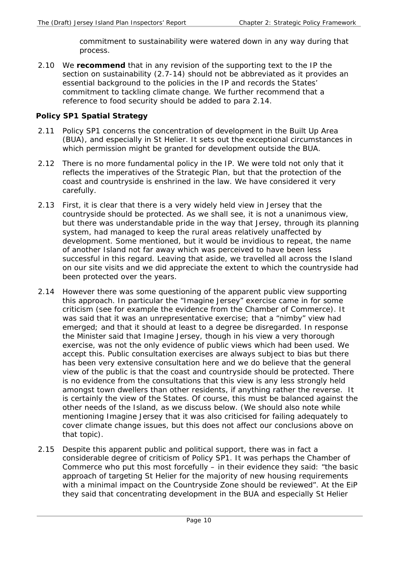commitment to sustainability were watered down in any way during that process.

2.10 We **recommend** that in any revision of the supporting text to the IP the section on sustainability (2.7-14) should not be abbreviated as it provides an essential background to the policies in the IP and records the States' commitment to tackling climate change. We further recommend that a reference to food security should be added to para 2.14.

#### **Policy SP1 Spatial Strategy**

- 2.11 Policy SP1 concerns the concentration of development in the Built Up Area (BUA), and especially in St Helier. It sets out the exceptional circumstances in which permission might be granted for development outside the BUA.
- 2.12 There is no more fundamental policy in the IP. We were told not only that it reflects the imperatives of the Strategic Plan, but that the protection of the coast and countryside is enshrined in the law. We have considered it very carefully.
- 2.13 First, it is clear that there is a very widely held view in Jersey that the countryside should be protected. As we shall see, it is not a unanimous view, but there was understandable pride in the way that Jersey, through its planning system, had managed to keep the rural areas relatively unaffected by development. Some mentioned, but it would be invidious to repeat, the name of another Island not far away which was perceived to have been less successful in this regard. Leaving that aside, we travelled all across the Island on our site visits and we did appreciate the extent to which the countryside had been protected over the years.
- 2.14 However there was some questioning of the apparent public view supporting this approach. In particular the "Imagine Jersey" exercise came in for some criticism (see for example the evidence from the Chamber of Commerce). It was said that it was an unrepresentative exercise; that a "nimby" view had emerged; and that it should at least to a degree be disregarded. In response the Minister said that Imagine Jersey, though in his view a very thorough exercise, was not the only evidence of public views which had been used. We accept this. Public consultation exercises are always subject to bias but there has been very extensive consultation here and we do believe that the general view of the public is that the coast and countryside should be protected. There is no evidence from the consultations that this view is any less strongly held amongst town dwellers than other residents, if anything rather the reverse. It is certainly the view of the States. Of course, this must be balanced against the other needs of the Island, as we discuss below. (We should also note while mentioning Imagine Jersey that it was also criticised for failing adequately to cover climate change issues, but this does not affect our conclusions above on that topic).
- 2.15 Despite this apparent public and political support, there was in fact a considerable degree of criticism of Policy SP1. It was perhaps the Chamber of Commerce who put this most forcefully – in their evidence they said: "the basic approach of targeting St Helier for the majority of new housing requirements with a minimal impact on the Countryside Zone should be reviewed". At the EiP they said that concentrating development in the BUA and especially St Helier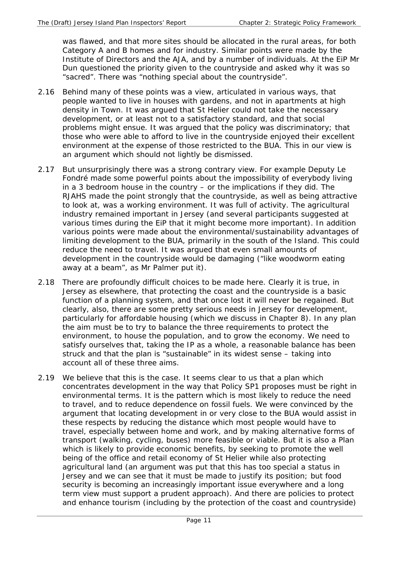was flawed, and that more sites should be allocated in the rural areas, for both Category A and B homes and for industry. Similar points were made by the Institute of Directors and the AJA, and by a number of individuals. At the EiP Mr Dun questioned the priority given to the countryside and asked why it was so "sacred". There was "nothing special about the countryside".

- 2.16 Behind many of these points was a view, articulated in various ways, that people wanted to live in houses with gardens, and not in apartments at high density in Town. It was argued that St Helier could not take the necessary development, or at least not to a satisfactory standard, and that social problems might ensue. It was argued that the policy was discriminatory; that those who were able to afford to live in the countryside enjoyed their excellent environment at the expense of those restricted to the BUA. This in our view is an argument which should not lightly be dismissed.
- 2.17 But unsurprisingly there was a strong contrary view. For example Deputy Le Fondré made some powerful points about the impossibility of everybody living in a 3 bedroom house in the country – or the implications if they did. The RJAHS made the point strongly that the countryside, as well as being attractive to look at, was a working environment. It was full of activity. The agricultural industry remained important in Jersey (and several participants suggested at various times during the EiP that it might become more important). In addition various points were made about the environmental/sustainability advantages of limiting development to the BUA, primarily in the south of the Island. This could reduce the need to travel. It was argued that even small amounts of development in the countryside would be damaging ("like woodworm eating away at a beam", as Mr Palmer put it).
- 2.18 There are profoundly difficult choices to be made here. Clearly it is true, in Jersey as elsewhere, that protecting the coast and the countryside is a basic function of a planning system, and that once lost it will never be regained. But clearly, also, there are some pretty serious needs in Jersey for development, particularly for affordable housing (which we discuss in Chapter 8). In any plan the aim must be to try to balance the three requirements to protect the environment, to house the population, and to grow the economy. We need to satisfy ourselves that, taking the IP as a whole, a reasonable balance has been struck and that the plan is "sustainable" in its widest sense – taking into account all of these three aims.
- 2.19 We believe that this is the case. It seems clear to us that a plan which concentrates development in the way that Policy SP1 proposes must be right in environmental terms. It is the pattern which is most likely to reduce the need to travel, and to reduce dependence on fossil fuels. We were convinced by the argument that locating development in or very close to the BUA would assist in these respects by reducing the distance which most people would have to travel, especially between home and work, and by making alternative forms of transport (walking, cycling, buses) more feasible or viable. But it is also a Plan which is likely to provide economic benefits, by seeking to promote the well being of the office and retail economy of St Helier while also protecting agricultural land (an argument was put that this has too special a status in Jersey and we can see that it must be made to justify its position; but food security is becoming an increasingly important issue everywhere and a long term view must support a prudent approach). And there are policies to protect and enhance tourism (including by the protection of the coast and countryside)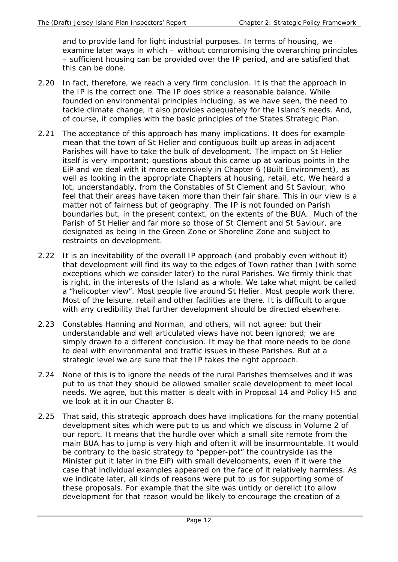and to provide land for light industrial purposes. In terms of housing, we examine later ways in which – without compromising the overarching principles – sufficient housing can be provided over the IP period, and are satisfied that this can be done.

- 2.20 In fact, therefore, we reach a very firm conclusion. It is that the approach in the IP is the correct one. The IP does strike a reasonable balance. While founded on environmental principles including, as we have seen, the need to tackle climate change, it also provides adequately for the Island's needs. And, of course, it complies with the basic principles of the States Strategic Plan.
- 2.21 The acceptance of this approach has many implications. It does for example mean that the town of St Helier and contiguous built up areas in adjacent Parishes will have to take the bulk of development. The impact on St Helier itself is very important; questions about this came up at various points in the EiP and we deal with it more extensively in Chapter 6 (Built Environment), as well as looking in the appropriate Chapters at housing, retail, etc. We heard a lot, understandably, from the Constables of St Clement and St Saviour, who feel that their areas have taken more than their fair share. This in our view is a matter not of fairness but of geography. The IP is not founded on Parish boundaries but, in the present context, on the extents of the BUA. Much of the Parish of St Helier and far more so those of St Clement and St Saviour, are designated as being in the Green Zone or Shoreline Zone and subject to restraints on development.
- 2.22 It is an inevitability of the overall IP approach (and probably even without it) that development will find its way to the edges of Town rather than (with some exceptions which we consider later) to the rural Parishes. We firmly think that is right, in the interests of the Island as a whole. We take what might be called a "helicopter view". Most people live around St Helier. Most people work there. Most of the leisure, retail and other facilities are there. It is difficult to argue with any credibility that further development should be directed elsewhere.
- 2.23 Constables Hanning and Norman, and others, will not agree; but their understandable and well articulated views have not been ignored; we are simply drawn to a different conclusion. It may be that more needs to be done to deal with environmental and traffic issues in these Parishes. But at a strategic level we are sure that the IP takes the right approach.
- 2.24 None of this is to ignore the needs of the rural Parishes themselves and it was put to us that they should be allowed smaller scale development to meet local needs. We agree, but this matter is dealt with in Proposal 14 and Policy H5 and we look at it in our Chapter 8.
- 2.25 That said, this strategic approach does have implications for the many potential development sites which were put to us and which we discuss in Volume 2 of our report. It means that the hurdle over which a small site remote from the main BUA has to jump is very high and often it will be insurmountable. It would be contrary to the basic strategy to "pepper-pot" the countryside (as the Minister put it later in the EiP) with small developments, even if it were the case that individual examples appeared on the face of it relatively harmless. As we indicate later, all kinds of reasons were put to us for supporting some of these proposals. For example that the site was untidy or derelict (to allow development for that reason would be likely to encourage the creation of a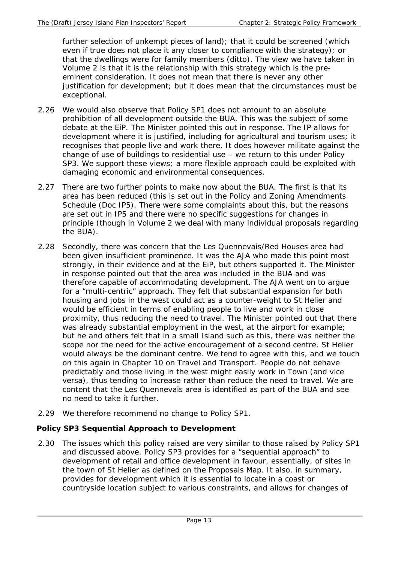further selection of unkempt pieces of land); that it could be screened (which even if true does not place it any closer to compliance with the strategy); or that the dwellings were for family members (ditto). The view we have taken in Volume 2 is that it is the relationship with this strategy which is the preeminent consideration. It does not mean that there is never any other justification for development; but it does mean that the circumstances must be exceptional.

- 2.26 We would also observe that Policy SP1 does not amount to an absolute prohibition of all development outside the BUA. This was the subject of some debate at the EiP. The Minister pointed this out in response. The IP allows for development where it is justified, including for agricultural and tourism uses; it recognises that people live and work there. It does however militate against the change of use of buildings to residential use – we return to this under Policy SP3. We support these views; a more flexible approach could be exploited with damaging economic and environmental consequences.
- 2.27 There are two further points to make now about the BUA. The first is that its area has been reduced (this is set out in the Policy and Zoning Amendments Schedule (Doc IP5). There were some complaints about this, but the reasons are set out in IP5 and there were no specific suggestions for changes in principle (though in Volume 2 we deal with many individual proposals regarding the BUA).
- 2.28 Secondly, there was concern that the Les Quennevais/Red Houses area had been given insufficient prominence. It was the AJA who made this point most strongly, in their evidence and at the EiP, but others supported it. The Minister in response pointed out that the area was included in the BUA and was therefore capable of accommodating development. The AJA went on to argue for a "multi-centric" approach. They felt that substantial expansion for both housing and jobs in the west could act as a counter-weight to St Helier and would be efficient in terms of enabling people to live and work in close proximity, thus reducing the need to travel. The Minister pointed out that there was already substantial employment in the west, at the airport for example; but he and others felt that in a small Island such as this, there was neither the scope nor the need for the active encouragement of a second centre. St Helier would always be the dominant centre. We tend to agree with this, and we touch on this again in Chapter 10 on Travel and Transport. People do not behave predictably and those living in the west might easily work in Town (and vice versa), thus tending to increase rather than reduce the need to travel. We are content that the Les Quennevais area is identified as part of the BUA and see no need to take it further.
- 2.29 We therefore recommend no change to Policy SP1.

# **Policy SP3 Sequential Approach to Development**

2.30 The issues which this policy raised are very similar to those raised by Policy SP1 and discussed above. Policy SP3 provides for a "sequential approach" to development of retail and office development in favour, essentially, of sites in the town of St Helier as defined on the Proposals Map. It also, in summary, provides for development which it is essential to locate in a coast or countryside location subject to various constraints, and allows for changes of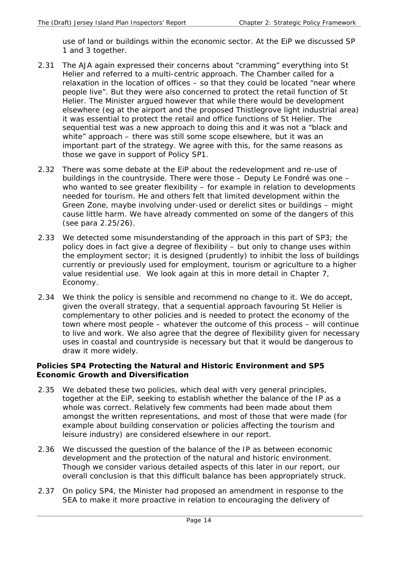use of land or buildings within the economic sector. At the EiP we discussed SP 1 and 3 together.

- 2.31 The AJA again expressed their concerns about "cramming" everything into St Helier and referred to a multi-centric approach. The Chamber called for a relaxation in the location of offices – so that they could be located "near where people live". But they were also concerned to protect the retail function of St Helier. The Minister argued however that while there would be development elsewhere (eg at the airport and the proposed Thistlegrove light industrial area) it was essential to protect the retail and office functions of St Helier. The sequential test was a new approach to doing this and it was not a "black and white" approach – there was still some scope elsewhere, but it was an important part of the strategy. We agree with this, for the same reasons as those we gave in support of Policy SP1.
- 2.32 There was some debate at the EiP about the redevelopment and re-use of buildings in the countryside. There were those – Deputy Le Fondré was one – who wanted to see greater flexibility – for example in relation to developments needed for tourism. He and others felt that limited development within the Green Zone, maybe involving under-used or derelict sites or buildings – might cause little harm. We have already commented on some of the dangers of this (see para 2.25/26).
- 2.33 We detected some misunderstanding of the approach in this part of SP3; the policy does in fact give a degree of flexibility – but only to change uses within the employment sector; it is designed (prudently) to inhibit the loss of buildings currently or previously used for employment, tourism or agriculture to a higher value residential use. We look again at this in more detail in Chapter 7, Economy.
- 2.34 We think the policy is sensible and recommend no change to it. We do accept, given the overall strategy, that a sequential approach favouring St Helier is complementary to other policies and is needed to protect the economy of the town where most people – whatever the outcome of this process – will continue to live and work. We also agree that the degree of flexibility given for necessary uses in coastal and countryside is necessary but that it would be dangerous to draw it more widely.

#### **Policies SP4 Protecting the Natural and Historic Environment and SP5 Economic Growth and Diversification**

- 2.35 We debated these two policies, which deal with very general principles, together at the EiP, seeking to establish whether the balance of the IP as a whole was correct. Relatively few comments had been made about them amongst the written representations, and most of those that were made (for example about building conservation or policies affecting the tourism and leisure industry) are considered elsewhere in our report.
- 2.36 We discussed the question of the balance of the IP as between economic development and the protection of the natural and historic environment. Though we consider various detailed aspects of this later in our report, our overall conclusion is that this difficult balance has been appropriately struck.
- 2.37 On policy SP4, the Minister had proposed an amendment in response to the SEA to make it more proactive in relation to encouraging the delivery of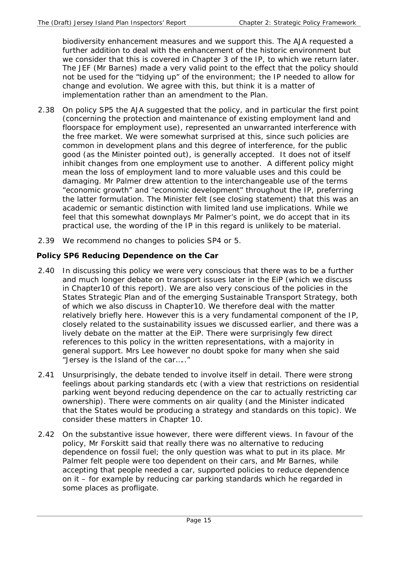biodiversity enhancement measures and we support this. The AJA requested a further addition to deal with the enhancement of the historic environment but we consider that this is covered in Chapter 3 of the IP, to which we return later. The JEF (Mr Barnes) made a very valid point to the effect that the policy should not be used for the "tidying up" of the environment; the IP needed to allow for change and evolution. We agree with this, but think it is a matter of implementation rather than an amendment to the Plan.

- 2.38 On policy SP5 the AJA suggested that the policy, and in particular the first point (concerning the protection and maintenance of existing employment land and floorspace for employment use), represented an unwarranted interference with the free market. We were somewhat surprised at this, since such policies are common in development plans and this degree of interference, for the public good (as the Minister pointed out), is generally accepted. It does not of itself inhibit changes from one employment use to another. A different policy might mean the loss of employment land to more valuable uses and this could be damaging. Mr Palmer drew attention to the interchangeable use of the terms "economic growth" and "economic development" throughout the IP, preferring the latter formulation. The Minister felt (see closing statement) that this was an academic or semantic distinction with limited land use implications. While we feel that this somewhat downplays Mr Palmer's point, we do accept that in its practical use, the wording of the IP in this regard is unlikely to be material.
- 2.39 We recommend no changes to policies SP4 or 5.

# **Policy SP6 Reducing Dependence on the Car**

- 2.40 In discussing this policy we were very conscious that there was to be a further and much longer debate on transport issues later in the EiP (which we discuss in Chapter10 of this report). We are also very conscious of the policies in the States Strategic Plan and of the emerging Sustainable Transport Strategy, both of which we also discuss in Chapter10. We therefore deal with the matter relatively briefly here. However this is a very fundamental component of the IP, closely related to the sustainability issues we discussed earlier, and there was a lively debate on the matter at the EiP. There were surprisingly few direct references to this policy in the written representations, with a majority in general support. Mrs Lee however no doubt spoke for many when she said "Jersey is the Island of the car….."
- 2.41 Unsurprisingly, the debate tended to involve itself in detail. There were strong feelings about parking standards etc (with a view that restrictions on residential parking went beyond reducing dependence on the car to actually restricting car ownership). There were comments on air quality (and the Minister indicated that the States would be producing a strategy and standards on this topic). We consider these matters in Chapter 10.
- 2.42 On the substantive issue however, there were different views. In favour of the policy, Mr Forskitt said that really there was no alternative to reducing dependence on fossil fuel; the only question was what to put in its place. Mr Palmer felt people were too dependent on their cars, and Mr Barnes, while accepting that people needed a car, supported policies to reduce dependence on it – for example by reducing car parking standards which he regarded in some places as profligate.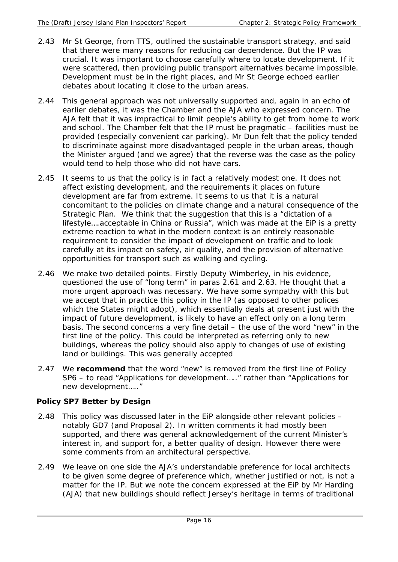- 2.43 Mr St George, from TTS, outlined the sustainable transport strategy, and said that there were many reasons for reducing car dependence. But the IP was crucial. It was important to choose carefully where to locate development. If it were scattered, then providing public transport alternatives became impossible. Development must be in the right places, and Mr St George echoed earlier debates about locating it close to the urban areas.
- 2.44 This general approach was not universally supported and, again in an echo of earlier debates, it was the Chamber and the AJA who expressed concern. The AJA felt that it was impractical to limit people's ability to get from home to work and school. The Chamber felt that the IP must be pragmatic – facilities must be provided (especially convenient car parking). Mr Dun felt that the policy tended to discriminate against more disadvantaged people in the urban areas, though the Minister argued (and we agree) that the reverse was the case as the policy would tend to help those who did not have cars.
- 2.45 It seems to us that the policy is in fact a relatively modest one. It does not affect existing development, and the requirements it places on future development are far from extreme. It seems to us that it is a natural concomitant to the policies on climate change and a natural consequence of the Strategic Plan. We think that the suggestion that this is a "dictation of a lifestyle….acceptable in China or Russia", which was made at the EiP is a pretty extreme reaction to what in the modern context is an entirely reasonable requirement to consider the impact of development on traffic and to look carefully at its impact on safety, air quality, and the provision of alternative opportunities for transport such as walking and cycling.
- 2.46 We make two detailed points. Firstly Deputy Wimberley, in his evidence, questioned the use of "long term" in paras 2.61 and 2.63. He thought that a more urgent approach was necessary. We have some sympathy with this but we accept that in practice this policy in the IP (as opposed to other polices which the States might adopt), which essentially deals at present just with the impact of future development, is likely to have an effect only on a long term basis. The second concerns a very fine detail – the use of the word "new" in the first line of the policy. This could be interpreted as referring only to new buildings, whereas the policy should also apply to changes of use of existing land or buildings. This was generally accepted
- 2.47 We **recommend** that the word "new" is removed from the first line of Policy SP6 – to read "Applications for development….." rather than "Applications for new development….."

## **Policy SP7 Better by Design**

- 2.48 This policy was discussed later in the EiP alongside other relevant policies notably GD7 (and Proposal 2). In written comments it had mostly been supported, and there was general acknowledgement of the current Minister's interest in, and support for, a better quality of design. However there were some comments from an architectural perspective.
- 2.49 We leave on one side the AJA's understandable preference for local architects to be given some degree of preference which, whether justified or not, is not a matter for the IP. But we note the concern expressed at the EiP by Mr Harding (AJA) that new buildings should reflect Jersey's heritage in terms of traditional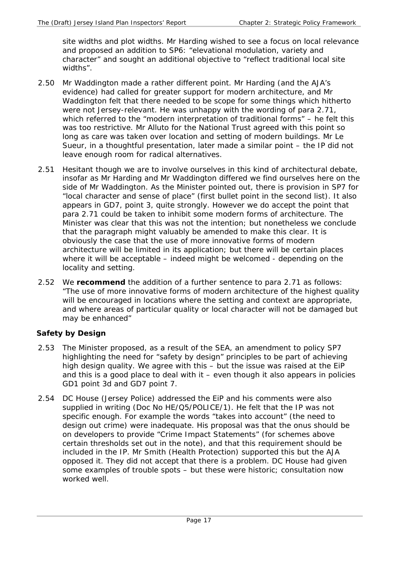site widths and plot widths. Mr Harding wished to see a focus on local relevance and proposed an addition to SP6: "elevational modulation, variety and character" and sought an additional objective to "reflect traditional local site widths".

- 2.50 Mr Waddington made a rather different point. Mr Harding (and the AJA's evidence) had called for greater support for modern architecture, and Mr Waddington felt that there needed to be scope for some things which hitherto were not Jersey-relevant. He was unhappy with the wording of para 2.71, which referred to the "modern interpretation of traditional forms" – he felt this was too restrictive. Mr Alluto for the National Trust agreed with this point so long as care was taken over location and setting of modern buildings. Mr Le Sueur, in a thoughtful presentation, later made a similar point – the IP did not leave enough room for radical alternatives.
- 2.51 Hesitant though we are to involve ourselves in this kind of architectural debate, insofar as Mr Harding and Mr Waddington differed we find ourselves here on the side of Mr Waddington. As the Minister pointed out, there is provision in SP7 for "local character and sense of place" (first bullet point in the second list). It also appears in GD7, point 3, quite strongly. However we do accept the point that para 2.71 could be taken to inhibit some modern forms of architecture. The Minister was clear that this was not the intention; but nonetheless we conclude that the paragraph might valuably be amended to make this clear. It is obviously the case that the use of more innovative forms of modern architecture will be limited in its application; but there will be certain places where it will be acceptable – indeed might be welcomed - depending on the locality and setting.
- 2.52 We **recommend** the addition of a further sentence to para 2.71 as follows: "The use of more innovative forms of modern architecture of the highest quality will be encouraged in locations where the setting and context are appropriate, and where areas of particular quality or local character will not be damaged but may be enhanced"

## **Safety by Design**

- 2.53 The Minister proposed, as a result of the SEA, an amendment to policy SP7 highlighting the need for "safety by design" principles to be part of achieving high design quality. We agree with this – but the issue was raised at the EiP and this is a good place to deal with it – even though it also appears in policies GD1 point 3d and GD7 point 7.
- 2.54 DC House (Jersey Police) addressed the EiP and his comments were also supplied in writing (Doc No HE/Q5/POLICE/1). He felt that the IP was not specific enough. For example the words "takes into account" (the need to design out crime) were inadequate. His proposal was that the onus should be on developers to provide "Crime Impact Statements" (for schemes above certain thresholds set out in the note), and that this requirement should be included in the IP. Mr Smith (Health Protection) supported this but the AJA opposed it. They did not accept that there is a problem. DC House had given some examples of trouble spots – but these were historic; consultation now worked well.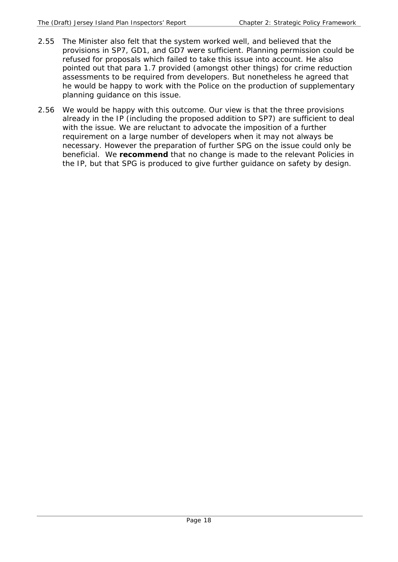- 2.55 The Minister also felt that the system worked well, and believed that the provisions in SP7, GD1, and GD7 were sufficient. Planning permission could be refused for proposals which failed to take this issue into account. He also pointed out that para 1.7 provided (amongst other things) for crime reduction assessments to be required from developers. But nonetheless he agreed that he would be happy to work with the Police on the production of supplementary planning guidance on this issue.
- 2.56 We would be happy with this outcome. Our view is that the three provisions already in the IP (including the proposed addition to SP7) are sufficient to deal with the issue. We are reluctant to advocate the imposition of a further requirement on a large number of developers when it may not always be necessary. However the preparation of further SPG on the issue could only be beneficial. We **recommend** that no change is made to the relevant Policies in the IP, but that SPG is produced to give further guidance on safety by design.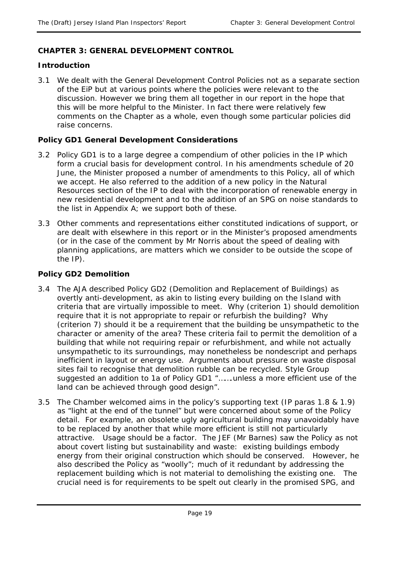## **CHAPTER 3: GENERAL DEVELOPMENT CONTROL**

#### **Introduction**

3.1 We dealt with the General Development Control Policies not as a separate section of the EiP but at various points where the policies were relevant to the discussion. However we bring them all together in our report in the hope that this will be more helpful to the Minister. In fact there were relatively few comments on the Chapter as a whole, even though some particular policies did raise concerns.

#### **Policy GD1 General Development Considerations**

- 3.2 Policy GD1 is to a large degree a compendium of other policies in the IP which form a crucial basis for development control. In his amendments schedule of 20 June, the Minister proposed a number of amendments to this Policy, all of which we accept. He also referred to the addition of a new policy in the Natural Resources section of the IP to deal with the incorporation of renewable energy in new residential development and to the addition of an SPG on noise standards to the list in Appendix A; we support both of these.
- 3.3 Other comments and representations either constituted indications of support, or are dealt with elsewhere in this report or in the Minister's proposed amendments (or in the case of the comment by Mr Norris about the speed of dealing with planning applications, are matters which we consider to be outside the scope of the IP).

#### **Policy GD2 Demolition**

- 3.4 The AJA described Policy GD2 (Demolition and Replacement of Buildings) as overtly anti-development, as akin to listing every building on the Island with criteria that are virtually impossible to meet. Why (criterion 1) should demolition require that it is not appropriate to repair or refurbish the building? Why (criterion 7) should it be a requirement that the building be unsympathetic to the character or amenity of the area? These criteria fail to permit the demolition of a building that while not requiring repair or refurbishment, and while not actually unsympathetic to its surroundings, may nonetheless be nondescript and perhaps inefficient in layout or energy use. Arguments about pressure on waste disposal sites fail to recognise that demolition rubble can be recycled. Style Group suggested an addition to 1a of Policy GD1 ".......unless a more efficient use of the land can be achieved through good design".
- 3.5 The Chamber welcomed aims in the policy's supporting text (IP paras 1.8 & 1.9) as "light at the end of the tunnel" but were concerned about some of the Policy detail. For example, an obsolete ugly agricultural building may unavoidably have to be replaced by another that while more efficient is still not particularly attractive. Usage should be a factor. The JEF (Mr Barnes) saw the Policy as not about covert listing but sustainability and waste: existing buildings embody energy from their original construction which should be conserved. However, he also described the Policy as "woolly"; much of it redundant by addressing the replacement building which is not material to demolishing the existing one. The crucial need is for requirements to be spelt out clearly in the promised SPG, and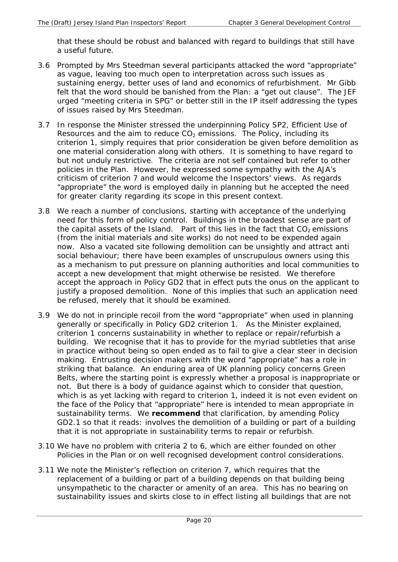that these should be robust and balanced with regard to buildings that still have a useful future.

- 3.6 Prompted by Mrs Steedman several participants attacked the word "appropriate" as vague, leaving too much open to interpretation across such issues as sustaining energy, better uses of land and economics of refurbishment. Mr Gibb felt that the word should be banished from the Plan: a "get out clause". The JEF urged "meeting criteria in SPG" or better still in the IP itself addressing the types of issues raised by Mrs Steedman.
- 3.7 In response the Minister stressed the underpinning Policy SP2, Efficient Use of Resources and the aim to reduce  $CO<sub>2</sub>$  emissions. The Policy, including its criterion 1, simply requires that prior consideration be given before demolition as one material consideration along with others. It is something to have regard to but not unduly restrictive. The criteria are not self contained but refer to other policies in the Plan. However, he expressed some sympathy with the AJA's criticism of criterion 7 and would welcome the Inspectors' views. As regards "appropriate" the word is employed daily in planning but he accepted the need for greater clarity regarding its scope in this present context.
- 3.8 We reach a number of conclusions, starting with acceptance of the underlying need for this form of policy control. Buildings in the broadest sense are part of the capital assets of the Island. Part of this lies in the fact that  $CO<sub>2</sub>$  emissions (from the initial materials and site works) do not need to be expended again now. Also a vacated site following demolition can be unsightly and attract anti social behaviour; there have been examples of unscrupulous owners using this as a mechanism to put pressure on planning authorities and local communities to accept a new development that might otherwise be resisted. We therefore accept the approach in Policy GD2 that in effect puts the onus on the applicant to justify a proposed demolition. None of this implies that such an application need be refused, merely that it should be examined.
- 3.9 We do not in principle recoil from the word "appropriate" when used in planning generally or specifically in Policy GD2 criterion 1. As the Minister explained, criterion 1 concerns sustainability in whether to replace or repair/refurbish a building. We recognise that it has to provide for the myriad subtleties that arise in practice without being so open ended as to fail to give a clear steer in decision making. Entrusting decision makers with the word "appropriate" has a role in striking that balance. An enduring area of UK planning policy concerns Green Belts, where the starting point is expressly whether a proposal is inappropriate or not. But there is a body of guidance against which to consider that question, which is as yet lacking with regard to criterion 1, indeed it is not even evident on the face of the Policy that "appropriate" here is intended to mean appropriate in sustainability terms. We **recommend** that clarification, by amending Policy GD2.1 so that it reads: involves the demolition of a building or part of a building that it is not appropriate in sustainability terms to repair or refurbish.
- 3.10 We have no problem with criteria 2 to 6, which are either founded on other Policies in the Plan or on well recognised development control considerations.
- 3.11 We note the Minister's reflection on criterion 7, which requires that the replacement of a building or part of a building depends on that building being unsympathetic to the character or amenity of an area. This has no bearing on sustainability issues and skirts close to in effect listing all buildings that are not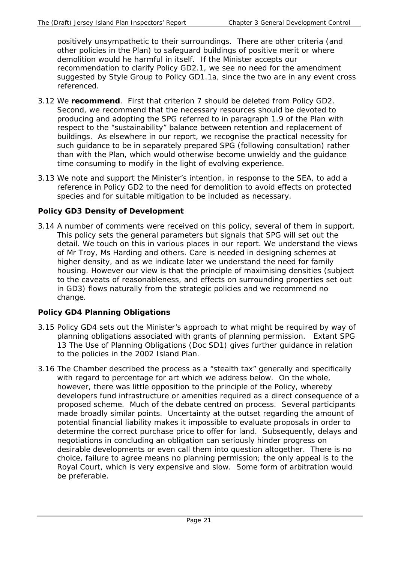positively unsympathetic to their surroundings. There are other criteria (and other policies in the Plan) to safeguard buildings of positive merit or where demolition would he harmful in itself. If the Minister accepts our recommendation to clarify Policy GD2.1, we see no need for the amendment suggested by Style Group to Policy GD1.1a, since the two are in any event cross referenced.

- 3.12 We **recommend**. First that criterion 7 should be deleted from Policy GD2. Second, we recommend that the necessary resources should be devoted to producing and adopting the SPG referred to in paragraph 1.9 of the Plan with respect to the "sustainability" balance between retention and replacement of buildings. As elsewhere in our report, we recognise the practical necessity for such guidance to be in separately prepared SPG (following consultation) rather than with the Plan, which would otherwise become unwieldy and the guidance time consuming to modify in the light of evolving experience.
- 3.13 We note and support the Minister's intention, in response to the SEA, to add a reference in Policy GD2 to the need for demolition to avoid effects on protected species and for suitable mitigation to be included as necessary.

# **Policy GD3 Density of Development**

3.14 A number of comments were received on this policy, several of them in support. This policy sets the general parameters but signals that SPG will set out the detail. We touch on this in various places in our report. We understand the views of Mr Troy, Ms Harding and others. Care is needed in designing schemes at higher density, and as we indicate later we understand the need for family housing. However our view is that the principle of maximising densities (subject to the caveats of reasonableness, and effects on surrounding properties set out in GD3) flows naturally from the strategic policies and we recommend no change.

# **Policy GD4 Planning Obligations**

- 3.15 Policy GD4 sets out the Minister's approach to what might be required by way of planning obligations associated with grants of planning permission. Extant SPG 13 The Use of Planning Obligations (Doc SD1) gives further guidance in relation to the policies in the 2002 Island Plan.
- 3.16 The Chamber described the process as a "stealth tax" generally and specifically with regard to percentage for art which we address below. On the whole, however, there was little opposition to the principle of the Policy, whereby developers fund infrastructure or amenities required as a direct consequence of a proposed scheme. Much of the debate centred on process. Several participants made broadly similar points. Uncertainty at the outset regarding the amount of potential financial liability makes it impossible to evaluate proposals in order to determine the correct purchase price to offer for land. Subsequently, delays and negotiations in concluding an obligation can seriously hinder progress on desirable developments or even call them into question altogether. There is no choice, failure to agree means no planning permission; the only appeal is to the Royal Court, which is very expensive and slow. Some form of arbitration would be preferable.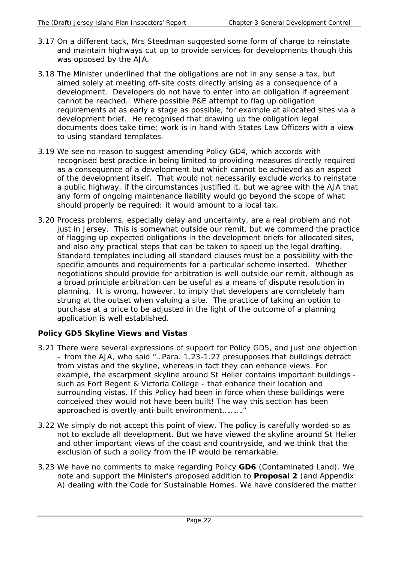- 3.17 On a different tack, Mrs Steedman suggested some form of charge to reinstate and maintain highways cut up to provide services for developments though this was opposed by the AJA.
- 3.18 The Minister underlined that the obligations are not in any sense a tax, but aimed solely at meeting off-site costs directly arising as a consequence of a development. Developers do not have to enter into an obligation if agreement cannot be reached. Where possible P&E attempt to flag up obligation requirements at as early a stage as possible, for example at allocated sites via a development brief. He recognised that drawing up the obligation legal documents does take time; work is in hand with States Law Officers with a view to using standard templates.
- 3.19 We see no reason to suggest amending Policy GD4, which accords with recognised best practice in being limited to providing measures directly required as a consequence of a development but which cannot be achieved as an aspect of the development itself. That would not necessarily exclude works to reinstate a public highway, if the circumstances justified it, but we agree with the AJA that any form of ongoing maintenance liability would go beyond the scope of what should properly be required: it would amount to a local tax.
- 3.20 Process problems, especially delay and uncertainty, are a real problem and not just in Jersey. This is somewhat outside our remit, but we commend the practice of flagging up expected obligations in the development briefs for allocated sites, and also any practical steps that can be taken to speed up the legal drafting. Standard templates including all standard clauses must be a possibility with the specific amounts and requirements for a particular scheme inserted. Whether negotiations should provide for arbitration is well outside our remit, although as a broad principle arbitration can be useful as a means of dispute resolution in planning. It is wrong, however, to imply that developers are completely ham strung at the outset when valuing a site. The practice of taking an option to purchase at a price to be adjusted in the light of the outcome of a planning application is well established.

## **Policy GD5 Skyline Views and Vistas**

- 3.21 There were several expressions of support for Policy GD5, and just one objection – from the AJA, who said "…Para. 1.23-1.27 presupposes that buildings detract from vistas and the skyline, whereas in fact they can enhance views. For example, the escarpment skyline around St Helier contains important buildings such as Fort Regent & Victoria College - that enhance their location and surrounding vistas. If this Policy had been in force when these buildings were conceived they would not have been built! The way this section has been approached is overtly anti-built environment………."
- 3.22 We simply do not accept this point of view. The policy is carefully worded so as not to exclude *all* development. But we have viewed the skyline around St Helier and other important views of the coast and countryside, and we think that the exclusion of such a policy from the IP would be remarkable.
- 3.23 We have no comments to make regarding Policy **GD6** (Contaminated Land). We note and support the Minister's proposed addition to **Proposal 2** (and Appendix A) dealing with the Code for Sustainable Homes. We have considered the matter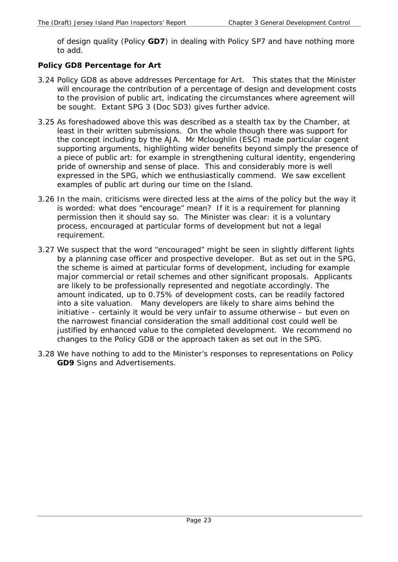of design quality (Policy **GD7**) in dealing with Policy SP7 and have nothing more to add.

#### **Policy GD8 Percentage for Art**

- 3.24 Policy GD8 as above addresses Percentage for Art. This states that the Minister will encourage the contribution of a percentage of design and development costs to the provision of public art, indicating the circumstances where agreement will be sought. Extant SPG 3 (Doc SD3) gives further advice.
- 3.25 As foreshadowed above this was described as a stealth tax by the Chamber, at least in their written submissions. On the whole though there was support for the concept including by the AJA. Mr Mcloughlin (ESC) made particular cogent supporting arguments, highlighting wider benefits beyond simply the presence of a piece of public art: for example in strengthening cultural identity, engendering pride of ownership and sense of place. This and considerably more is well expressed in the SPG, which we enthusiastically commend. We saw excellent examples of public art during our time on the Island.
- 3.26 In the main, criticisms were directed less at the aims of the policy but the way it is worded: what does "encourage" mean? If it is a requirement for planning permission then it should say so. The Minister was clear: it is a voluntary process, encouraged at particular forms of development but not a legal requirement.
- 3.27 We suspect that the word "encouraged" might be seen in slightly different lights by a planning case officer and prospective developer. But as set out in the SPG, the scheme is aimed at particular forms of development, including for example major commercial or retail schemes and other significant proposals. Applicants are likely to be professionally represented and negotiate accordingly. The amount indicated, up to 0.75% of development costs, can be readily factored into a site valuation. Many developers are likely to share aims behind the initiative – certainly it would be very unfair to assume otherwise – but even on the narrowest financial consideration the small additional cost could well be justified by enhanced value to the completed development. We recommend no changes to the Policy GD8 or the approach taken as set out in the SPG.
- 3.28 We have nothing to add to the Minister's responses to representations on Policy **GD9** Signs and Advertisements.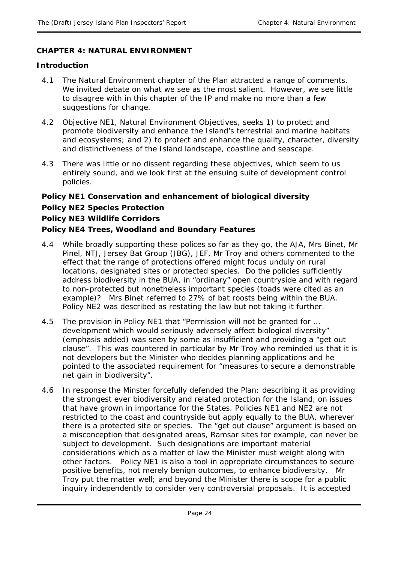## **CHAPTER 4: NATURAL ENVIRONMENT**

#### **Introduction**

- 4.1 The Natural Environment chapter of the Plan attracted a range of comments. We invited debate on what we see as the most salient. However, we see little to disagree with in this chapter of the IP and make no more than a few suggestions for change.
- 4.2 Objective NE1, Natural Environment Objectives, seeks 1) to protect and promote biodiversity and enhance the Island's terrestrial and marine habitats and ecosystems; and 2) to protect and enhance the quality, character, diversity and distinctiveness of the Island landscape, coastline and seascape.
- 4.3 There was little or no dissent regarding these objectives, which seem to us entirely sound, and we look first at the ensuing suite of development control policies.

## **Policy NE1 Conservation and enhancement of biological diversity**

#### **Policy NE2 Species Protection**

#### **Policy NE3 Wildlife Corridors**

#### **Policy NE4 Trees, Woodland and Boundary Features**

- 4.4 While broadly supporting these polices so far as they go, the AJA, Mrs Binet, Mr Pinel, NTJ, Jersey Bat Group (JBG), JEF, Mr Troy and others commented to the effect that the range of protections offered might focus unduly on rural locations, designated sites or protected species. Do the policies sufficiently address biodiversity in the BUA, in "ordinary" open countryside and with regard to non-protected but nonetheless important species (toads were cited as an example)? Mrs Binet referred to 27% of bat roosts being within the BUA. Policy NE2 was described as restating the law but not taking it further.
- 4.5 The provision in Policy NE1 that "Permission will not be granted for … development which would *seriously adversely* affect biological diversity" (emphasis added) was seen by some as insufficient and providing a "get out clause". This was countered in particular by Mr Troy who reminded us that it is not developers but the Minister who decides planning applications and he pointed to the associated requirement for "measures to secure a demonstrable net gain in biodiversity".
- 4.6 In response the Minster forcefully defended the Plan: describing it as providing the strongest ever biodiversity and related protection for the Island, on issues that have grown in importance for the States. Policies NE1 and NE2 are not restricted to the coast and countryside but apply equally to the BUA, wherever there is a protected site or species. The "get out clause" argument is based on a misconception that designated areas, Ramsar sites for example, can never be subject to development. Such designations are important material considerations which as a matter of law the Minister must weight along with other factors. Policy NE1 is also a tool in appropriate circumstances to secure positive benefits, not merely benign outcomes, to enhance biodiversity. Mr Troy put the matter well; and beyond the Minister there is scope for a public inquiry independently to consider very controversial proposals. It is accepted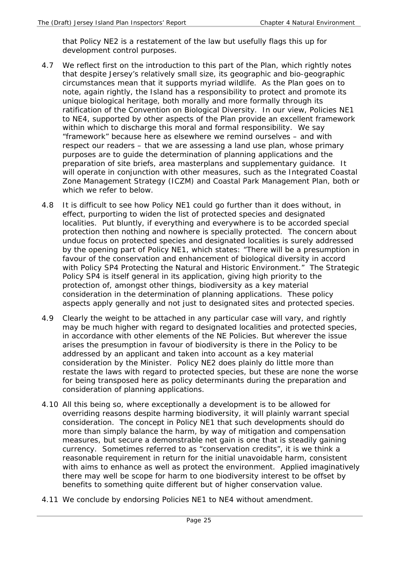that Policy NE2 is a restatement of the law but usefully flags this up for development control purposes.

- 4.7 We reflect first on the introduction to this part of the Plan, which rightly notes that despite Jersey's relatively small size, its geographic and bio-geographic circumstances mean that it supports myriad wildlife. As the Plan goes on to note, again rightly, the Island has a responsibility to protect and promote its unique biological heritage, both morally and more formally through its ratification of the Convention on Biological Diversity. In our view, Policies NE1 to NE4, supported by other aspects of the Plan provide an excellent framework within which to discharge this moral and formal responsibility. We say "framework" because here as elsewhere we remind ourselves – and with respect our readers – that we are assessing a land use plan, whose primary purposes are to guide the determination of planning applications and the preparation of site briefs, area masterplans and supplementary guidance. It will operate in conjunction with other measures, such as the Integrated Coastal Zone Management Strategy (ICZM) and Coastal Park Management Plan, both or which we refer to below.
- 4.8 It is difficult to see how Policy NE1 could go further than it does without, in effect, purporting to widen the list of protected species and designated localities. Put bluntly, if everything and everywhere is to be accorded special protection then nothing and nowhere is specially protected. The concern about undue focus on protected species and designated localities is surely addressed by the opening part of Policy NE1, which states: "There will be a presumption in favour of the conservation and enhancement of biological diversity in accord with Policy SP4 Protecting the Natural and Historic Environment." The Strategic Policy SP4 is itself general in its application, giving high priority to the protection of, amongst other things, biodiversity as a key material consideration in the determination of planning applications. These policy aspects apply generally and not just to designated sites and protected species.
- 4.9 Clearly the weight to be attached in any particular case will vary, and rightly may be much higher with regard to designated localities and protected species, in accordance with other elements of the NE Policies. But wherever the issue arises the presumption in favour of biodiversity is there in the Policy to be addressed by an applicant and taken into account as a key material consideration by the Minister. Policy NE2 does plainly do little more than restate the laws with regard to protected species, but these are none the worse for being transposed here as policy determinants during the preparation and consideration of planning applications.
- 4.10 All this being so, where exceptionally a development is to be allowed for overriding reasons despite harming biodiversity, it will plainly warrant special consideration. The concept in Policy NE1 that such developments should do more than simply balance the harm, by way of mitigation and compensation measures, but secure a demonstrable net gain is one that is steadily gaining currency. Sometimes referred to as "conservation credits", it is we think a reasonable requirement in return for the initial unavoidable harm, consistent with aims to enhance as well as protect the environment. Applied imaginatively there may well be scope for harm to one biodiversity interest to be offset by benefits to something quite different but of higher conservation value.
- 4.11 We conclude by endorsing Policies NE1 to NE4 without amendment.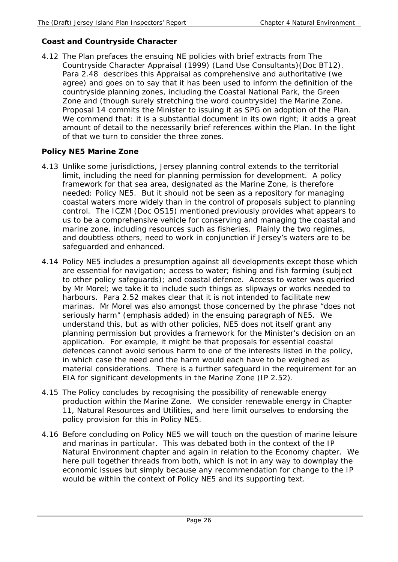## **Coast and Countryside Character**

4.12 The Plan prefaces the ensuing NE policies with brief extracts from The Countryside Character Appraisal (1999) (Land Use Consultants)(Doc BT12). Para 2.48 describes this Appraisal as comprehensive and authoritative (we agree) and goes on to say that it has been used to inform the definition of the countryside planning zones, including the Coastal National Park, the Green Zone and (though surely stretching the word countryside) the Marine Zone. Proposal 14 commits the Minister to issuing it as SPG on adoption of the Plan. We commend that: it is a substantial document in its own right; it adds a great amount of detail to the necessarily brief references within the Plan. In the light of that we turn to consider the three zones.

# **Policy NE5 Marine Zone**

- 4.13 Unlike some jurisdictions, Jersey planning control extends to the territorial limit, including the need for planning permission for development. A policy framework for that sea area, designated as the Marine Zone, is therefore needed: Policy NE5. But it should not be seen as a repository for managing coastal waters more widely than in the control of proposals subject to planning control. The ICZM (Doc OS15) mentioned previously provides what appears to us to be a comprehensive vehicle for conserving and managing the coastal and marine zone, including resources such as fisheries. Plainly the two regimes, and doubtless others, need to work in conjunction if Jersey's waters are to be safeguarded and enhanced.
- 4.14 Policy NE5 includes a presumption against all developments except those which are essential for navigation; access to water; fishing and fish farming (subject to other policy safeguards); and coastal defence. Access to water was queried by Mr Morel; we take it to include such things as slipways or works needed to harbours. Para 2.52 makes clear that it is not intended to facilitate new marinas. Mr Morel was also amongst those concerned by the phrase "does not *seriously* harm" (emphasis added) in the ensuing paragraph of NE5. We understand this, but as with other policies, NE5 does not itself grant any planning permission but provides a framework for the Minister's decision on an application. For example, it might be that proposals for essential coastal defences cannot avoid serious harm to one of the interests listed in the policy, in which case the need and the harm would each have to be weighed as material considerations. There is a further safeguard in the requirement for an EIA for significant developments in the Marine Zone (IP 2.52).
- 4.15 The Policy concludes by recognising the possibility of renewable energy production within the Marine Zone. We consider renewable energy in Chapter 11, Natural Resources and Utilities, and here limit ourselves to endorsing the policy provision for this in Policy NE5.
- 4.16 Before concluding on Policy NE5 we will touch on the question of marine leisure and marinas in particular. This was debated both in the context of the IP Natural Environment chapter and again in relation to the Economy chapter. We here pull together threads from both, which is not in any way to downplay the economic issues but simply because any recommendation for change to the IP would be within the context of Policy NE5 and its supporting text.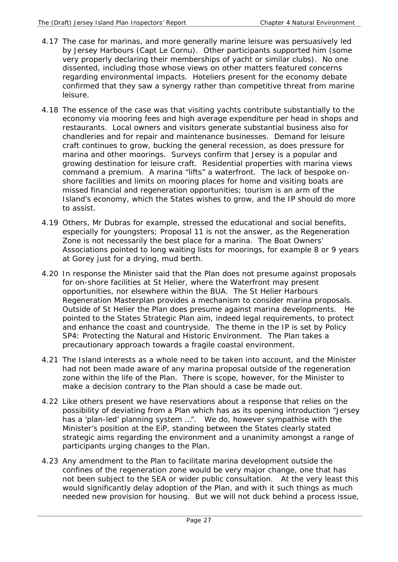- 4.17 The case for marinas, and more generally marine leisure was persuasively led by Jersey Harbours (Capt Le Cornu). Other participants supported him (some very properly declaring their memberships of yacht or similar clubs). No one dissented, including those whose views on other matters featured concerns regarding environmental impacts. Hoteliers present for the economy debate confirmed that they saw a synergy rather than competitive threat from marine leisure.
- 4.18 The essence of the case was that visiting yachts contribute substantially to the economy via mooring fees and high average expenditure per head in shops and restaurants. Local owners and visitors generate substantial business also for chandleries and for repair and maintenance businesses. Demand for leisure craft continues to grow, bucking the general recession, as does pressure for marina and other moorings. Surveys confirm that Jersey is a popular and growing destination for leisure craft. Residential properties with marina views command a premium. A marina "lifts" a waterfront. The lack of bespoke onshore facilities and limits on mooring places for home and visiting boats are missed financial and regeneration opportunities; tourism is an arm of the Island's economy, which the States wishes to grow, and the IP should do more to assist.
- 4.19 Others, Mr Dubras for example, stressed the educational and social benefits, especially for youngsters; Proposal 11 is not the answer, as the Regeneration Zone is not necessarily the best place for a marina. The Boat Owners' Associations pointed to long waiting lists for moorings, for example 8 or 9 years at Gorey just for a drying, mud berth.
- 4.20 In response the Minister said that the Plan does not presume against proposals for on-shore facilities at St Helier, where the Waterfront may present opportunities, nor elsewhere within the BUA. The St Helier Harbours Regeneration Masterplan provides a mechanism to consider marina proposals. Outside of St Helier the Plan does presume against marina developments. He pointed to the States Strategic Plan aim, indeed legal requirements, to protect and enhance the coast and countryside. The theme in the IP is set by Policy SP4: Protecting the Natural and Historic Environment. The Plan takes a precautionary approach towards a fragile coastal environment.
- 4.21 The Island interests as a whole need to be taken into account, and the Minister had not been made aware of any marina proposal outside of the regeneration zone within the life of the Plan. There is scope, however, for the Minister to make a decision contrary to the Plan should a case be made out.
- 4.22 Like others present we have reservations about a response that relies on the possibility of deviating from a Plan which has as its opening introduction "Jersey has a 'plan-led' planning system …". We do, however sympathise with the Minister's position at the EiP, standing between the States clearly stated strategic aims regarding the environment and a unanimity amongst a range of participants urging changes to the Plan.
- 4.23 Any amendment to the Plan to facilitate marina development outside the confines of the regeneration zone would be very major change, one that has not been subject to the SEA or wider public consultation. At the very least this would significantly delay adoption of the Plan, and with it such things as much needed new provision for housing. But we will not duck behind a process issue,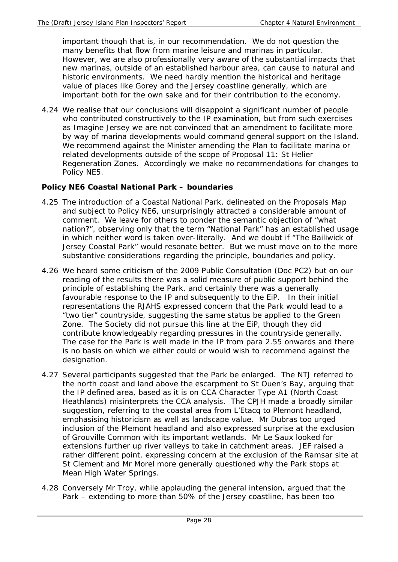important though that is, in our recommendation. We do not question the many benefits that flow from marine leisure and marinas in particular. However, we are also professionally very aware of the substantial impacts that new marinas, outside of an established harbour area, can cause to natural and historic environments. We need hardly mention the historical and heritage value of places like Gorey and the Jersey coastline generally, which are important both for the own sake and for their contribution to the economy.

4.24 We realise that our conclusions will disappoint a significant number of people who contributed constructively to the IP examination, but from such exercises as Imagine Jersey we are not convinced that an amendment to facilitate more by way of marina developments would command general support on the Island. We recommend against the Minister amending the Plan to facilitate marina or related developments outside of the scope of Proposal 11: St Helier Regeneration Zones. Accordingly we make no recommendations for changes to Policy NE5.

## **Policy NE6 Coastal National Park – boundaries**

- 4.25 The introduction of a Coastal National Park, delineated on the Proposals Map and subject to Policy NE6, unsurprisingly attracted a considerable amount of comment. We leave for others to ponder the semantic objection of "what nation?", observing only that the term "National Park" has an established usage in which neither word is taken over-literally. And we doubt if "The Bailiwick of Jersey Coastal Park" would resonate better. But we must move on to the more substantive considerations regarding the principle, boundaries and policy.
- 4.26 We heard some criticism of the 2009 Public Consultation (Doc PC2) but on our reading of the results there was a solid measure of public support behind the principle of establishing the Park, and certainly there was a generally favourable response to the IP and subsequently to the EiP. In their initial representations the RJAHS expressed concern that the Park would lead to a "two tier" countryside, suggesting the same status be applied to the Green Zone. The Society did not pursue this line at the EiP, though they did contribute knowledgeably regarding pressures in the countryside generally. The case for the Park is well made in the IP from para 2.55 onwards and there is no basis on which we either could or would wish to recommend against the designation.
- 4.27 Several participants suggested that the Park be enlarged. The NTJ referred to the north coast and land above the escarpment to St Ouen's Bay, arguing that the IP defined area, based as it is on CCA Character Type A1 (North Coast Heathlands) misinterprets the CCA analysis. The CPJH made a broadly similar suggestion, referring to the coastal area from L'Etacq to Plemont headland, emphasising historicism as well as landscape value. Mr Dubras too urged inclusion of the Plemont headland and also expressed surprise at the exclusion of Grouville Common with its important wetlands. Mr Le Saux looked for extensions further up river valleys to take in catchment areas. JEF raised a rather different point, expressing concern at the exclusion of the Ramsar site at St Clement and Mr Morel more generally questioned why the Park stops at Mean High Water Springs.
- 4.28 Conversely Mr Troy, while applauding the general intension, argued that the Park – extending to more than 50% of the Jersey coastline, has been too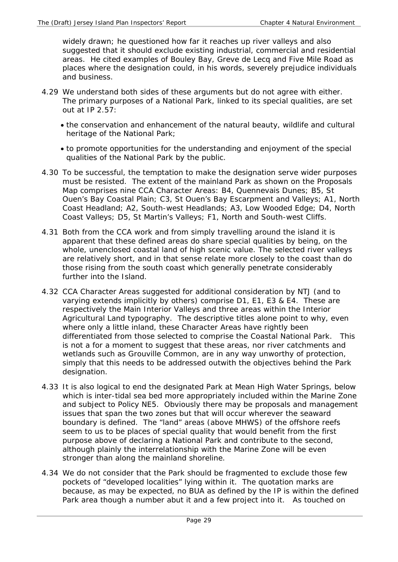widely drawn; he questioned how far it reaches up river valleys and also suggested that it should exclude existing industrial, commercial and residential areas. He cited examples of Bouley Bay, Greve de Lecq and Five Mile Road as places where the designation could, in his words, severely prejudice individuals and business.

- 4.29 We understand both sides of these arguments but do not agree with either. The primary purposes of a National Park, linked to its special qualities, are set out at IP 2.57:
	- the conservation and enhancement of the natural beauty, wildlife and cultural heritage of the National Park;
	- to promote opportunities for the understanding and enjoyment of the special qualities of the National Park by the public.
- 4.30 To be successful, the temptation to make the designation serve wider purposes must be resisted. The extent of the mainland Park as shown on the Proposals Map comprises nine CCA Character Areas: B4, Quennevais Dunes; B5, St Ouen's Bay Coastal Plain; C3, St Ouen's Bay Escarpment and Valleys; A1, North Coast Headland; A2, South-west Headlands; A3, Low Wooded Edge; D4, North Coast Valleys; D5, St Martin's Valleys; F1, North and South-west Cliffs.
- 4.31 Both from the CCA work and from simply travelling around the island it is apparent that these defined areas do share special qualities by being, on the whole, unenclosed coastal land of high scenic value. The selected river valleys are relatively short, and in that sense relate more closely to the coast than do those rising from the south coast which generally penetrate considerably further into the Island.
- 4.32 CCA Character Areas suggested for additional consideration by NTJ (and to varying extends implicitly by others) comprise D1, E1, E3 & E4. These are respectively the Main Interior Valleys and three areas within the Interior Agricultural Land typography. The descriptive titles alone point to why, even where only a little inland, these Character Areas have rightly been differentiated from those selected to comprise the Coastal National Park. This is not a for a moment to suggest that these areas, nor river catchments and wetlands such as Grouville Common, are in any way unworthy of protection, simply that this needs to be addressed outwith the objectives behind the Park designation.
- 4.33 It is also logical to end the designated Park at Mean High Water Springs, below which is inter-tidal sea bed more appropriately included within the Marine Zone and subject to Policy NE5. Obviously there may be proposals and management issues that span the two zones but that will occur wherever the seaward boundary is defined. The "land" areas (above MHWS) of the offshore reefs seem to us to be places of special quality that would benefit from the first purpose above of declaring a National Park and contribute to the second, although plainly the interrelationship with the Marine Zone will be even stronger than along the mainland shoreline.
- 4.34 We do not consider that the Park should be fragmented to exclude those few pockets of "developed localities" lying within it. The quotation marks are because, as may be expected, no BUA as defined by the IP is within the defined Park area though a number abut it and a few project into it. As touched on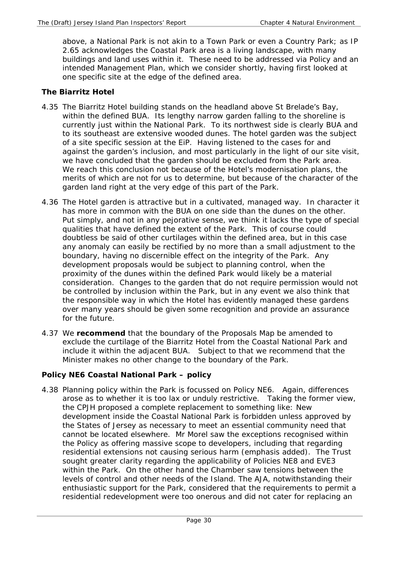above, a National Park is not akin to a Town Park or even a Country Park; as IP 2.65 acknowledges the Coastal Park area is a living landscape, with many buildings and land uses within it. These need to be addressed via Policy and an intended Management Plan, which we consider shortly, having first looked at one specific site at the edge of the defined area.

## **The Biarritz Hotel**

- 4.35 The Biarritz Hotel building stands on the headland above St Brelade's Bay, within the defined BUA. Its lengthy narrow garden falling to the shoreline is currently just within the National Park. To its northwest side is clearly BUA and to its southeast are extensive wooded dunes. The hotel garden was the subject of a site specific session at the EiP. Having listened to the cases for and against the garden's inclusion, and most particularly in the light of our site visit, we have concluded that the garden should be excluded from the Park area. We reach this conclusion not because of the Hotel's modernisation plans, the merits of which are not for us to determine, but because of the character of the garden land right at the very edge of this part of the Park.
- 4.36 The Hotel garden is attractive but in a cultivated, managed way. In character it has more in common with the BUA on one side than the dunes on the other. Put simply, and not in any pejorative sense, we think it lacks the type of special qualities that have defined the extent of the Park. This of course could doubtless be said of other curtilages within the defined area, but in this case any anomaly can easily be rectified by no more than a small adjustment to the boundary, having no discernible effect on the integrity of the Park. Any development proposals would be subject to planning control, when the proximity of the dunes within the defined Park would likely be a material consideration. Changes to the garden that do not require permission would not be controlled by inclusion within the Park, but in any event we also think that the responsible way in which the Hotel has evidently managed these gardens over many years should be given some recognition and provide an assurance for the future.
- 4.37 We **recommend** that the boundary of the Proposals Map be amended to exclude the curtilage of the Biarritz Hotel from the Coastal National Park and include it within the adjacent BUA. Subject to that we recommend that the Minister makes no other change to the boundary of the Park.

## **Policy NE6 Coastal National Park – policy**

4.38 Planning policy within the Park is focussed on Policy NE6. Again, differences arose as to whether it is too lax or unduly restrictive. Taking the former view, the CPJH proposed a complete replacement to something like: New development inside the Coastal National Park is forbidden unless approved by the States of Jersey as necessary to meet an essential community need that cannot be located elsewhere. Mr Morel saw the exceptions recognised within the Policy as offering massive scope to developers, including that regarding residential extensions not causing *serious* harm (emphasis added). The Trust sought greater clarity regarding the applicability of Policies NE8 and EVE3 within the Park. On the other hand the Chamber saw tensions between the levels of control and other needs of the Island. The AJA, notwithstanding their enthusiastic support for the Park, considered that the requirements to permit a residential redevelopment were too onerous and did not cater for replacing an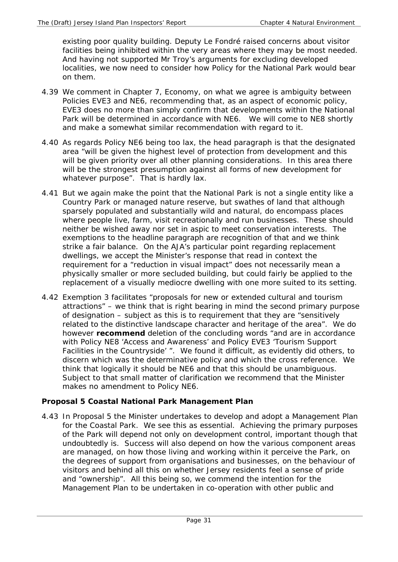existing poor quality building. Deputy Le Fondré raised concerns about visitor facilities being inhibited within the very areas where they may be most needed. And having not supported Mr Troy's arguments for excluding developed localities, we now need to consider how Policy for the National Park would bear on them.

- 4.39 We comment in Chapter 7, Economy, on what we agree is ambiguity between Policies EVE3 and NE6, recommending that, as an aspect of economic policy, EVE3 does no more than simply confirm that developments within the National Park will be determined in accordance with NE6. We will come to NE8 shortly and make a somewhat similar recommendation with regard to it.
- 4.40 As regards Policy NE6 being too lax, the head paragraph is that the designated area "will be given the highest level of protection from development and this will be given priority over all other planning considerations. In this area there will be the strongest presumption against all forms of new development for whatever purpose". That is hardly lax.
- 4.41 But we again make the point that the National Park is not a single entity like a Country Park or managed nature reserve, but swathes of land that although sparsely populated and substantially wild and natural, do encompass places where people live, farm, visit recreationally and run businesses. These should neither be wished away nor set in aspic to meet conservation interests. The exemptions to the headline paragraph are recognition of that and we think strike a fair balance. On the AJA's particular point regarding replacement dwellings, we accept the Minister's response that read in context the requirement for a "reduction in visual impact" does not necessarily mean a physically smaller or more secluded building, but could fairly be applied to the replacement of a visually mediocre dwelling with one more suited to its setting.
- 4.42 Exemption 3 facilitates "proposals for new or extended cultural and tourism attractions" – we think that is right bearing in mind the second primary purpose of designation – subject as this is to requirement that they are "sensitively related to the distinctive landscape character and heritage of the area". We do however **recommend** deletion of the concluding words "and are in accordance with Policy NE8 'Access and Awareness' and Policy EVE3 'Tourism Support Facilities in the Countryside' ". We found it difficult, as evidently did others, to discern which was the determinative policy and which the cross reference. We think that logically it should be NE6 and that this should be unambiguous. Subject to that small matter of clarification we recommend that the Minister makes no amendment to Policy NE6.

# **Proposal 5 Coastal National Park Management Plan**

4.43 In Proposal 5 the Minister undertakes to develop and adopt a Management Plan for the Coastal Park. We see this as essential. Achieving the primary purposes of the Park will depend not only on development control, important though that undoubtedly is. Success will also depend on how the various component areas are managed, on how those living and working within it perceive the Park, on the degrees of support from organisations and businesses, on the behaviour of visitors and behind all this on whether Jersey residents feel a sense of pride and "ownership". All this being so, we commend the intention for the Management Plan to be undertaken in co-operation with other public and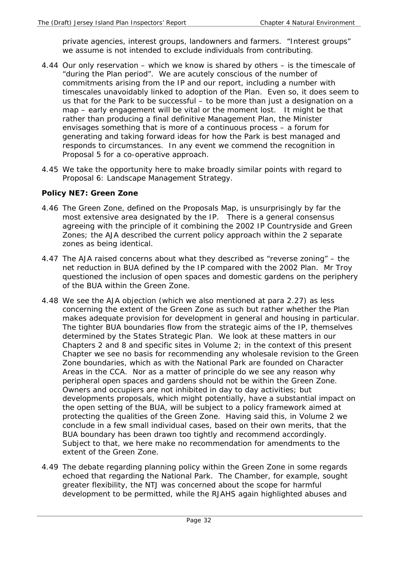private agencies, interest groups, landowners and farmers. "Interest groups" we assume is not intended to exclude individuals from contributing.

- 4.44 Our only reservation which we know is shared by others is the timescale of "during the Plan period". We are acutely conscious of the number of commitments arising from the IP and our report, including a number with timescales unavoidably linked to adoption of the Plan. Even so, it does seem to us that for the Park to be successful – to be more than just a designation on a map – early engagement will be vital or the moment lost. It might be that rather than producing a final definitive Management Plan, the Minister envisages something that is more of a continuous process – a forum for generating and taking forward ideas for how the Park is best managed and responds to circumstances. In any event we commend the recognition in Proposal 5 for a co-operative approach.
- 4.45 We take the opportunity here to make broadly similar points with regard to Proposal 6: Landscape Management Strategy.

#### **Policy NE7: Green Zone**

- 4.46 The Green Zone, defined on the Proposals Map, is unsurprisingly by far the most extensive area designated by the IP. There is a general consensus agreeing with the principle of it combining the 2002 IP Countryside and Green Zones; the AJA described the current policy approach within the 2 separate zones as being identical.
- 4.47 The AJA raised concerns about what they described as "reverse zoning" the net reduction in BUA defined by the IP compared with the 2002 Plan. Mr Troy questioned the inclusion of open spaces and domestic gardens on the periphery of the BUA within the Green Zone.
- 4.48 We see the AJA objection (which we also mentioned at para 2.27) as less concerning the extent of the Green Zone as such but rather whether the Plan makes adequate provision for development in general and housing in particular. The tighter BUA boundaries flow from the strategic aims of the IP, themselves determined by the States Strategic Plan. We look at these matters in our Chapters 2 and 8 and specific sites in Volume 2; in the context of this present Chapter we see no basis for recommending any wholesale revision to the Green Zone boundaries, which as with the National Park are founded on Character Areas in the CCA. Nor as a matter of principle do we see any reason why peripheral open spaces and gardens should not be within the Green Zone. Owners and occupiers are not inhibited in day to day activities; but developments proposals, which might potentially, have a substantial impact on the open setting of the BUA, will be subject to a policy framework aimed at protecting the qualities of the Green Zone. Having said this, in Volume 2 we conclude in a few small individual cases, based on their own merits, that the BUA boundary has been drawn too tightly and recommend accordingly. Subject to that, we here make no recommendation for amendments to the extent of the Green Zone.
- 4.49 The debate regarding planning policy within the Green Zone in some regards echoed that regarding the National Park. The Chamber, for example, sought greater flexibility, the NTJ was concerned about the scope for harmful development to be permitted, while the RJAHS again highlighted abuses and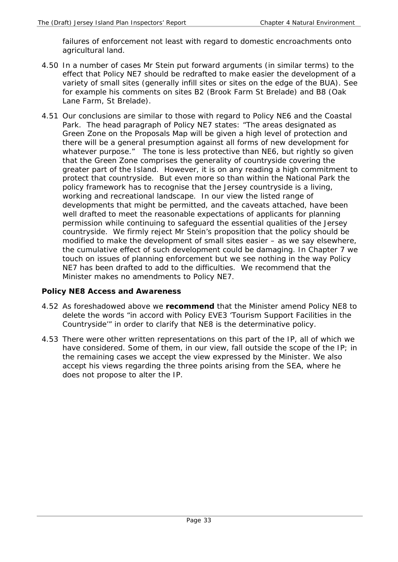failures of enforcement not least with regard to domestic encroachments onto agricultural land.

- 4.50 In a number of cases Mr Stein put forward arguments (in similar terms) to the effect that Policy NE7 should be redrafted to make easier the development of a variety of small sites (generally infill sites or sites on the edge of the BUA). See for example his comments on sites B2 (Brook Farm St Brelade) and B8 (Oak Lane Farm, St Brelade).
- 4.51 Our conclusions are similar to those with regard to Policy NE6 and the Coastal Park. The head paragraph of Policy NE7 states: "The areas designated as Green Zone on the Proposals Map will be given a high level of protection and there will be a general presumption against all forms of new development for whatever purpose." The tone is less protective than NE6, but rightly so given that the Green Zone comprises the generality of countryside covering the greater part of the Island. However, it is on any reading a high commitment to protect that countryside. But even more so than within the National Park the policy framework has to recognise that the Jersey countryside is a living, working and recreational landscape. In our view the listed range of developments that might be permitted, and the caveats attached, have been well drafted to meet the reasonable expectations of applicants for planning permission while continuing to safeguard the essential qualities of the Jersey countryside. We firmly reject Mr Stein's proposition that the policy should be modified to make the development of small sites easier – as we say elsewhere, the cumulative effect of such development could be damaging. In Chapter 7 we touch on issues of planning enforcement but we see nothing in the way Policy NE7 has been drafted to add to the difficulties. We recommend that the Minister makes no amendments to Policy NE7.

## **Policy NE8 Access and Awareness**

- 4.52 As foreshadowed above we **recommend** that the Minister amend Policy NE8 to delete the words "in accord with Policy EVE3 'Tourism Support Facilities in the Countryside'" in order to clarify that NE8 is the determinative policy.
- 4.53 There were other written representations on this part of the IP, all of which we have considered. Some of them, in our view, fall outside the scope of the IP; in the remaining cases we accept the view expressed by the Minister. We also accept his views regarding the three points arising from the SEA, where he does not propose to alter the IP.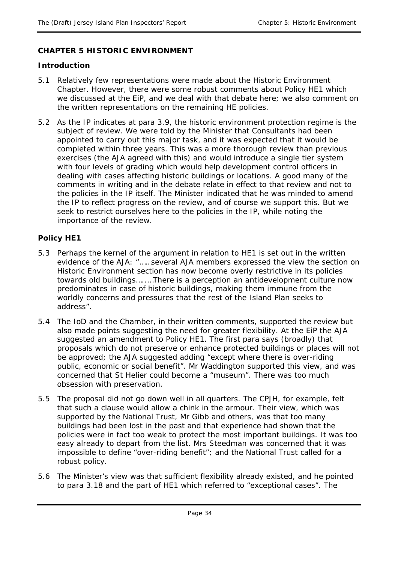## **CHAPTER 5 HISTORIC ENVIRONMENT**

#### **Introduction**

- 5.1 Relatively few representations were made about the Historic Environment Chapter. However, there were some robust comments about Policy HE1 which we discussed at the EiP, and we deal with that debate here; we also comment on the written representations on the remaining HE policies.
- 5.2 As the IP indicates at para 3.9, the historic environment protection regime is the subject of review. We were told by the Minister that Consultants had been appointed to carry out this major task, and it was expected that it would be completed within three years. This was a more thorough review than previous exercises (the AJA agreed with this) and would introduce a single tier system with four levels of grading which would help development control officers in dealing with cases affecting historic buildings or locations. A good many of the comments in writing and in the debate relate in effect to that review and not to the policies in the IP itself. The Minister indicated that he was minded to amend the IP to reflect progress on the review, and of course we support this. But we seek to restrict ourselves here to the policies in the IP, while noting the importance of the review.

## **Policy HE1**

- 5.3 Perhaps the kernel of the argument in relation to HE1 is set out in the written evidence of the AJA: "……several AJA members expressed the view the section on Historic Environment section has now become overly restrictive in its policies towards old buildings…..…There is a perception an antidevelopment culture now predominates in case of historic buildings, making them immune from the worldly concerns and pressures that the rest of the Island Plan seeks to address".
- 5.4 The IoD and the Chamber, in their written comments, supported the review but also made points suggesting the need for greater flexibility. At the EiP the AJA suggested an amendment to Policy HE1. The first para says (broadly) that proposals which do not preserve or enhance protected buildings or places will not be approved; the AJA suggested adding "except where there is over-riding public, economic or social benefit". Mr Waddington supported this view, and was concerned that St Helier could become a "museum". There was too much obsession with preservation.
- 5.5 The proposal did not go down well in all quarters. The CPJH, for example, felt that such a clause would allow a chink in the armour. Their view, which was supported by the National Trust, Mr Gibb and others, was that too many buildings had been lost in the past and that experience had shown that the policies were in fact too weak to protect the most important buildings. It was too easy already to depart from the list. Mrs Steedman was concerned that it was impossible to define "over-riding benefit"; and the National Trust called for a robust policy.
- 5.6 The Minister's view was that sufficient flexibility already existed, and he pointed to para 3.18 and the part of HE1 which referred to "exceptional cases". The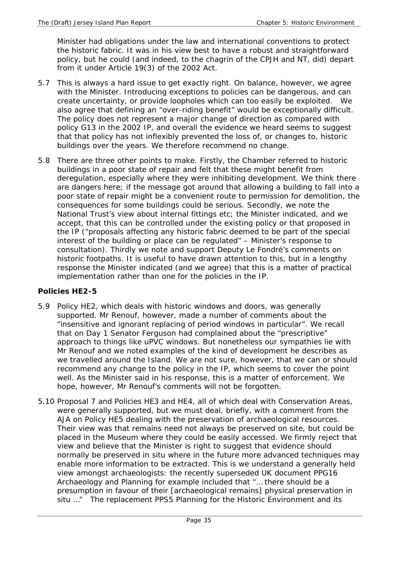Minister had obligations under the law and international conventions to protect the historic fabric. It was in his view best to have a robust and straightforward policy, but he could (and indeed, to the chagrin of the CPJH and NT, did) depart from it under Article 19(3) of the 2002 Act.

- 5.7 This is always a hard issue to get exactly right. On balance, however, we agree with the Minister. Introducing exceptions to policies can be dangerous, and can create uncertainty, or provide loopholes which can too easily be exploited. We also agree that defining an "over-riding benefit" would be exceptionally difficult. The policy does not represent a major change of direction as compared with policy G13 in the 2002 IP, and overall the evidence we heard seems to suggest that that policy has not inflexibly prevented the loss of, or changes to, historic buildings over the years. We therefore recommend no change.
- 5.8 There are three other points to make. Firstly, the Chamber referred to historic buildings in a poor state of repair and felt that these might benefit from deregulation, especially where they were inhibiting development. We think there are dangers here; if the message got around that allowing a building to fall into a poor state of repair might be a convenient route to permission for demolition, the consequences for some buildings could be serious. Secondly, we note the National Trust's view about internal fittings etc; the Minister indicated, and we accept, that this can be controlled under the existing policy or that proposed in the IP ("proposals affecting any historic fabric deemed to be part of the special interest of the building or place can be regulated" – Minister's response to consultation). Thirdly we note and support Deputy Le Fondré's comments on historic footpaths. It is useful to have drawn attention to this, but in a lengthy response the Minister indicated (and we agree) that this is a matter of practical implementation rather than one for the policies in the IP.

#### **Policies HE2-5**

- 5.9 Policy HE2, which deals with historic windows and doors, was generally supported. Mr Renouf, however, made a number of comments about the "insensitive and ignorant replacing of period windows in particular". We recall that on Day 1 Senator Ferguson had complained about the "prescriptive" approach to things like uPVC windows. But nonetheless our sympathies lie with Mr Renouf and we noted examples of the kind of development he describes as we travelled around the Island. We are not sure, however, that we can or should recommend any change to the policy in the IP, which seems to cover the point well. As the Minister said in his response, this is a matter of enforcement. We hope, however, Mr Renouf's comments will not be forgotten.
- 5.10 Proposal 7 and Policies HE3 and HE4, all of which deal with Conservation Areas, were generally supported, but we must deal, briefly, with a comment from the AJA on Policy HE5 dealing with the preservation of archaeological resources. Their view was that remains need not always be preserved on site, but could be placed in the Museum where they could be easily accessed. We firmly reject that view and believe that the Minister is right to suggest that evidence should normally be preserved in situ where in the future more advanced techniques may enable more information to be extracted. This is we understand a generally held view amongst archaeologists: the recently superseded UK document PPG16 Archaeology and Planning for example included that "… there should be a presumption in favour of their [archaeological remains] physical preservation in situ ..." The replacement PPS5 Planning for the Historic Environment and its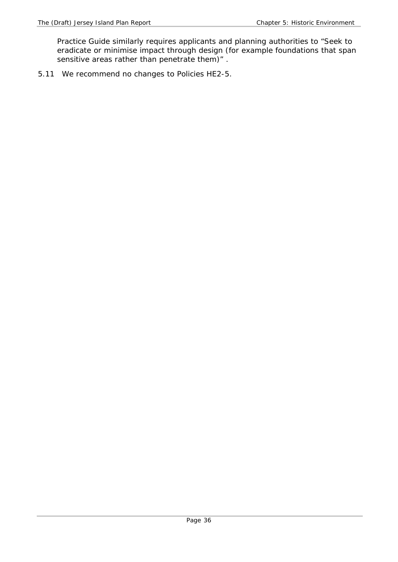Practice Guide similarly requires applicants and planning authorities to "Seek to eradicate or minimise impact through design (for example foundations that span sensitive areas rather than penetrate them)" .

5.11 We recommend no changes to Policies HE2-5.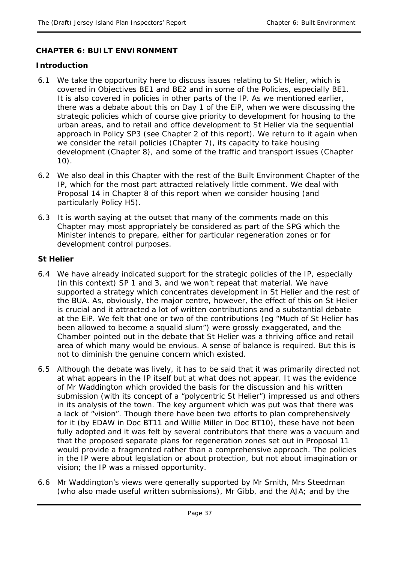### **CHAPTER 6: BUILT ENVIRONMENT**

#### **Introduction**

- 6.1 We take the opportunity here to discuss issues relating to St Helier, which is covered in Objectives BE1 and BE2 and in some of the Policies, especially BE1. It is also covered in policies in other parts of the IP. As we mentioned earlier, there was a debate about this on Day 1 of the EiP, when we were discussing the strategic policies which of course give priority to development for housing to the urban areas, and to retail and office development to St Helier via the sequential approach in Policy SP3 (see Chapter 2 of this report). We return to it again when we consider the retail policies (Chapter 7), its capacity to take housing development (Chapter 8), and some of the traffic and transport issues (Chapter 10).
- 6.2 We also deal in this Chapter with the rest of the Built Environment Chapter of the IP, which for the most part attracted relatively little comment. We deal with Proposal 14 in Chapter 8 of this report when we consider housing (and particularly Policy H5).
- 6.3 It is worth saying at the outset that many of the comments made on this Chapter may most appropriately be considered as part of the SPG which the Minister intends to prepare, either for particular regeneration zones or for development control purposes.

### **St Helier**

- 6.4 We have already indicated support for the strategic policies of the IP, especially (in this context) SP 1 and 3, and we won't repeat that material. We have supported a strategy which concentrates development in St Helier and the rest of the BUA. As, obviously, the major centre, however, the effect of this on St Helier is crucial and it attracted a lot of written contributions and a substantial debate at the EiP. We felt that one or two of the contributions (eg "Much of St Helier has been allowed to become a squalid slum") were grossly exaggerated, and the Chamber pointed out in the debate that St Helier was a thriving office and retail area of which many would be envious. A sense of balance is required. But this is not to diminish the genuine concern which existed.
- 6.5 Although the debate was lively, it has to be said that it was primarily directed not at what appears in the IP itself but at what does not appear. It was the evidence of Mr Waddington which provided the basis for the discussion and his written submission (with its concept of a "polycentric St Helier") impressed us and others in its analysis of the town. The key argument which was put was that there was a lack of "vision". Though there have been two efforts to plan comprehensively for it (by EDAW in Doc BT11 and Willie Miller in Doc BT10), these have not been fully adopted and it was felt by several contributors that there was a vacuum and that the proposed separate plans for regeneration zones set out in Proposal 11 would provide a fragmented rather than a comprehensive approach. The policies in the IP were about legislation or about protection, but not about imagination or vision; the IP was a missed opportunity.
- 6.6 Mr Waddington's views were generally supported by Mr Smith, Mrs Steedman (who also made useful written submissions), Mr Gibb, and the AJA; and by the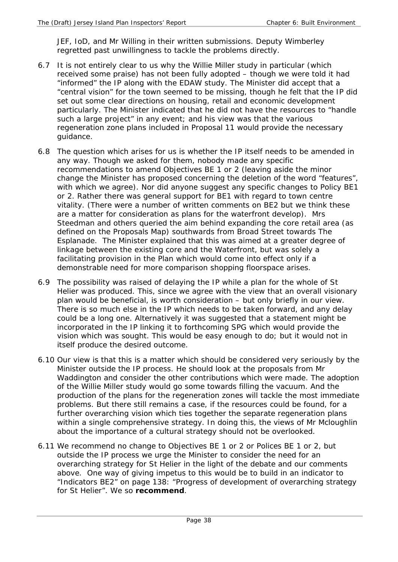JEF, IoD, and Mr Willing in their written submissions. Deputy Wimberley regretted past unwillingness to tackle the problems directly.

- 6.7 It is not entirely clear to us why the Willie Miller study in particular (which received some praise) has not been fully adopted – though we were told it had "informed" the IP along with the EDAW study. The Minister did accept that a "central vision" for the town seemed to be missing, though he felt that the IP did set out some clear directions on housing, retail and economic development particularly. The Minister indicated that he did not have the resources to "handle such a large project" in any event; and his view was that the various regeneration zone plans included in Proposal 11 would provide the necessary guidance.
- 6.8 The question which arises for us is whether the IP itself needs to be amended in any way. Though we asked for them, nobody made any specific recommendations to amend Objectives BE 1 or 2 (leaving aside the minor change the Minister has proposed concerning the deletion of the word "features", with which we agree). Nor did anyone suggest any specific changes to Policy BE1 or 2. Rather there was general support for BE1 with regard to town centre vitality. (There were a number of written comments on BE2 but we think these are a matter for consideration as plans for the waterfront develop). Mrs Steedman and others queried the aim behind expanding the core retail area (as defined on the Proposals Map) southwards from Broad Street towards The Esplanade. The Minister explained that this was aimed at a greater degree of linkage between the existing core and the Waterfront, but was solely a facilitating provision in the Plan which would come into effect only if a demonstrable need for more comparison shopping floorspace arises.
- 6.9 The possibility was raised of delaying the IP while a plan for the whole of St Helier was produced. This, since we agree with the view that an overall visionary plan would be beneficial, is worth consideration – but only briefly in our view. There is so much else in the IP which needs to be taken forward, and any delay could be a long one. Alternatively it was suggested that a statement might be incorporated in the IP linking it to forthcoming SPG which would provide the vision which was sought. This would be easy enough to do; but it would not in itself produce the desired outcome.
- 6.10 Our view is that this is a matter which should be considered very seriously by the Minister outside the IP process. He should look at the proposals from Mr Waddington and consider the other contributions which were made. The adoption of the Willie Miller study would go some towards filling the vacuum. And the production of the plans for the regeneration zones will tackle the most immediate problems. But there still remains a case, if the resources could be found, for a further overarching vision which ties together the separate regeneration plans within a single comprehensive strategy. In doing this, the views of Mr Mcloughlin about the importance of a cultural strategy should not be overlooked.
- 6.11 We recommend no change to Objectives BE 1 or 2 or Polices BE 1 or 2, but outside the IP process we urge the Minister to consider the need for an overarching strategy for St Helier in the light of the debate and our comments above. One way of giving impetus to this would be to build in an indicator to "Indicators BE2" on page 138: "Progress of development of overarching strategy for St Helier". We so **recommend**.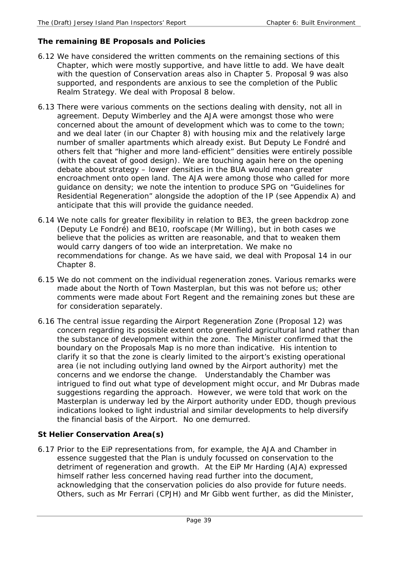## **The remaining BE Proposals and Policies**

- 6.12 We have considered the written comments on the remaining sections of this Chapter, which were mostly supportive, and have little to add. We have dealt with the question of Conservation areas also in Chapter 5. Proposal 9 was also supported, and respondents are anxious to see the completion of the Public Realm Strategy. We deal with Proposal 8 below.
- 6.13 There were various comments on the sections dealing with density, not all in agreement. Deputy Wimberley and the AJA were amongst those who were concerned about the amount of development which was to come to the town; and we deal later (in our Chapter 8) with housing mix and the relatively large number of smaller apartments which already exist. But Deputy Le Fondré and others felt that "higher and more land-efficient" densities were entirely possible (with the caveat of good design). We are touching again here on the opening debate about strategy – lower densities in the BUA would mean greater encroachment onto open land. The AJA were among those who called for more guidance on density; we note the intention to produce SPG on "Guidelines for Residential Regeneration" alongside the adoption of the IP (see Appendix A) and anticipate that this will provide the guidance needed.
- 6.14 We note calls for greater flexibility in relation to BE3, the green backdrop zone (Deputy Le Fondré) and BE10, roofscape (Mr Willing), but in both cases we believe that the policies as written are reasonable, and that to weaken them would carry dangers of too wide an interpretation. We make no recommendations for change. As we have said, we deal with Proposal 14 in our Chapter 8.
- 6.15 We do not comment on the individual regeneration zones. Various remarks were made about the North of Town Masterplan, but this was not before us; other comments were made about Fort Regent and the remaining zones but these are for consideration separately.
- 6.16 The central issue regarding the Airport Regeneration Zone (Proposal 12) was concern regarding its possible extent onto greenfield agricultural land rather than the substance of development within the zone. The Minister confirmed that the boundary on the Proposals Map is no more than indicative. His intention to clarify it so that the zone is clearly limited to the airport's existing operational area (ie not including outlying land owned by the Airport authority) met the concerns and we endorse the change. Understandably the Chamber was intrigued to find out what type of development might occur, and Mr Dubras made suggestions regarding the approach. However, we were told that work on the Masterplan is underway led by the Airport authority under EDD, though previous indications looked to light industrial and similar developments to help diversify the financial basis of the Airport. No one demurred.

## **St Helier Conservation Area(s)**

6.17 Prior to the EiP representations from, for example, the AJA and Chamber in essence suggested that the Plan is unduly focussed on conservation to the detriment of regeneration and growth. At the EiP Mr Harding (AJA) expressed himself rather less concerned having read further into the document, acknowledging that the conservation policies do also provide for future needs. Others, such as Mr Ferrari (CPJH) and Mr Gibb went further, as did the Minister,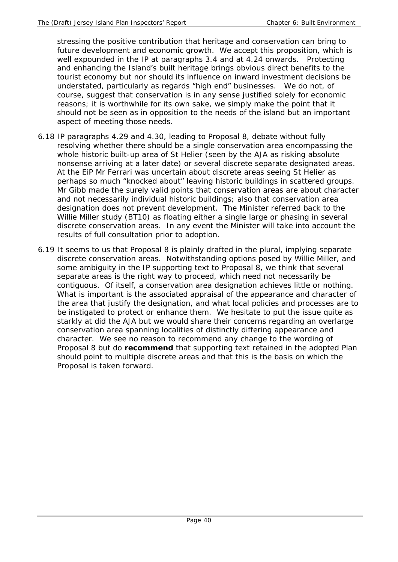stressing the positive contribution that heritage and conservation can bring to future development and economic growth. We accept this proposition, which is well expounded in the IP at paragraphs 3.4 and at 4.24 onwards. Protecting and enhancing the Island's built heritage brings obvious direct benefits to the tourist economy but nor should its influence on inward investment decisions be understated, particularly as regards "high end" businesses. We do not, of course, suggest that conservation is in any sense justified solely for economic reasons; it is worthwhile for its own sake, we simply make the point that it should not be seen as in opposition to the needs of the island but an important aspect of meeting those needs.

- 6.18 IP paragraphs 4.29 and 4.30, leading to Proposal 8, debate without fully resolving whether there should be a single conservation area encompassing the whole historic built-up area of St Helier (seen by the AJA as risking absolute nonsense arriving at a later date) or several discrete separate designated areas. At the EiP Mr Ferrari was uncertain about discrete areas seeing St Helier as perhaps so much "knocked about" leaving historic buildings in scattered groups. Mr Gibb made the surely valid points that conservation areas are about character and not necessarily individual historic buildings; also that conservation area designation does not prevent development. The Minister referred back to the Willie Miller study (BT10) as floating either a single large or phasing in several discrete conservation areas. In any event the Minister will take into account the results of full consultation prior to adoption.
- 6.19 It seems to us that Proposal 8 is plainly drafted in the plural, implying separate discrete conservation areas. Notwithstanding options posed by Willie Miller, and some ambiguity in the IP supporting text to Proposal 8, we think that several separate areas is the right way to proceed, which need not necessarily be contiguous. Of itself, a conservation area designation achieves little or nothing. What is important is the associated appraisal of the appearance and character of the area that justify the designation, and what local policies and processes are to be instigated to protect or enhance them. We hesitate to put the issue quite as starkly at did the AJA but we would share their concerns regarding an overlarge conservation area spanning localities of distinctly differing appearance and character. We see no reason to recommend any change to the wording of Proposal 8 but do **recommend** that supporting text retained in the adopted Plan should point to multiple discrete areas and that this is the basis on which the Proposal is taken forward.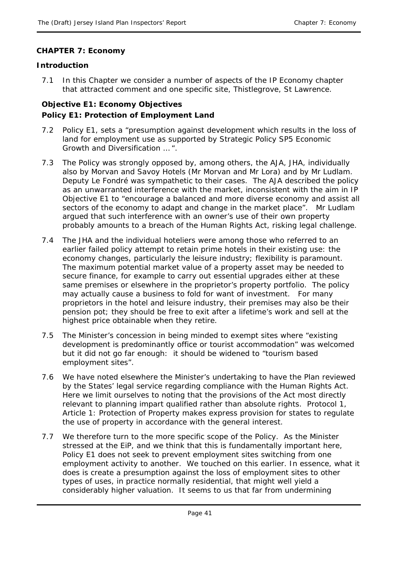## **CHAPTER 7: Economy**

### **Introduction**

7.1 In this Chapter we consider a number of aspects of the IP Economy chapter that attracted comment and one specific site, Thistlegrove, St Lawrence.

## **Objective E1: Economy Objectives Policy E1: Protection of Employment Land**

- 7.2 Policy E1, sets a "presumption against development which results in the loss of land for employment use as supported by Strategic Policy SP5 Economic Growth and Diversification … ".
- 7.3 The Policy was strongly opposed by, among others, the AJA, JHA, individually also by Morvan and Savoy Hotels (Mr Morvan and Mr Lora) and by Mr Ludlam. Deputy Le Fondré was sympathetic to their cases. The AJA described the policy as an unwarranted interference with the market, inconsistent with the aim in IP Objective E1 to "encourage a balanced and more diverse economy and assist all sectors of the economy to adapt and change in the market place". Mr Ludlam argued that such interference with an owner's use of their own property probably amounts to a breach of the Human Rights Act, risking legal challenge.
- 7.4 The JHA and the individual hoteliers were among those who referred to an earlier failed policy attempt to retain prime hotels in their existing use: the economy changes, particularly the leisure industry; flexibility is paramount. The maximum potential market value of a property asset may be needed to secure finance, for example to carry out essential upgrades either at these same premises or elsewhere in the proprietor's property portfolio. The policy may actually cause a business to fold for want of investment. For many proprietors in the hotel and leisure industry, their premises may also be their pension pot; they should be free to exit after a lifetime's work and sell at the highest price obtainable when they retire.
- 7.5 The Minister's concession in being minded to exempt sites where "existing development is predominantly office or tourist accommodation" was welcomed but it did not go far enough: it should be widened to "tourism based employment sites".
- 7.6 We have noted elsewhere the Minister's undertaking to have the Plan reviewed by the States' legal service regarding compliance with the Human Rights Act. Here we limit ourselves to noting that the provisions of the Act most directly relevant to planning impart qualified rather than absolute rights. Protocol 1, Article 1: Protection of Property makes express provision for states to regulate the use of property in accordance with the general interest.
- 7.7 We therefore turn to the more specific scope of the Policy. As the Minister stressed at the EiP, and we think that this is fundamentally important here, Policy E1 does not seek to prevent employment sites switching from one employment activity to another. We touched on this earlier. In essence, what it does is create a presumption against the loss of employment sites to other types of uses, in practice normally residential, that might well yield a considerably higher valuation. It seems to us that far from undermining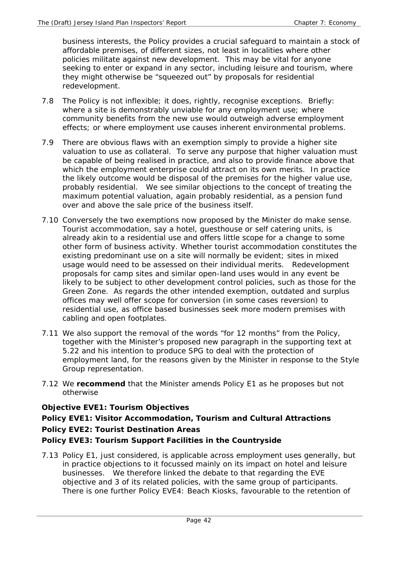business interests, the Policy provides a crucial safeguard to maintain a stock of affordable premises, of different sizes, not least in localities where other policies militate against new development. This may be vital for anyone seeking to enter or expand in any sector, including leisure and tourism, where they might otherwise be "squeezed out" by proposals for residential redevelopment.

- 7.8 The Policy is not inflexible; it does, rightly, recognise exceptions. Briefly: where a site is demonstrably unviable for any employment use; where community benefits from the new use would outweigh adverse employment effects; or where employment use causes inherent environmental problems.
- 7.9 There are obvious flaws with an exemption simply to provide a higher site valuation to use as collateral. To serve any purpose that higher valuation must be capable of being realised in practice, and also to provide finance above that which the employment enterprise could attract on its own merits. In practice the likely outcome would be disposal of the premises for the higher value use, probably residential. We see similar objections to the concept of treating the maximum potential valuation, again probably residential, as a pension fund over and above the sale price of the business itself.
- 7.10 Conversely the two exemptions now proposed by the Minister do make sense. Tourist accommodation, say a hotel, guesthouse or self catering units, is already akin to a residential use and offers little scope for a change to some other form of business activity. Whether tourist accommodation constitutes the existing predominant use on a site will normally be evident; sites in mixed usage would need to be assessed on their individual merits. Redevelopment proposals for camp sites and similar open-land uses would in any event be likely to be subject to other development control policies, such as those for the Green Zone. As regards the other intended exemption, outdated and surplus offices may well offer scope for conversion (in some cases reversion) to residential use, as office based businesses seek more modern premises with cabling and open footplates.
- 7.11 We also support the removal of the words "for 12 months" from the Policy, together with the Minister's proposed new paragraph in the supporting text at 5.22 and his intention to produce SPG to deal with the protection of employment land, for the reasons given by the Minister in response to the Style Group representation.
- 7.12 We **recommend** that the Minister amends Policy E1 as he proposes but not otherwise

## **Objective EVE1: Tourism Objectives**

# **Policy EVE1: Visitor Accommodation, Tourism and Cultural Attractions Policy EVE2: Tourist Destination Areas**

## **Policy EVE3: Tourism Support Facilities in the Countryside**

7.13 Policy E1, just considered, is applicable across employment uses generally, but in practice objections to it focussed mainly on its impact on hotel and leisure businesses. We therefore linked the debate to that regarding the EVE objective and 3 of its related policies, with the same group of participants. There is one further Policy EVE4: Beach Kiosks, favourable to the retention of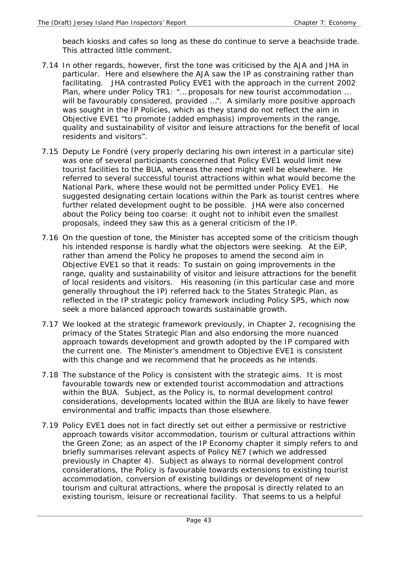beach kiosks and cafes so long as these do continue to serve a beachside trade. This attracted little comment.

- 7.14 In other regards, however, first the tone was criticised by the AJA and JHA in particular. Here and elsewhere the AJA saw the IP as constraining rather than facilitating. JHA contrasted Policy EVE1 with the approach in the current 2002 Plan, where under Policy TR1: "… proposals for new tourist accommodation … will be favourably considered, provided ...". A similarly more positive approach was sought in the IP Policies, which as they stand do not reflect the aim in Objective EVE1 "to *promote* (added emphasis) improvements in the range, quality and sustainability of visitor and leisure attractions for the benefit of local residents and visitors".
- 7.15 Deputy Le Fondré (very properly declaring his own interest in a particular site) was one of several participants concerned that Policy EVE1 would limit new tourist facilities to the BUA, whereas the need might well be elsewhere. He referred to several successful tourist attractions within what would become the National Park, where these would not be permitted under Policy EVE1. He suggested designating certain locations within the Park as tourist centres where further related development ought to be possible. JHA were also concerned about the Policy being too coarse: it ought not to inhibit even the smallest proposals, indeed they saw this as a general criticism of the IP.
- 7.16 On the question of tone, the Minister has accepted some of the criticism though his intended response is hardly what the objectors were seeking. At the EiP, rather than amend the Policy he proposes to amend the second aim in Objective EVE1 so that it reads: To sustain on going improvements in the range, quality and sustainability of visitor and leisure attractions for the benefit of local residents and visitors. His reasoning (in this particular case and more generally throughout the IP) referred back to the States Strategic Plan, as reflected in the IP strategic policy framework including Policy SP5, which now seek a more balanced approach towards sustainable growth.
- 7.17 We looked at the strategic framework previously, in Chapter 2, recognising the primacy of the States Strategic Plan and also endorsing the more nuanced approach towards development and growth adopted by the IP compared with the current one. The Minister's amendment to Objective EVE1 is consistent with this change and we recommend that he proceeds as he intends.
- 7.18 The substance of the Policy is consistent with the strategic aims. It is most favourable towards new or extended tourist accommodation and attractions within the BUA. Subject, as the Policy is, to normal development control considerations, developments located within the BUA are likely to have fewer environmental and traffic impacts than those elsewhere.
- 7.19 Policy EVE1 does not in fact directly set out either a permissive or restrictive approach towards visitor accommodation, tourism or cultural attractions within the Green Zone; as an aspect of the IP Economy chapter it simply refers to and briefly summarises relevant aspects of Policy NE7 (which we addressed previously in Chapter 4). Subject as always to normal development control considerations, the Policy is favourable towards extensions to existing tourist accommodation, conversion of existing buildings or development of new tourism and cultural attractions, where the proposal is directly related to an existing tourism, leisure or recreational facility. That seems to us a helpful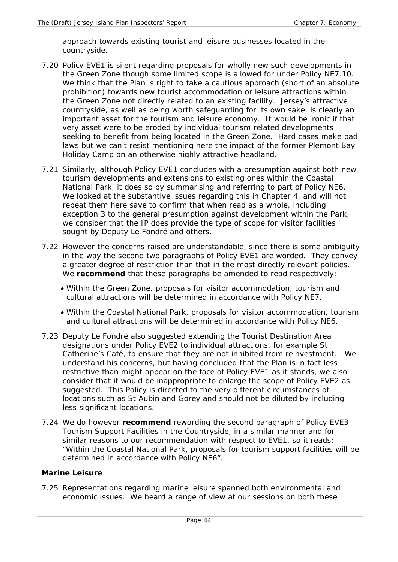approach towards existing tourist and leisure businesses located in the countryside.

- 7.20 Policy EVE1 is silent regarding proposals for wholly new such developments in the Green Zone though some limited scope is allowed for under Policy NE7.10. We think that the Plan is right to take a cautious approach (short of an absolute prohibition) towards new tourist accommodation or leisure attractions within the Green Zone not directly related to an existing facility. Jersey's attractive countryside, as well as being worth safeguarding for its own sake, is clearly an important asset for the tourism and leisure economy. It would be ironic if that very asset were to be eroded by individual tourism related developments seeking to benefit from being located in the Green Zone. Hard cases make bad laws but we can't resist mentioning here the impact of the former Plemont Bay Holiday Camp on an otherwise highly attractive headland.
- 7.21 Similarly, although Policy EVE1 concludes with a presumption against both new tourism developments and extensions to existing ones within the Coastal National Park, it does so by summarising and referring to part of Policy NE6. We looked at the substantive issues regarding this in Chapter 4, and will not repeat them here save to confirm that when read as a whole, including exception 3 to the general presumption against development within the Park, we consider that the IP does provide the type of scope for visitor facilities sought by Deputy Le Fondré and others.
- 7.22 However the concerns raised are understandable, since there is some ambiguity in the way the second two paragraphs of Policy EVE1 are worded. They convey a greater degree of restriction than that in the most directly relevant policies. We **recommend** that these paragraphs be amended to read respectively:
	- Within the Green Zone, proposals for visitor accommodation, tourism and cultural attractions will be determined in accordance with Policy NE7.
	- Within the Coastal National Park, proposals for visitor accommodation, tourism and cultural attractions will be determined in accordance with Policy NE6.
- 7.23 Deputy Le Fondré also suggested extending the Tourist Destination Area designations under Policy EVE2 to individual attractions, for example St Catherine's Café, to ensure that they are not inhibited from reinvestment. We understand his concerns, but having concluded that the Plan is in fact less restrictive than might appear on the face of Policy EVE1 as it stands, we also consider that it would be inappropriate to enlarge the scope of Policy EVE2 as suggested. This Policy is directed to the very different circumstances of locations such as St Aubin and Gorey and should not be diluted by including less significant locations.
- 7.24 We do however **recommend** rewording the second paragraph of Policy EVE3 Tourism Support Facilities in the Countryside, in a similar manner and for similar reasons to our recommendation with respect to EVE1, so it reads: "Within the Coastal National Park, proposals for tourism support facilities will be determined in accordance with Policy NE6".

## **Marine Leisure**

7.25 Representations regarding marine leisure spanned both environmental and economic issues. We heard a range of view at our sessions on both these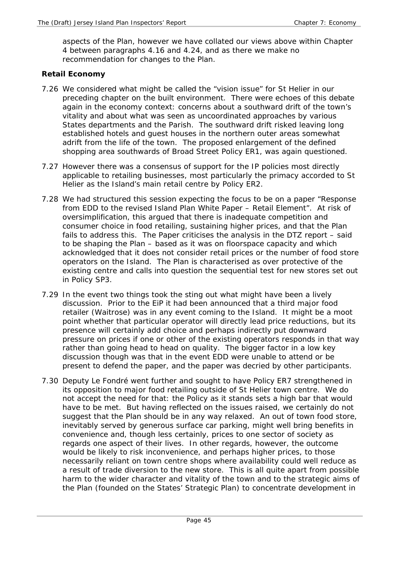aspects of the Plan, however we have collated our views above within Chapter 4 between paragraphs 4.16 and 4.24, and as there we make no recommendation for changes to the Plan.

### **Retail Economy**

- 7.26 We considered what might be called the "vision issue" for St Helier in our preceding chapter on the built environment. There were echoes of this debate again in the economy context: concerns about a southward drift of the town's vitality and about what was seen as uncoordinated approaches by various States departments and the Parish. The southward drift risked leaving long established hotels and guest houses in the northern outer areas somewhat adrift from the life of the town. The proposed enlargement of the defined shopping area southwards of Broad Street Policy ER1, was again questioned.
- 7.27 However there was a consensus of support for the IP policies most directly applicable to retailing businesses, most particularly the primacy accorded to St Helier as the Island's main retail centre by Policy ER2.
- 7.28 We had structured this session expecting the focus to be on a paper "Response from EDD to the revised Island Plan White Paper – Retail Element". At risk of oversimplification, this argued that there is inadequate competition and consumer choice in food retailing, sustaining higher prices, and that the Plan fails to address this. The Paper criticises the analysis in the DTZ report – said to be shaping the Plan – based as it was on floorspace capacity and which acknowledged that it does not consider retail prices or the number of food store operators on the Island. The Plan is characterised as over protective of the existing centre and calls into question the sequential test for new stores set out in Policy SP3.
- 7.29 In the event two things took the sting out what might have been a lively discussion. Prior to the EiP it had been announced that a third major food retailer (Waitrose) was in any event coming to the Island. It might be a moot point whether that particular operator will directly lead price reductions, but its presence will certainly add choice and perhaps indirectly put downward pressure on prices if one or other of the existing operators responds in that way rather than going head to head on quality. The bigger factor in a low key discussion though was that in the event EDD were unable to attend or be present to defend the paper, and the paper was decried by other participants.
- 7.30 Deputy Le Fondré went further and sought to have Policy ER7 strengthened in its opposition to major food retailing outside of St Helier town centre. We do not accept the need for that: the Policy as it stands sets a high bar that would have to be met. But having reflected on the issues raised, we certainly do not suggest that the Plan should be in any way relaxed. An out of town food store, inevitably served by generous surface car parking, might well bring benefits in convenience and, though less certainly, prices to one sector of society as regards one aspect of their lives. In other regards, however, the outcome would be likely to risk inconvenience, and perhaps higher prices, to those necessarily reliant on town centre shops where availability could well reduce as a result of trade diversion to the new store. This is all quite apart from possible harm to the wider character and vitality of the town and to the strategic aims of the Plan (founded on the States' Strategic Plan) to concentrate development in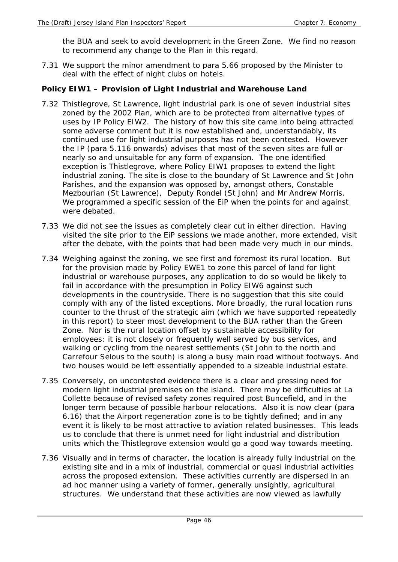the BUA and seek to avoid development in the Green Zone. We find no reason to recommend any change to the Plan in this regard.

7.31 We support the minor amendment to para 5.66 proposed by the Minister to deal with the effect of night clubs on hotels.

### **Policy EIW1 – Provision of Light Industrial and Warehouse Land**

- 7.32 Thistlegrove, St Lawrence, light industrial park is one of seven industrial sites zoned by the 2002 Plan, which are to be protected from alternative types of uses by IP Policy EIW2. The history of how this site came into being attracted some adverse comment but it is now established and, understandably, its continued use for light industrial purposes has not been contested. However the IP (para 5.116 onwards) advises that most of the seven sites are full or nearly so and unsuitable for any form of expansion. The one identified exception is Thistlegrove, where Policy EIW1 proposes to extend the light industrial zoning. The site is close to the boundary of St Lawrence and St John Parishes, and the expansion was opposed by, amongst others, Constable Mezbourian (St Lawrence), Deputy Rondel (St John) and Mr Andrew Morris. We programmed a specific session of the EiP when the points for and against were debated.
- 7.33 We did not see the issues as completely clear cut in either direction. Having visited the site prior to the EiP sessions we made another, more extended, visit after the debate, with the points that had been made very much in our minds.
- 7.34 Weighing against the zoning, we see first and foremost its rural location. But for the provision made by Policy EWE1 to zone this parcel of land for light industrial or warehouse purposes, any application to do so would be likely to fail in accordance with the presumption in Policy EIW6 against such developments in the countryside. There is no suggestion that this site could comply with any of the listed exceptions. More broadly, the rural location runs counter to the thrust of the strategic aim (which we have supported repeatedly in this report) to steer most development to the BUA rather than the Green Zone. Nor is the rural location offset by sustainable accessibility for employees: it is not closely or frequently well served by bus services, and walking or cycling from the nearest settlements (St John to the north and Carrefour Selous to the south) is along a busy main road without footways. And two houses would be left essentially appended to a sizeable industrial estate.
- 7.35 Conversely, on uncontested evidence there is a clear and pressing need for modern light industrial premises on the island. There may be difficulties at La Collette because of revised safety zones required post Buncefield, and in the longer term because of possible harbour relocations. Also it is now clear (para 6.16) that the Airport regeneration zone is to be tightly defined; and in any event it is likely to be most attractive to aviation related businesses. This leads us to conclude that there is unmet need for light industrial and distribution units which the Thistlegrove extension would go a good way towards meeting.
- 7.36 Visually and in terms of character, the location is already fully industrial on the existing site and in a mix of industrial, commercial or quasi industrial activities across the proposed extension. These activities currently are dispersed in an ad hoc manner using a variety of former, generally unsightly, agricultural structures. We understand that these activities are now viewed as lawfully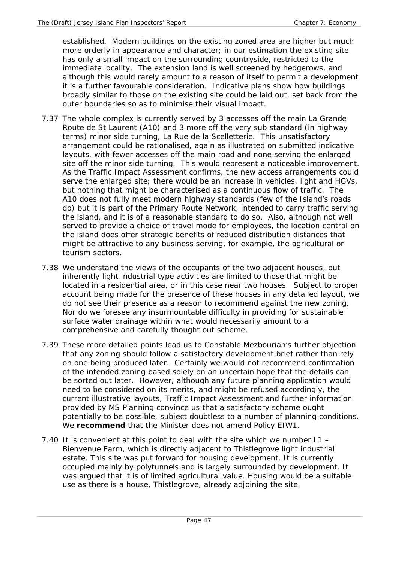established. Modern buildings on the existing zoned area are higher but much more orderly in appearance and character; in our estimation the existing site has only a small impact on the surrounding countryside, restricted to the immediate locality. The extension land is well screened by hedgerows, and although this would rarely amount to a reason of itself to permit a development it is a further favourable consideration. Indicative plans show how buildings broadly similar to those on the existing site could be laid out, set back from the outer boundaries so as to minimise their visual impact.

- 7.37 The whole complex is currently served by 3 accesses off the main La Grande Route de St Laurent (A10) and 3 more off the very sub standard (in highway terms) minor side turning, La Rue de la Scelletterie. This unsatisfactory arrangement could be rationalised, again as illustrated on submitted indicative layouts, with fewer accesses off the main road and none serving the enlarged site off the minor side turning. This would represent a noticeable improvement. As the Traffic Impact Assessment confirms, the new access arrangements could serve the enlarged site; there would be an increase in vehicles, light and HGVs, but nothing that might be characterised as a continuous flow of traffic. The A10 does not fully meet modern highway standards (few of the Island's roads do) but it is part of the Primary Route Network, intended to carry traffic serving the island, and it is of a reasonable standard to do so. Also, although not well served to provide a choice of travel mode for employees, the location central on the island does offer strategic benefits of reduced distribution distances that might be attractive to any business serving, for example, the agricultural or tourism sectors.
- 7.38 We understand the views of the occupants of the two adjacent houses, but inherently light industrial type activities are limited to those that might be located in a residential area, or in this case near two houses. Subject to proper account being made for the presence of these houses in any detailed layout, we do not see their presence as a reason to recommend against the new zoning. Nor do we foresee any insurmountable difficulty in providing for sustainable surface water drainage within what would necessarily amount to a comprehensive and carefully thought out scheme.
- 7.39 These more detailed points lead us to Constable Mezbourian's further objection that any zoning should follow a satisfactory development brief rather than rely on one being produced later. Certainly we would not recommend confirmation of the intended zoning based solely on an uncertain hope that the details can be sorted out later. However, although any future planning application would need to be considered on its merits, and might be refused accordingly, the current illustrative layouts, Traffic Impact Assessment and further information provided by MS Planning convince us that a satisfactory scheme ought potentially to be possible, subject doubtless to a number of planning conditions. We **recommend** that the Minister does not amend Policy EIW1.
- 7.40 It is convenient at this point to deal with the site which we number L1 Bienvenue Farm, which is directly adjacent to Thistlegrove light industrial estate. This site was put forward for housing development. It is currently occupied mainly by polytunnels and is largely surrounded by development. It was argued that it is of limited agricultural value. Housing would be a suitable use as there is a house, Thistlegrove, already adjoining the site.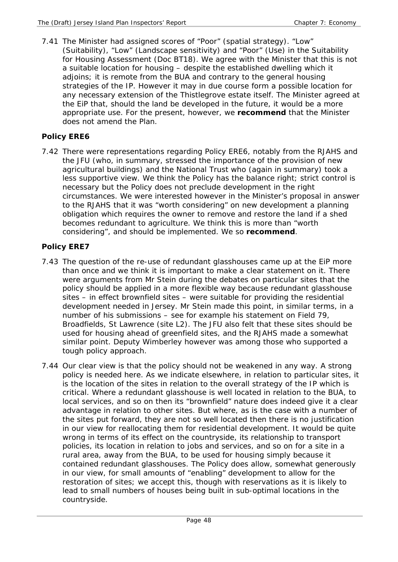7.41 The Minister had assigned scores of "Poor" (spatial strategy). "Low" (Suitability), "Low" (Landscape sensitivity) and "Poor" (Use) in the Suitability for Housing Assessment (Doc BT18). We agree with the Minister that this is not a suitable location for housing – despite the established dwelling which it adjoins; it is remote from the BUA and contrary to the general housing strategies of the IP. However it may in due course form a possible location for any necessary extension of the Thistlegrove estate itself. The Minister agreed at the EiP that, should the land be developed in the future, it would be a more appropriate use. For the present, however, we **recommend** that the Minister does not amend the Plan.

### **Policy ERE6**

7.42 There were representations regarding Policy ERE6, notably from the RJAHS and the JFU (who, in summary, stressed the importance of the provision of new agricultural buildings) and the National Trust who (again in summary) took a less supportive view. We think the Policy has the balance right; strict control is necessary but the Policy does not preclude development in the right circumstances. We were interested however in the Minister's proposal in answer to the RJAHS that it was "worth considering" on new development a planning obligation which requires the owner to remove and restore the land if a shed becomes redundant to agriculture. We think this is more than "worth considering", and should be implemented. We so **recommend**.

## **Policy ERE7**

- 7.43 The question of the re-use of redundant glasshouses came up at the EiP more than once and we think it is important to make a clear statement on it. There were arguments from Mr Stein during the debates on particular sites that the policy should be applied in a more flexible way because redundant glasshouse sites – in effect brownfield sites – were suitable for providing the residential development needed in Jersey. Mr Stein made this point, in similar terms, in a number of his submissions – see for example his statement on Field 79, Broadfields, St Lawrence (site L2). The JFU also felt that these sites should be used for housing ahead of greenfield sites, and the RJAHS made a somewhat similar point. Deputy Wimberley however was among those who supported a tough policy approach.
- 7.44 Our clear view is that the policy should not be weakened in any way. A strong policy is needed here. As we indicate elsewhere, in relation to particular sites, it is the location of the sites in relation to the overall strategy of the IP which is critical. Where a redundant glasshouse is well located in relation to the BUA, to local services, and so on then its "brownfield" nature does indeed give it a clear advantage in relation to other sites. But where, as is the case with a number of the sites put forward, they are not so well located then there is no justification in our view for reallocating them for residential development. It would be quite wrong in terms of its effect on the countryside, its relationship to transport policies, its location in relation to jobs and services, and so on for a site in a rural area, away from the BUA, to be used for housing simply because it contained redundant glasshouses. The Policy does allow, somewhat generously in our view, for small amounts of "enabling" development to allow for the restoration of sites; we accept this, though with reservations as it is likely to lead to small numbers of houses being built in sub-optimal locations in the countryside.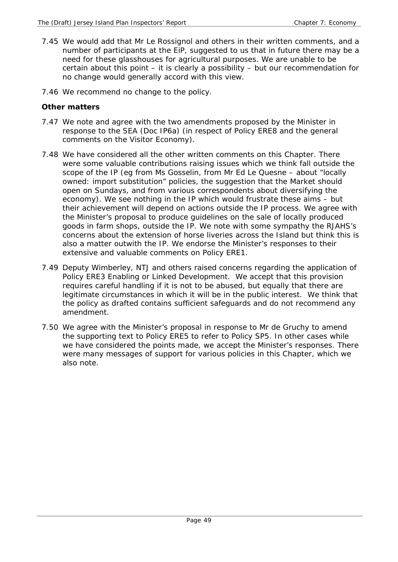- 7.45 We would add that Mr Le Rossignol and others in their written comments, and a number of participants at the EiP, suggested to us that in future there may be a need for these glasshouses for agricultural purposes. We are unable to be certain about this point – it is clearly a possibility – but our recommendation for no change would generally accord with this view.
- 7.46 We recommend no change to the policy.

## **Other matters**

- 7.47 We note and agree with the two amendments proposed by the Minister in response to the SEA (Doc IP6a) (in respect of Policy ERE8 and the general comments on the Visitor Economy).
- 7.48 We have considered all the other written comments on this Chapter. There were some valuable contributions raising issues which we think fall outside the scope of the IP (eg from Ms Gosselin, from Mr Ed Le Quesne – about "locally owned: import substitution" policies, the suggestion that the Market should open on Sundays, and from various correspondents about diversifying the economy). We see nothing in the IP which would frustrate these aims – but their achievement will depend on actions outside the IP process. We agree with the Minister's proposal to produce guidelines on the sale of locally produced goods in farm shops, outside the IP. We note with some sympathy the RJAHS's concerns about the extension of horse liveries across the Island but think this is also a matter outwith the IP. We endorse the Minister's responses to their extensive and valuable comments on Policy ERE1.
- 7.49 Deputy Wimberley, NTJ and others raised concerns regarding the application of Policy ERE3 Enabling or Linked Development. We accept that this provision requires careful handling if it is not to be abused, but equally that there are legitimate circumstances in which it will be in the public interest. We think that the policy as drafted contains sufficient safeguards and do not recommend any amendment.
- 7.50 We agree with the Minister's proposal in response to Mr de Gruchy to amend the supporting text to Policy ERE5 to refer to Policy SP5. In other cases while we have considered the points made, we accept the Minister's responses. There were many messages of support for various policies in this Chapter, which we also note.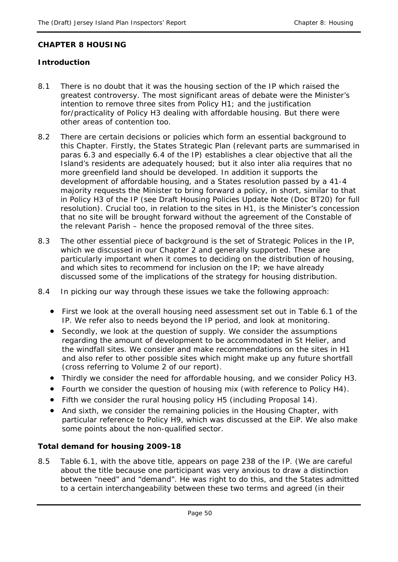#### **CHAPTER 8 HOUSING**

## **Introduction**

- 8.1 There is no doubt that it was the housing section of the IP which raised the greatest controversy. The most significant areas of debate were the Minister's intention to remove three sites from Policy H1; and the justification for/practicality of Policy H3 dealing with affordable housing. But there were other areas of contention too.
- 8.2 There are certain decisions or policies which form an essential background to this Chapter. Firstly, the States Strategic Plan (relevant parts are summarised in paras 6.3 and especially 6.4 of the IP) establishes a clear objective that all the Island's residents are adequately housed; but it also inter alia requires that no more greenfield land should be developed. In addition it supports the development of affordable housing, and a States resolution passed by a 41-4 majority requests the Minister to bring forward a policy, in short, similar to that in Policy H3 of the IP (see Draft Housing Policies Update Note (Doc BT20) for full resolution). Crucial too, in relation to the sites in H1, is the Minister's concession that no site will be brought forward without the agreement of the Constable of the relevant Parish – hence the proposed removal of the three sites.
- 8.3 The other essential piece of background is the set of Strategic Polices in the IP, which we discussed in our Chapter 2 and generally supported. These are particularly important when it comes to deciding on the distribution of housing, and which sites to recommend for inclusion on the IP; we have already discussed some of the implications of the strategy for housing distribution.
- 8.4 In picking our way through these issues we take the following approach:
	- First we look at the overall housing need assessment set out in Table 6.1 of the IP. We refer also to needs beyond the IP period, and look at monitoring.
	- Secondly, we look at the question of supply. We consider the assumptions regarding the amount of development to be accommodated in St Helier, and the windfall sites. We consider and make recommendations on the sites in H1 and also refer to other possible sites which might make up any future shortfall (cross referring to Volume 2 of our report).
	- Thirdly we consider the need for affordable housing, and we consider Policy H3.
	- Fourth we consider the question of housing mix (with reference to Policy H4).
	- Fifth we consider the rural housing policy H5 (including Proposal 14).
	- And sixth, we consider the remaining policies in the Housing Chapter, with particular reference to Policy H9, which was discussed at the EiP. We also make some points about the non-qualified sector.

## **Total demand for housing 2009-18**

8.5 Table 6.1, with the above title, appears on page 238 of the IP. (We are careful about the title because one participant was very anxious to draw a distinction between "need" and "demand". He was right to do this, and the States admitted to a certain interchangeability between these two terms and agreed (in their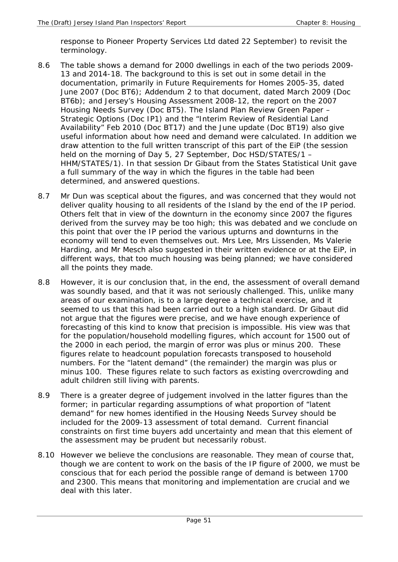response to Pioneer Property Services Ltd dated 22 September) to revisit the terminology.

- 8.6 The table shows a demand for 2000 dwellings in each of the two periods 2009- 13 and 2014-18. The background to this is set out in some detail in the documentation, primarily in Future Requirements for Homes 2005-35, dated June 2007 (Doc BT6); Addendum 2 to that document, dated March 2009 (Doc BT6b); and Jersey's Housing Assessment 2008-12, the report on the 2007 Housing Needs Survey (Doc BT5). The Island Plan Review Green Paper – Strategic Options (Doc IP1) and the "Interim Review of Residential Land Availability" Feb 2010 (Doc BT17) and the June update (Doc BT19) also give useful information about how need and demand were calculated. In addition we draw attention to the full written transcript of this part of the EiP (the session held on the morning of Day 5, 27 September, Doc HSD/STATES/1 – HHM/STATES/1). In that session Dr Gibaut from the States Statistical Unit gave a full summary of the way in which the figures in the table had been determined, and answered questions.
- 8.7 Mr Dun was sceptical about the figures, and was concerned that they would not deliver quality housing to all residents of the Island by the end of the IP period. Others felt that in view of the downturn in the economy since 2007 the figures derived from the survey may be too high; this was debated and we conclude on this point that over the IP period the various upturns and downturns in the economy will tend to even themselves out. Mrs Lee, Mrs Lissenden, Ms Valerie Harding, and Mr Mesch also suggested in their written evidence or at the EiP, in different ways, that too much housing was being planned; we have considered all the points they made.
- 8.8 However, it is our conclusion that, in the end, the assessment of *overall* demand was soundly based, and that it was not seriously challenged. This, unlike many areas of our examination, is to a large degree a technical exercise, and it seemed to us that this had been carried out to a high standard. Dr Gibaut did not argue that the figures were precise, and we have enough experience of forecasting of this kind to know that precision is impossible. His view was that for the population/household modelling figures, which account for 1500 out of the 2000 in each period, the margin of error was plus or minus 200. These figures relate to headcount population forecasts transposed to household numbers. For the "latent demand" (the remainder) the margin was plus or minus 100. These figures relate to such factors as existing overcrowding and adult children still living with parents.
- 8.9 There is a greater degree of judgement involved in the latter figures than the former; in particular regarding assumptions of what proportion of "latent demand" for new homes identified in the Housing Needs Survey should be included for the 2009-13 assessment of total demand. Current financial constraints on first time buyers add uncertainty and mean that this element of the assessment may be prudent but necessarily robust.
- 8.10 However we believe the conclusions are reasonable. They mean of course that, though we are content to work on the basis of the IP figure of 2000, we must be conscious that for each period the possible range of demand is between 1700 and 2300. This means that monitoring and implementation are crucial and we deal with this later.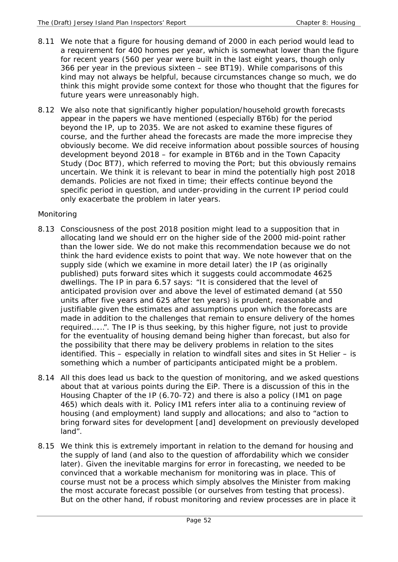- 8.11 We note that a figure for housing demand of 2000 in each period would lead to a requirement for 400 homes per year, which is somewhat lower than the figure for recent years (560 per year were built in the last eight years, though only 366 per year in the previous sixteen – see BT19). While comparisons of this kind may not always be helpful, because circumstances change so much, we do think this might provide some context for those who thought that the figures for future years were unreasonably high.
- 8.12 We also note that significantly higher population/household growth forecasts appear in the papers we have mentioned (especially BT6b) for the period beyond the IP, up to 2035. We are not asked to examine these figures of course, and the further ahead the forecasts are made the more imprecise they obviously become. We did receive information about possible sources of housing development beyond 2018 – for example in BT6b and in the Town Capacity Study (Doc BT7), which referred to moving the Port; but this obviously remains uncertain. We think it is relevant to bear in mind the potentially high post 2018 demands. Policies are not fixed in time; their effects continue beyond the specific period in question, and under-providing in the current IP period could only exacerbate the problem in later years.

## *Monitoring*

- 8.13 Consciousness of the post 2018 position might lead to a supposition that in allocating land we should err on the higher side of the 2000 mid-point rather than the lower side. We do not make this recommendation because we do not think the hard evidence exists to point that way. We note however that on the supply side (which we examine in more detail later) the IP (as originally published) puts forward sites which it suggests could accommodate 4625 dwellings. The IP in para 6.57 says: "It is considered that the level of anticipated provision over and above the level of estimated demand (at 550 units after five years and 625 after ten years) is prudent, reasonable and justifiable given the estimates and assumptions upon which the forecasts are made in addition to the challenges that remain to ensure delivery of the homes required……". The IP is thus seeking, by this higher figure, not just to provide for the eventuality of housing demand being higher than forecast, but also for the possibility that there may be delivery problems in relation to the sites identified. This – especially in relation to windfall sites and sites in St Helier – is something which a number of participants anticipated might be a problem.
- 8.14 All this does lead us back to the question of monitoring, and we asked questions about that at various points during the EiP. There is a discussion of this in the Housing Chapter of the IP (6.70-72) and there is also a policy (IM1 on page 465) which deals with it. Policy IM1 refers inter alia to a continuing review of housing (and employment) land supply and allocations; and also to "action to bring forward sites for development [and] development on previously developed land".
- 8.15 We think this is extremely important in relation to the demand for housing and the supply of land (and also to the question of affordability which we consider later). Given the inevitable margins for error in forecasting, we needed to be convinced that a workable mechanism for monitoring was in place. This of course must not be a process which simply absolves the Minister from making the most accurate forecast possible (or ourselves from testing that process). But on the other hand, if robust monitoring and review processes are in place it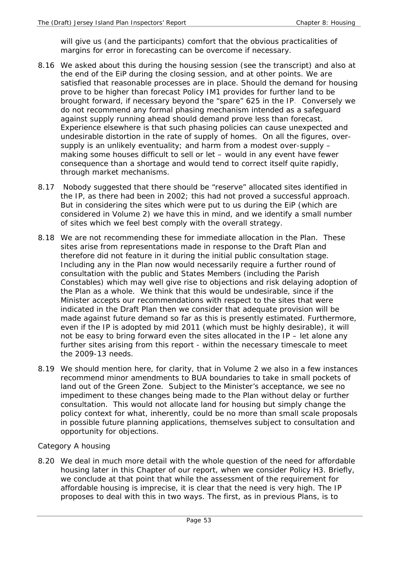will give us (and the participants) comfort that the obvious practicalities of margins for error in forecasting can be overcome if necessary.

- 8.16 We asked about this during the housing session (see the transcript) and also at the end of the EiP during the closing session, and at other points. We are satisfied that reasonable processes are in place. Should the demand for housing prove to be higher than forecast Policy IM1 provides for further land to be brought forward, if necessary beyond the "spare" 625 in the IP. Conversely we do not recommend any formal phasing mechanism intended as a safeguard against supply running ahead should demand prove less than forecast. Experience elsewhere is that such phasing policies can cause unexpected and undesirable distortion in the rate of supply of homes. On all the figures, oversupply is an unlikely eventuality; and harm from a modest over-supply – making some houses difficult to sell or let – would in any event have fewer consequence than a shortage and would tend to correct itself quite rapidly, through market mechanisms.
- 8.17 Nobody suggested that there should be "reserve" allocated sites identified in the IP, as there had been in 2002; this had not proved a successful approach. But in considering the sites which were put to us during the EiP (which are considered in Volume 2) we have this in mind, and we identify a small number of sites which we feel best comply with the overall strategy.
- 8.18 We are not recommending these for immediate allocation in the Plan. These sites arise from representations made in response to the Draft Plan and therefore did not feature in it during the initial public consultation stage. Including any in the Plan now would necessarily require a further round of consultation with the public and States Members (including the Parish Constables) which may well give rise to objections and risk delaying adoption of the Plan as a whole. We think that this would be undesirable, since if the Minister accepts our recommendations with respect to the sites that were indicated in the Draft Plan then we consider that adequate provision will be made against future demand so far as this is presently estimated. Furthermore, even if the IP is adopted by mid 2011 (which must be highly desirable), it will not be easy to bring forward even the sites allocated in the IP – let alone any further sites arising from this report - within the necessary timescale to meet the 2009-13 needs.
- 8.19 We should mention here, for clarity, that in Volume 2 we also in a few instances recommend minor amendments to BUA boundaries to take in small pockets of land out of the Green Zone. Subject to the Minister's acceptance, we see no impediment to these changes being made to the Plan without delay or further consultation. This would not allocate land for housing but simply change the policy context for what, inherently, could be no more than small scale proposals in possible future planning applications, themselves subject to consultation and opportunity for objections.

## *Category A housing*

8.20 We deal in much more detail with the whole question of the need for affordable housing later in this Chapter of our report, when we consider Policy H3. Briefly, we conclude at that point that while the assessment of the requirement for affordable housing is imprecise, it is clear that the need is very high. The IP proposes to deal with this in two ways. The first, as in previous Plans, is to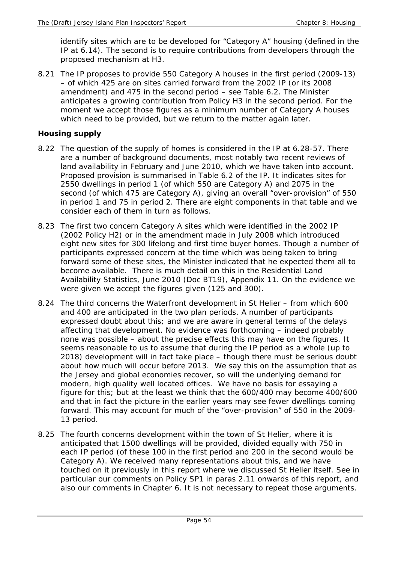identify sites which are to be developed for "Category A" housing (defined in the IP at 6.14). The second is to require contributions from developers through the proposed mechanism at H3.

8.21 The IP proposes to provide 550 Category A houses in the first period (2009-13) – of which 425 are on sites carried forward from the 2002 IP (or its 2008 amendment) and 475 in the second period – see Table 6.2. The Minister anticipates a growing contribution from Policy H3 in the second period. For the moment we accept those figures as a minimum number of Category A houses which need to be provided, but we return to the matter again later.

## **Housing supply**

- 8.22 The question of the supply of homes is considered in the IP at 6.28-57. There are a number of background documents, most notably two recent reviews of land availability in February and June 2010, which we have taken into account. Proposed provision is summarised in Table 6.2 of the IP. It indicates sites for 2550 dwellings in period 1 (of which 550 are Category A) and 2075 in the second (of which 475 are Category A), giving an overall "over-provision" of 550 in period 1 and 75 in period 2. There are eight components in that table and we consider each of them in turn as follows.
- 8.23 The first two concern Category A sites which were identified in the 2002 IP (2002 Policy H2) or in the amendment made in July 2008 which introduced eight new sites for 300 lifelong and first time buyer homes. Though a number of participants expressed concern at the time which was being taken to bring forward some of these sites, the Minister indicated that he expected them all to become available. There is much detail on this in the Residential Land Availability Statistics, June 2010 (Doc BT19), Appendix 11. On the evidence we were given we accept the figures given (125 and 300).
- 8.24 The third concerns the Waterfront development in St Helier from which 600 and 400 are anticipated in the two plan periods. A number of participants expressed doubt about this; and we are aware in general terms of the delays affecting that development. No evidence was forthcoming – indeed probably none was possible – about the precise effects this may have on the figures. It seems reasonable to us to assume that during the IP period as a whole (up to 2018) development will in fact take place – though there must be serious doubt about how much will occur before 2013. We say this on the assumption that as the Jersey and global economies recover, so will the underlying demand for modern, high quality well located offices. We have no basis for essaying a figure for this; but at the least we think that the 600/400 may become 400/600 and that in fact the picture in the earlier years may see fewer dwellings coming forward. This may account for much of the "over-provision" of 550 in the 2009- 13 period.
- 8.25 The fourth concerns development within the town of St Helier, where it is anticipated that 1500 dwellings will be provided, divided equally with 750 in each IP period (of these 100 in the first period and 200 in the second would be Category A). We received many representations about this, and we have touched on it previously in this report where we discussed St Helier itself. See in particular our comments on Policy SP1 in paras 2.11 onwards of this report, and also our comments in Chapter 6. It is not necessary to repeat those arguments.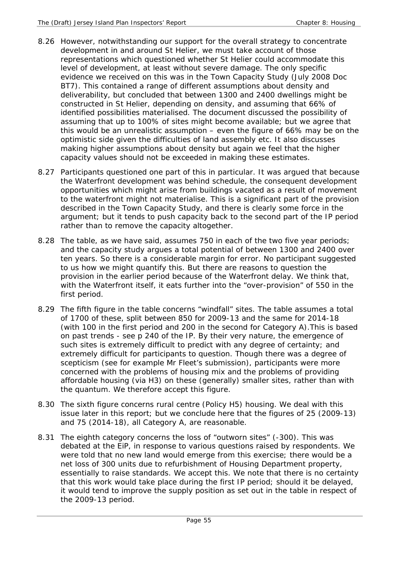- 8.26 However, notwithstanding our support for the overall strategy to concentrate development in and around St Helier, we must take account of those representations which questioned whether St Helier could accommodate this level of development, at least without severe damage. The only specific evidence we received on this was in the Town Capacity Study (July 2008 Doc BT7). This contained a range of different assumptions about density and deliverability, but concluded that between 1300 and 2400 dwellings might be constructed in St Helier, depending on density, and assuming that 66% of identified possibilities materialised. The document discussed the possibility of assuming that up to 100% of sites might become available; but we agree that this would be an unrealistic assumption – even the figure of 66% may be on the optimistic side given the difficulties of land assembly etc. It also discusses making higher assumptions about density but again we feel that the higher capacity values should not be exceeded in making these estimates.
- 8.27 Participants questioned one part of this in particular. It was argued that because the Waterfront development was behind schedule, the consequent development opportunities which might arise from buildings vacated as a result of movement to the waterfront might not materialise. This is a significant part of the provision described in the Town Capacity Study, and there is clearly some force in the argument; but it tends to push capacity back to the second part of the IP period rather than to remove the capacity altogether.
- 8.28 The table, as we have said, assumes 750 in each of the two five year periods; and the capacity study argues a total potential of between 1300 and 2400 over ten years. So there is a considerable margin for error. No participant suggested to us how we might quantify this. But there are reasons to question the provision in the earlier period because of the Waterfront delay. We think that, with the Waterfront itself, it eats further into the "over-provision" of 550 in the first period.
- 8.29 The fifth figure in the table concerns "windfall" sites. The table assumes a total of 1700 of these, split between 850 for 2009-13 and the same for 2014-18 (with 100 in the first period and 200 in the second for Category A).This is based on past trends - see p 240 of the IP. By their very nature, the emergence of such sites is extremely difficult to predict with any degree of certainty; and extremely difficult for participants to question. Though there was a degree of scepticism (see for example Mr Fleet's submission), participants were more concerned with the problems of housing mix and the problems of providing affordable housing (via H3) on these (generally) smaller sites, rather than with the quantum. We therefore accept this figure.
- 8.30 The sixth figure concerns rural centre (Policy H5) housing. We deal with this issue later in this report; but we conclude here that the figures of 25 (2009-13) and 75 (2014-18), all Category A, are reasonable.
- 8.31 The eighth category concerns the loss of "outworn sites" (-300). This was debated at the EiP, in response to various questions raised by respondents. We were told that no new land would emerge from this exercise; there would be a net loss of 300 units due to refurbishment of Housing Department property, essentially to raise standards. We accept this. We note that there is no certainty that this work would take place during the first IP period; should it be delayed, it would tend to improve the supply position as set out in the table in respect of the 2009-13 period.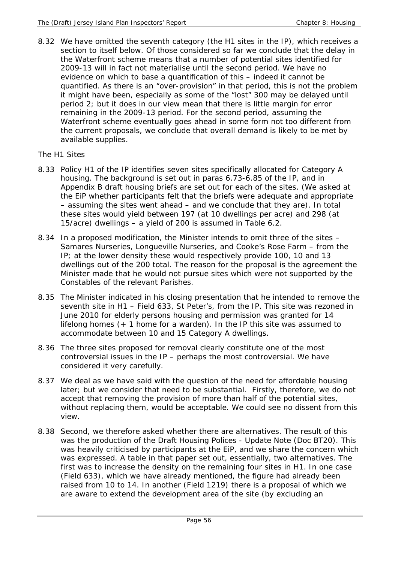8.32 We have omitted the seventh category (the H1 sites in the IP), which receives a section to itself below. Of those considered so far we conclude that the delay in the Waterfront scheme means that a number of potential sites identified for 2009-13 will in fact not materialise until the second period. We have no evidence on which to base a quantification of this – indeed it cannot be quantified. As there is an "over-provision" in that period, this is not the problem it might have been, especially as some of the "lost" 300 may be delayed until period 2; but it does in our view mean that there is little margin for error remaining in the 2009-13 period. For the second period, assuming the Waterfront scheme eventually goes ahead in some form not too different from the current proposals, we conclude that overall demand is likely to be met by available supplies.

### *The H1 Sites*

- 8.33 Policy H1 of the IP identifies seven sites specifically allocated for Category A housing. The background is set out in paras 6.73-6.85 of the IP, and in Appendix B draft housing briefs are set out for each of the sites. (We asked at the EiP whether participants felt that the briefs were adequate and appropriate – assuming the sites went ahead – and we conclude that they are). In total these sites would yield between 197 (at 10 dwellings per acre) and 298 (at 15/acre) dwellings – a yield of 200 is assumed in Table 6.2.
- 8.34 In a proposed modification, the Minister intends to omit three of the sites Samares Nurseries, Longueville Nurseries, and Cooke's Rose Farm – from the IP; at the lower density these would respectively provide 100, 10 and 13 dwellings out of the 200 total. The reason for the proposal is the agreement the Minister made that he would not pursue sites which were not supported by the Constables of the relevant Parishes.
- 8.35 The Minister indicated in his closing presentation that he intended to remove the seventh site in H1 – Field 633, St Peter's, from the IP. This site was rezoned in June 2010 for elderly persons housing and permission was granted for 14 lifelong homes (+ 1 home for a warden). In the IP this site was assumed to accommodate between 10 and 15 Category A dwellings.
- 8.36 The three sites proposed for removal clearly constitute one of the most controversial issues in the IP – perhaps the most controversial. We have considered it very carefully.
- 8.37 We deal as we have said with the question of the need for affordable housing later; but we consider that need to be substantial. Firstly, therefore, we do not accept that removing the provision of more than half of the potential sites, without replacing them, would be acceptable. We could see no dissent from this view.
- 8.38 Second, we therefore asked whether there are alternatives. The result of this was the production of the Draft Housing Polices - Update Note (Doc BT20). This was heavily criticised by participants at the EiP, and we share the concern which was expressed. A table in that paper set out, essentially, two alternatives. The first was to increase the density on the remaining four sites in H1. In one case (Field 633), which we have already mentioned, the figure had already been raised from 10 to 14. In another (Field 1219) there is a proposal of which we are aware to extend the development area of the site (by excluding an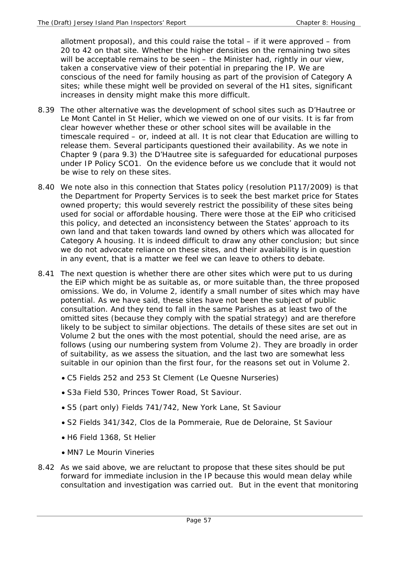allotment proposal), and this could raise the total – if it were approved – from 20 to 42 on that site. Whether the higher densities on the remaining two sites will be acceptable remains to be seen – the Minister had, rightly in our view, taken a conservative view of their potential in preparing the IP. We are conscious of the need for family housing as part of the provision of Category A sites; while these might well be provided on several of the H1 sites, significant increases in density might make this more difficult.

- 8.39 The other alternative was the development of school sites such as D'Hautree or Le Mont Cantel in St Helier, which we viewed on one of our visits. It is far from clear however whether these or other school sites will be available in the timescale required – or, indeed at all. It is not clear that Education are willing to release them. Several participants questioned their availability. As we note in Chapter 9 (para 9.3) the D'Hautree site is safeguarded for educational purposes under IP Policy SCO1. On the evidence before us we conclude that it would not be wise to rely on these sites.
- 8.40 We note also in this connection that States policy (resolution P117/2009) is that the Department for Property Services is to seek the best market price for States owned property; this would severely restrict the possibility of these sites being used for social or affordable housing. There were those at the EiP who criticised this policy, and detected an inconsistency between the States' approach to its own land and that taken towards land owned by others which was allocated for Category A housing. It is indeed difficult to draw any other conclusion; but since we do not advocate reliance on these sites, and their availability is in question in any event, that is a matter we feel we can leave to others to debate.
- 8.41 The next question is whether there are other sites which were put to us during the EiP which might be as suitable as, or more suitable than, the three proposed omissions. We do, in Volume 2, identify a small number of sites which may have potential. As we have said, these sites have not been the subject of public consultation. And they tend to fall in the same Parishes as at least two of the omitted sites (because they comply with the spatial strategy) and are therefore likely to be subject to similar objections. The details of these sites are set out in Volume 2 but the ones with the most potential, should the need arise, are as follows (using our numbering system from Volume 2). They are broadly in order of suitability, as we assess the situation, and the last two are somewhat less suitable in our opinion than the first four, for the reasons set out in Volume 2.
	- C5 Fields 252 and 253 St Clement (Le Quesne Nurseries)
	- S3a Field 530, Princes Tower Road, St Saviour.
	- S5 (part only) Fields 741/742, New York Lane, St Saviour
	- S2 Fields 341/342, Clos de la Pommeraie, Rue de Deloraine, St Saviour
	- H6 Field 1368, St Helier
	- MN7 Le Mourin Vineries
- 8.42 As we said above, we are reluctant to propose that these sites should be put forward for immediate inclusion in the IP because this would mean delay while consultation and investigation was carried out. But in the event that monitoring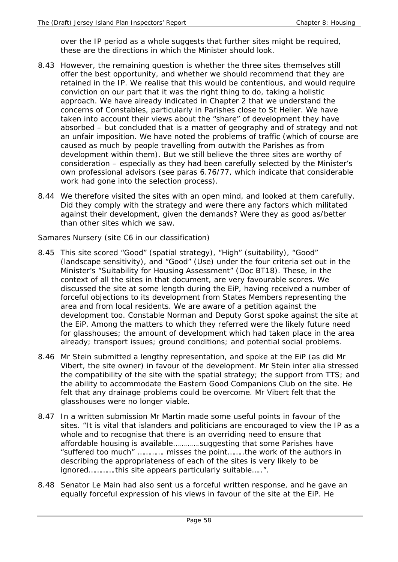over the IP period as a whole suggests that further sites might be required, these are the directions in which the Minister should look.

- 8.43 However, the remaining question is whether the three sites themselves still offer the best opportunity, and whether we should recommend that they are retained in the IP. We realise that this would be contentious, and would require conviction on our part that it was the right thing to do, taking a holistic approach. We have already indicated in Chapter 2 that we understand the concerns of Constables, particularly in Parishes close to St Helier. We have taken into account their views about the "share" of development they have absorbed – but concluded that is a matter of geography and of strategy and not an unfair imposition. We have noted the problems of traffic (which of course are caused as much by people travelling from outwith the Parishes as from development within them). But we still believe the three sites are worthy of consideration – especially as they had been carefully selected by the Minister's own professional advisors (see paras 6.76/77, which indicate that considerable work had gone into the selection process).
- 8.44 We therefore visited the sites with an open mind, and looked at them carefully. Did they comply with the strategy and were there any factors which militated against their development, given the demands? Were they as good as/better than other sites which we saw.

*Samares Nursery (site C6 in our classification)* 

- 8.45 This site scored "Good" (spatial strategy), "High" (suitability), "Good" (landscape sensitivity), and "Good" (Use) under the four criteria set out in the Minister's "Suitability for Housing Assessment" (Doc BT18). These, in the context of all the sites in that document, are very favourable scores. We discussed the site at some length during the EiP, having received a number of forceful objections to its development from States Members representing the area and from local residents. We are aware of a petition against the development too. Constable Norman and Deputy Gorst spoke against the site at the EiP. Among the matters to which they referred were the likely future need for glasshouses; the amount of development which had taken place in the area already; transport issues; ground conditions; and potential social problems.
- 8.46 Mr Stein submitted a lengthy representation, and spoke at the EiP (as did Mr Vibert, the site owner) in favour of the development. Mr Stein inter alia stressed the compatibility of the site with the spatial strategy; the support from TTS; and the ability to accommodate the Eastern Good Companions Club on the site. He felt that any drainage problems could be overcome. Mr Vibert felt that the glasshouses were no longer viable.
- 8.47 In a written submission Mr Martin made some useful points in favour of the sites. "It is vital that islanders and politicians are encouraged to view the IP as a whole and to recognise that there is an overriding need to ensure that affordable housing is available………….suggesting that some Parishes have "suffered too much" …………. misses the point……..the work of the authors in describing the appropriateness of each of the sites is very likely to be ignored………….this site appears particularly suitable…..".
- 8.48 Senator Le Main had also sent us a forceful written response, and he gave an equally forceful expression of his views in favour of the site at the EiP. He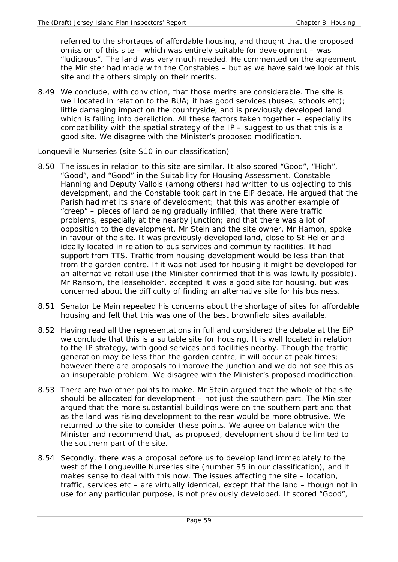referred to the shortages of affordable housing, and thought that the proposed omission of this site – which was entirely suitable for development – was "ludicrous". The land was very much needed. He commented on the agreement the Minister had made with the Constables – but as we have said we look at this site and the others simply on their merits.

8.49 We conclude, with conviction, that those merits are considerable. The site is well located in relation to the BUA; it has good services (buses, schools etc); little damaging impact on the countryside, and is previously developed land which is falling into dereliction. All these factors taken together - especially its compatibility with the spatial strategy of the IP – suggest to us that this is a good site. We disagree with the Minister's proposed modification.

### *Longueville Nurseries (site S10 in our classification)*

- 8.50 The issues in relation to this site are similar. It also scored "Good", "High", "Good", and "Good" in the Suitability for Housing Assessment. Constable Hanning and Deputy Vallois (among others) had written to us objecting to this development, and the Constable took part in the EiP debate. He argued that the Parish had met its share of development; that this was another example of "creep" – pieces of land being gradually infilled; that there were traffic problems, especially at the nearby junction; and that there was a lot of opposition to the development. Mr Stein and the site owner, Mr Hamon, spoke in favour of the site. It was previously developed land, close to St Helier and ideally located in relation to bus services and community facilities. It had support from TTS. Traffic from housing development would be less than that from the garden centre. If it was not used for housing it might be developed for an alternative retail use (the Minister confirmed that this was lawfully possible). Mr Ransom, the leaseholder, accepted it was a good site for housing, but was concerned about the difficulty of finding an alternative site for his business.
- 8.51 Senator Le Main repeated his concerns about the shortage of sites for affordable housing and felt that this was one of the best brownfield sites available.
- 8.52 Having read all the representations in full and considered the debate at the EiP we conclude that this is a suitable site for housing. It is well located in relation to the IP strategy, with good services and facilities nearby. Though the traffic generation may be less than the garden centre, it will occur at peak times; however there are proposals to improve the junction and we do not see this as an insuperable problem. We disagree with the Minister's proposed modification.
- 8.53 There are two other points to make. Mr Stein argued that the whole of the site should be allocated for development – not just the southern part. The Minister argued that the more substantial buildings were on the southern part and that as the land was rising development to the rear would be more obtrusive. We returned to the site to consider these points. We agree on balance with the Minister and recommend that, as proposed, development should be limited to the southern part of the site.
- 8.54 Secondly, there was a proposal before us to develop land immediately to the west of the Longueville Nurseries site (number S5 in our classification), and it makes sense to deal with this now. The issues affecting the site – location, traffic, services etc – are virtually identical, except that the land – though not in use for any particular purpose, is not previously developed. It scored "Good",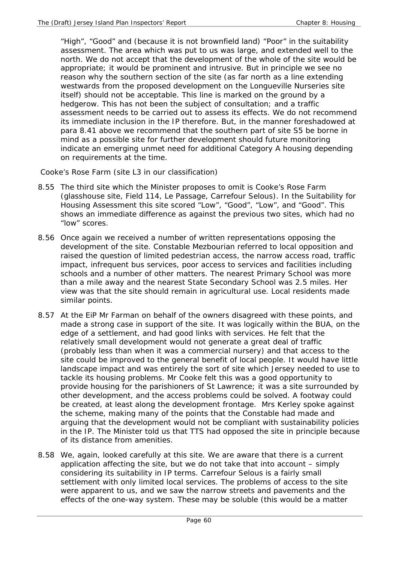"High", "Good" and (because it is not brownfield land) "Poor" in the suitability assessment. The area which was put to us was large, and extended well to the north. We do not accept that the development of the whole of the site would be appropriate; it would be prominent and intrusive. But in principle we see no reason why the southern section of the site (as far north as a line extending westwards from the proposed development on the Longueville Nurseries site itself) should not be acceptable. This line is marked on the ground by a hedgerow. This has not been the subject of consultation; and a traffic assessment needs to be carried out to assess its effects. We do not recommend its immediate inclusion in the IP therefore. But, in the manner foreshadowed at para 8.41 above we recommend that the southern part of site S5 be borne in mind as a possible site for further development should future monitoring indicate an emerging unmet need for additional Category A housing depending on requirements at the time.

 *Cooke's Rose Farm (site L3 in our classification)* 

- 8.55 The third site which the Minister proposes to omit is Cooke's Rose Farm (glasshouse site, Field 114, Le Passage, Carrefour Selous). In the Suitability for Housing Assessment this site scored "Low", "Good", "Low", and "Good". This shows an immediate difference as against the previous two sites, which had no "low" scores.
- 8.56 Once again we received a number of written representations opposing the development of the site. Constable Mezbourian referred to local opposition and raised the question of limited pedestrian access, the narrow access road, traffic impact, infrequent bus services, poor access to services and facilities including schools and a number of other matters. The nearest Primary School was more than a mile away and the nearest State Secondary School was 2.5 miles. Her view was that the site should remain in agricultural use. Local residents made similar points.
- 8.57 At the EiP Mr Farman on behalf of the owners disagreed with these points, and made a strong case in support of the site. It was logically within the BUA, on the edge of a settlement, and had good links with services. He felt that the relatively small development would not generate a great deal of traffic (probably less than when it was a commercial nursery) and that access to the site could be improved to the general benefit of local people. It would have little landscape impact and was entirely the sort of site which Jersey needed to use to tackle its housing problems. Mr Cooke felt this was a good opportunity to provide housing for the parishioners of St Lawrence; it was a site surrounded by other development, and the access problems could be solved. A footway could be created, at least along the development frontage. Mrs Kerley spoke against the scheme, making many of the points that the Constable had made and arguing that the development would not be compliant with sustainability policies in the IP. The Minister told us that TTS had opposed the site in principle because of its distance from amenities.
- 8.58 We, again, looked carefully at this site. We are aware that there is a current application affecting the site, but we do not take that into account – simply considering its suitability in IP terms. Carrefour Selous is a fairly small settlement with only limited local services. The problems of access to the site were apparent to us, and we saw the narrow streets and pavements and the effects of the one-way system. These may be soluble (this would be a matter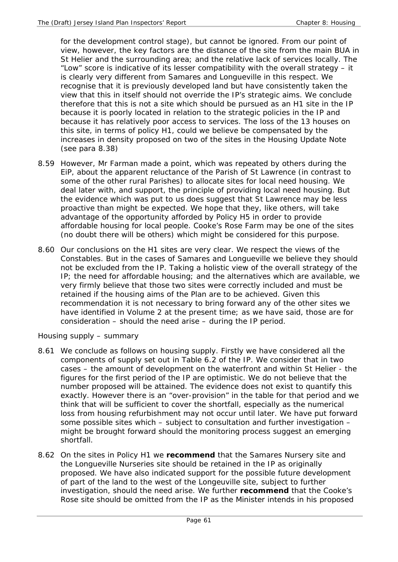for the development control stage), but cannot be ignored. From our point of view, however, the key factors are the distance of the site from the main BUA in St Helier and the surrounding area; and the relative lack of services locally. The "Low" score is indicative of its lesser compatibility with the overall strategy – it is clearly very different from Samares and Longueville in this respect. We recognise that it is previously developed land but have consistently taken the view that this in itself should not override the IP's strategic aims. We conclude therefore that this is not a site which should be pursued as an H1 site in the IP because it is poorly located in relation to the strategic policies in the IP and because it has relatively poor access to services. The loss of the 13 houses on this site, in terms of policy H1, could we believe be compensated by the increases in density proposed on two of the sites in the Housing Update Note (see para 8.38)

- 8.59 However, Mr Farman made a point, which was repeated by others during the EiP, about the apparent reluctance of the Parish of St Lawrence (in contrast to some of the other rural Parishes) to allocate sites for local need housing. We deal later with, and support, the principle of providing local need housing. But the evidence which was put to us does suggest that St Lawrence may be less proactive than might be expected. We hope that they, like others, will take advantage of the opportunity afforded by Policy H5 in order to provide affordable housing for local people. Cooke's Rose Farm may be one of the sites (no doubt there will be others) which might be considered for this purpose.
- 8.60 Our conclusions on the H1 sites are very clear. We respect the views of the Constables. But in the cases of Samares and Longueville we believe they should not be excluded from the IP. Taking a holistic view of the overall strategy of the IP; the need for affordable housing; and the alternatives which are available, we very firmly believe that those two sites were correctly included and must be retained if the housing aims of the Plan are to be achieved. Given this recommendation it is not necessary to bring forward any of the other sites we have identified in Volume 2 at the present time; as we have said, those are for consideration – should the need arise – during the IP period.

## *Housing supply – summary*

- 8.61 We conclude as follows on housing supply. Firstly we have considered all the components of supply set out in Table 6.2 of the IP. We consider that in two cases – the amount of development on the waterfront and within St Helier - the figures for the first period of the IP are optimistic. We do not believe that the number proposed will be attained. The evidence does not exist to quantify this exactly. However there is an "over-provision" in the table for that period and we think that will be sufficient to cover the shortfall, especially as the numerical loss from housing refurbishment may not occur until later. We have put forward some possible sites which – subject to consultation and further investigation – might be brought forward should the monitoring process suggest an emerging shortfall.
- 8.62 On the sites in Policy H1 we **recommend** that the Samares Nursery site and the Longueville Nurseries site should be retained in the IP as originally proposed. We have also indicated support for the possible future development of part of the land to the west of the Longeuville site, subject to further investigation, should the need arise. We further **recommend** that the Cooke's Rose site should be omitted from the IP as the Minister intends in his proposed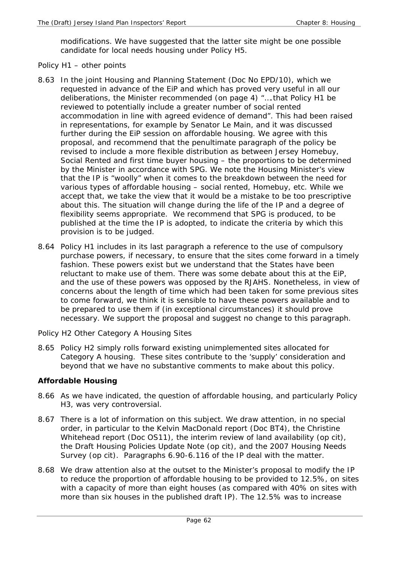modifications. We have suggested that the latter site might be one possible candidate for local needs housing under Policy H5.

### *Policy H1 – other points*

- 8.63 In the joint Housing and Planning Statement (Doc No EPD/10), which we requested in advance of the EiP and which has proved very useful in all our deliberations, the Minister recommended (on page 4) "….that Policy H1 be reviewed to potentially include a greater number of social rented accommodation in line with agreed evidence of demand". This had been raised in representations, for example by Senator Le Main, and it was discussed further during the EiP session on affordable housing. We agree with this proposal, and recommend that the penultimate paragraph of the policy be revised to include a more flexible distribution as between Jersey Homebuy, Social Rented and first time buyer housing – the proportions to be determined by the Minister in accordance with SPG. We note the Housing Minister's view that the IP is "woolly" when it comes to the breakdown between the need for various types of affordable housing – social rented, Homebuy, etc. While we accept that, we take the view that it would be a mistake to be too prescriptive about this. The situation will change during the life of the IP and a degree of flexibility seems appropriate. We recommend that SPG is produced, to be published at the time the IP is adopted, to indicate the criteria by which this provision is to be judged.
- 8.64 Policy H1 includes in its last paragraph a reference to the use of compulsory purchase powers, if necessary, to ensure that the sites come forward in a timely fashion. These powers exist but we understand that the States have been reluctant to make use of them. There was some debate about this at the EiP, and the use of these powers was opposed by the RJAHS. Nonetheless, in view of concerns about the length of time which had been taken for some previous sites to come forward, we think it is sensible to have these powers available and to be prepared to use them if (in exceptional circumstances) it should prove necessary. We support the proposal and suggest no change to this paragraph.

## *Policy H2 Other Category A Housing Sites*

8.65 Policy H2 simply rolls forward existing unimplemented sites allocated for Category A housing. These sites contribute to the 'supply' consideration and beyond that we have no substantive comments to make about this policy.

#### **Affordable Housing**

- 8.66 As we have indicated, the question of affordable housing, and particularly Policy H3, was very controversial.
- 8.67 There is a lot of information on this subject. We draw attention, in no special order, in particular to the Kelvin MacDonald report (Doc BT4), the Christine Whitehead report (Doc OS11), the interim review of land availability (op cit), the Draft Housing Policies Update Note (op cit), and the 2007 Housing Needs Survey (op cit). Paragraphs 6.90-6.116 of the IP deal with the matter.
- 8.68 We draw attention also at the outset to the Minister's proposal to modify the IP to reduce the proportion of affordable housing to be provided to 12.5%, on sites with a capacity of more than eight houses (as compared with 40% on sites with more than six houses in the published draft IP). The 12.5% was to increase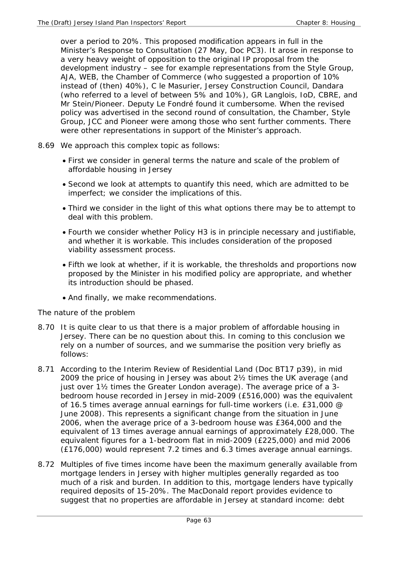over a period to 20%. This proposed modification appears in full in the Minister's Response to Consultation (27 May, Doc PC3). It arose in response to a very heavy weight of opposition to the original IP proposal from the development industry – see for example representations from the Style Group, AJA, WEB, the Chamber of Commerce (who suggested a proportion of 10% instead of (then) 40%), C le Masurier, Jersey Construction Council, Dandara (who referred to a level of between 5% and 10%), GR Langlois, IoD, CBRE, and Mr Stein/Pioneer. Deputy Le Fondré found it cumbersome. When the revised policy was advertised in the second round of consultation, the Chamber, Style Group, JCC and Pioneer were among those who sent further comments. There were other representations in support of the Minister's approach.

- 8.69 We approach this complex topic as follows:
	- First we consider in general terms the nature and scale of the problem of affordable housing in Jersey
	- Second we look at attempts to quantify this need, which are admitted to be imperfect; we consider the implications of this.
	- Third we consider in the light of this what options there may be to attempt to deal with this problem.
	- Fourth we consider whether Policy H3 is in principle necessary and justifiable, and whether it is workable. This includes consideration of the proposed viability assessment process.
	- Fifth we look at whether, if it is workable, the thresholds and proportions now proposed by the Minister in his modified policy are appropriate, and whether its introduction should be phased.
	- And finally, we make recommendations.

#### *The nature of the problem*

- 8.70 It is quite clear to us that there is a major problem of affordable housing in Jersey. There can be no question about this. In coming to this conclusion we rely on a number of sources, and we summarise the position very briefly as follows:
- 8.71 According to the Interim Review of Residential Land (Doc BT17 p39), in mid 2009 the price of housing in Jersey was about 2½ times the UK average (and just over 1½ times the Greater London average). The average price of a 3bedroom house recorded in Jersey in mid-2009 (£516,000) was the equivalent of 16.5 times average annual earnings for full-time workers (i.e. £31,000 @ June 2008). This represents a significant change from the situation in June 2006, when the average price of a 3-bedroom house was £364,000 and the equivalent of 13 times average annual earnings of approximately £28,000. The equivalent figures for a 1-bedroom flat in mid-2009 (£225,000) and mid 2006 (£176,000) would represent 7.2 times and 6.3 times average annual earnings.
- 8.72 Multiples of five times income have been the maximum generally available from mortgage lenders in Jersey with higher multiples generally regarded as too much of a risk and burden. In addition to this, mortgage lenders have typically required deposits of 15-20%. The MacDonald report provides evidence to suggest that no properties are affordable in Jersey at standard income: debt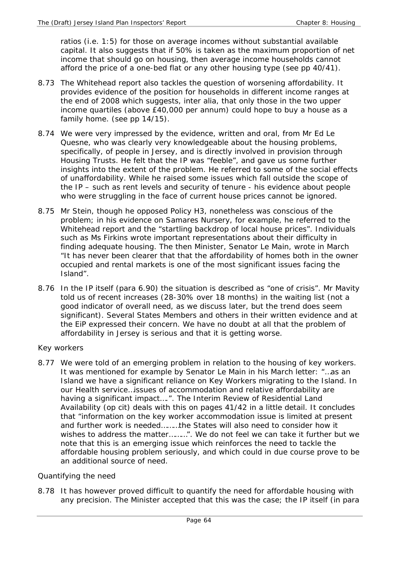ratios (i.e. 1:5) for those on average incomes without substantial available capital. It also suggests that if 50% is taken as the maximum proportion of net income that should go on housing, then average income households cannot afford the price of a one-bed flat or any other housing type (see pp 40/41).

- 8.73 The Whitehead report also tackles the question of worsening affordability. It provides evidence of the position for households in different income ranges at the end of 2008 which suggests, inter alia, that only those in the two upper income quartiles (above £40,000 per annum) could hope to buy a house as a family home. (see pp 14/15).
- 8.74 We were very impressed by the evidence, written and oral, from Mr Ed Le Quesne, who was clearly very knowledgeable about the housing problems, specifically, of people in Jersey, and is directly involved in provision through Housing Trusts. He felt that the IP was "feeble", and gave us some further insights into the extent of the problem. He referred to some of the social effects of unaffordability. While he raised some issues which fall outside the scope of the IP – such as rent levels and security of tenure - his evidence about people who were struggling in the face of current house prices cannot be ignored.
- 8.75 Mr Stein, though he opposed Policy H3, nonetheless was conscious of the problem; in his evidence on Samares Nursery, for example, he referred to the Whitehead report and the "startling backdrop of local house prices". Individuals such as Ms Firkins wrote important representations about their difficulty in finding adequate housing. The then Minister, Senator Le Main, wrote in March "It has never been clearer that that the affordability of homes both in the owner occupied and rental markets is one of the most significant issues facing the Island".
- 8.76 In the IP itself (para 6.90) the situation is described as "one of crisis". Mr Mavity told us of recent increases (28-30% over 18 months) in the waiting list (not a good indicator of overall need, as we discuss later, but the trend does seem significant). Several States Members and others in their written evidence and at the EiP expressed their concern. We have no doubt at all that the problem of affordability in Jersey is serious and that it is getting worse.

## *Key workers*

8.77 We were told of an emerging problem in relation to the housing of key workers. It was mentioned for example by Senator Le Main in his March letter: "…as an Island we have a significant reliance on Key Workers migrating to the Island. In our Health service…issues of accommodation and relative affordability are having a significant impact….". The Interim Review of Residential Land Availability (op cit) deals with this on pages 41/42 in a little detail. It concludes that "information on the key worker accommodation issue is limited at present and further work is needed………the States will also need to consider how it wishes to address the matter………". We do not feel we can take it further but we note that this is an emerging issue which reinforces the need to tackle the affordable housing problem seriously, and which could in due course prove to be an additional source of need.

## *Quantifying the need*

8.78 It has however proved difficult to quantify the need for affordable housing with any precision. The Minister accepted that this was the case; the IP itself (in para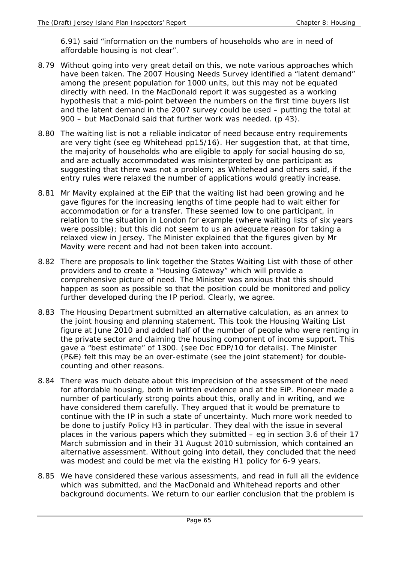6.91) said "information on the numbers of households who are in need of affordable housing is not clear".

- 8.79 Without going into very great detail on this, we note various approaches which have been taken. The 2007 Housing Needs Survey identified a "latent demand" among the present population for 1000 units, but this may not be equated directly with need. In the MacDonald report it was suggested as a working hypothesis that a mid-point between the numbers on the first time buyers list and the latent demand in the 2007 survey could be used – putting the total at 900 – but MacDonald said that further work was needed. (p 43).
- 8.80 The waiting list is not a reliable indicator of need because entry requirements are very tight (see eg Whitehead pp15/16). Her suggestion that, at that time, the majority of households who are eligible to apply for social housing do so, and are actually accommodated was misinterpreted by one participant as suggesting that there was not a problem; as Whitehead and others said, if the entry rules were relaxed the number of applications would greatly increase.
- 8.81 Mr Mavity explained at the EiP that the waiting list had been growing and he gave figures for the increasing lengths of time people had to wait either for accommodation or for a transfer. These seemed low to one participant, in relation to the situation in London for example (where waiting lists of six years were possible); but this did not seem to us an adequate reason for taking a relaxed view in Jersey. The Minister explained that the figures given by Mr Mavity were recent and had not been taken into account.
- 8.82 There are proposals to link together the States Waiting List with those of other providers and to create a "Housing Gateway" which will provide a comprehensive picture of need. The Minister was anxious that this should happen as soon as possible so that the position could be monitored and policy further developed during the IP period. Clearly, we agree.
- 8.83 The Housing Department submitted an alternative calculation, as an annex to the joint housing and planning statement. This took the Housing Waiting List figure at June 2010 and added half of the number of people who were renting in the private sector and claiming the housing component of income support. This gave a "best estimate" of 1300. (see Doc EDP/10 for details). The Minister (P&E) felt this may be an over-estimate (see the joint statement) for doublecounting and other reasons.
- 8.84 There was much debate about this imprecision of the assessment of the need for affordable housing, both in written evidence and at the EiP. Pioneer made a number of particularly strong points about this, orally and in writing, and we have considered them carefully. They argued that it would be premature to continue with the IP in such a state of uncertainty. Much more work needed to be done to justify Policy H3 in particular. They deal with the issue in several places in the various papers which they submitted – eg in section 3.6 of their 17 March submission and in their 31 August 2010 submission, which contained an alternative assessment. Without going into detail, they concluded that the need was modest and could be met via the existing H1 policy for 6-9 years.
- 8.85 We have considered these various assessments, and read in full all the evidence which was submitted, and the MacDonald and Whitehead reports and other background documents. We return to our earlier conclusion that the problem is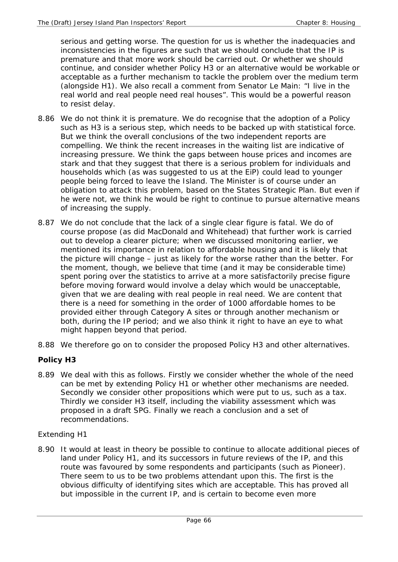serious and getting worse. The question for us is whether the inadequacies and inconsistencies in the figures are such that we should conclude that the IP is premature and that more work should be carried out. Or whether we should continue, and consider whether Policy H3 or an alternative would be workable or acceptable as a further mechanism to tackle the problem over the medium term (alongside H1). We also recall a comment from Senator Le Main: "I live in the real world and real people need real houses". This would be a powerful reason to resist delay.

- 8.86 We do not think it is premature. We do recognise that the adoption of a Policy such as H3 is a serious step, which needs to be backed up with statistical force. But we think the overall conclusions of the two independent reports are compelling. We think the recent increases in the waiting list are indicative of increasing pressure. We think the gaps between house prices and incomes are stark and that they suggest that there is a serious problem for individuals and households which (as was suggested to us at the EiP) could lead to younger people being forced to leave the Island. The Minister is of course under an obligation to attack this problem, based on the States Strategic Plan. But even if he were not, we think he would be right to continue to pursue alternative means of increasing the supply.
- 8.87 We do not conclude that the lack of a single clear figure is fatal. We do of course propose (as did MacDonald and Whitehead) that further work is carried out to develop a clearer picture; when we discussed monitoring earlier, we mentioned its importance in relation to affordable housing and it is likely that the picture will change – just as likely for the worse rather than the better. For the moment, though, we believe that time (and it may be considerable time) spent poring over the statistics to arrive at a more satisfactorily precise figure before moving forward would involve a delay which would be unacceptable, given that we are dealing with real people in real need. We are content that there is a need for something in the order of 1000 affordable homes to be provided either through Category A sites or through another mechanism or both, during the IP period; and we also think it right to have an eye to what might happen beyond that period.
- 8.88 We therefore go on to consider the proposed Policy H3 and other alternatives.

## **Policy H3**

8.89 We deal with this as follows. Firstly we consider whether the whole of the need can be met by extending Policy H1 or whether other mechanisms are needed. Secondly we consider other propositions which were put to us, such as a tax. Thirdly we consider H3 itself, including the viability assessment which was proposed in a draft SPG. Finally we reach a conclusion and a set of recommendations.

## *Extending H1*

8.90 It would at least in theory be possible to continue to allocate additional pieces of land under Policy H1, and its successors in future reviews of the IP, and this route was favoured by some respondents and participants (such as Pioneer). There seem to us to be two problems attendant upon this. The first is the obvious difficulty of identifying sites which are acceptable. This has proved all but impossible in the current IP, and is certain to become even more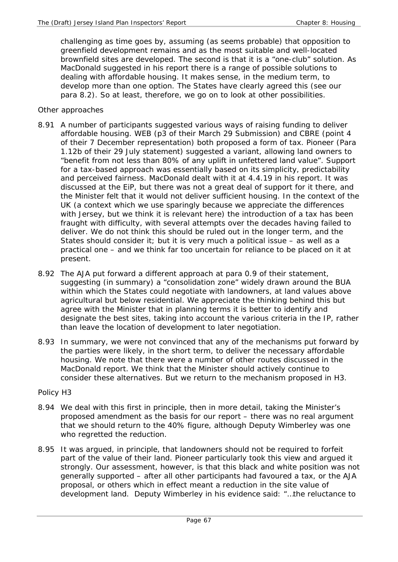challenging as time goes by, assuming (as seems probable) that opposition to greenfield development remains and as the most suitable and well-located brownfield sites are developed. The second is that it is a "one-club" solution. As MacDonald suggested in his report there is a range of possible solutions to dealing with affordable housing. It makes sense, in the medium term, to develop more than one option. The States have clearly agreed this (see our para 8.2). So at least, therefore, we go on to look at other possibilities.

### *Other approaches*

- 8.91 A number of participants suggested various ways of raising funding to deliver affordable housing. WEB (p3 of their March 29 Submission) and CBRE (point 4 of their 7 December representation) both proposed a form of tax. Pioneer (Para 1.12b of their 29 July statement) suggested a variant, allowing land owners to "benefit from not less than 80% of any uplift in unfettered land value". Support for a tax-based approach was essentially based on its simplicity, predictability and perceived fairness. MacDonald dealt with it at 4.4.19 in his report. It was discussed at the EiP, but there was not a great deal of support for it there, and the Minister felt that it would not deliver sufficient housing. In the context of the UK (a context which we use sparingly because we appreciate the differences with Jersey, but we think it is relevant here) the introduction of a tax has been fraught with difficulty, with several attempts over the decades having failed to deliver. We do not think this should be ruled out in the longer term, and the States should consider it; but it is very much a political issue – as well as a practical one – and we think far too uncertain for reliance to be placed on it at present.
- 8.92 The AJA put forward a different approach at para 0.9 of their statement, suggesting (in summary) a "consolidation zone" widely drawn around the BUA within which the States could negotiate with landowners, at land values above agricultural but below residential. We appreciate the thinking behind this but agree with the Minister that in planning terms it is better to identify and designate the *best* sites, taking into account the various criteria in the IP, rather than leave the location of development to later negotiation.
- 8.93 In summary, we were not convinced that any of the mechanisms put forward by the parties were likely, in the short term, to deliver the necessary affordable housing. We note that there were a number of other routes discussed in the MacDonald report. We think that the Minister should actively continue to consider these alternatives. But we return to the mechanism proposed in H3.

#### *Policy H3*

- 8.94 We deal with this first in principle, then in more detail, taking the Minister's proposed amendment as the basis for our report – there was no real argument that we should return to the 40% figure, although Deputy Wimberley was one who regretted the reduction.
- 8.95 It was argued, in principle, that landowners should not be required to forfeit part of the value of their land. Pioneer particularly took this view and argued it strongly. Our assessment, however, is that this black and white position was not generally supported – after all other participants had favoured a tax, or the AJA proposal, or others which in effect meant a reduction in the site value of development land. Deputy Wimberley in his evidence said: "…the reluctance to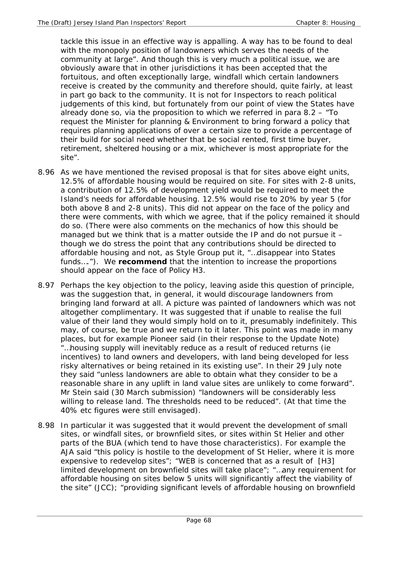tackle this issue in an effective way is appalling. A way has to be found to deal with the monopoly position of landowners which serves the needs of the community at large". And though this is very much a political issue, we are obviously aware that in other jurisdictions it has been accepted that the fortuitous, and often exceptionally large, windfall which certain landowners receive is created by the community and therefore should, quite fairly, at least in part go back to the community. It is not for Inspectors to reach political judgements of this kind, but fortunately from our point of view the States have already done so, via the proposition to which we referred in para 8.2 – "To request the Minister for planning & Environment to bring forward a policy that requires planning applications of over a certain size to provide a percentage of their build for social need whether that be social rented, first time buyer, retirement, sheltered housing or a mix, whichever is most appropriate for the site".

- 8.96 As we have mentioned the revised proposal is that for sites above eight units, 12.5% of affordable housing would be required on site. For sites with 2-8 units, a contribution of 12.5% of development yield would be required to meet the Island's needs for affordable housing. 12.5% would rise to 20% by year 5 (for both above 8 and 2-8 units). This did not appear on the face of the policy and there were comments, with which we agree, that if the policy remained it should do so. (There were also comments on the mechanics of how this should be managed but we think that is a matter outside the IP and do not pursue it – though we do stress the point that any contributions should be directed to affordable housing and not, as Style Group put it, "…disappear into States funds…."). We **recommend** that the intention to increase the proportions should appear on the face of Policy H3.
- 8.97 Perhaps the key objection to the policy, leaving aside this question of principle, was the suggestion that, in general, it would discourage landowners from bringing land forward at all. A picture was painted of landowners which was not altogether complimentary. It was suggested that if unable to realise the full value of their land they would simply hold on to it, presumably indefinitely. This may, of course, be true and we return to it later. This point was made in many places, but for example Pioneer said (in their response to the Update Note) "…housing supply will inevitably reduce as a result of reduced returns (ie incentives) to land owners and developers, with land being developed for less risky alternatives or being retained in its existing use". In their 29 July note they said "unless landowners are able to obtain what they consider to be a reasonable share in any uplift in land value sites are unlikely to come forward". Mr Stein said (30 March submission) "landowners will be considerably less willing to release land. The thresholds need to be reduced". (At that time the 40% etc figures were still envisaged).
- 8.98 In particular it was suggested that it would prevent the development of small sites, or windfall sites, or brownfield sites, or sites within St Helier and other parts of the BUA (which tend to have those characteristics). For example the AJA said "this policy is hostile to the development of St Helier, where it is more expensive to redevelop sites"; "WEB is concerned that as a result of [H3] limited development on brownfield sites will take place"; "…any requirement for affordable housing on sites below 5 units will significantly affect the viability of the site" (JCC); "providing significant levels of affordable housing on brownfield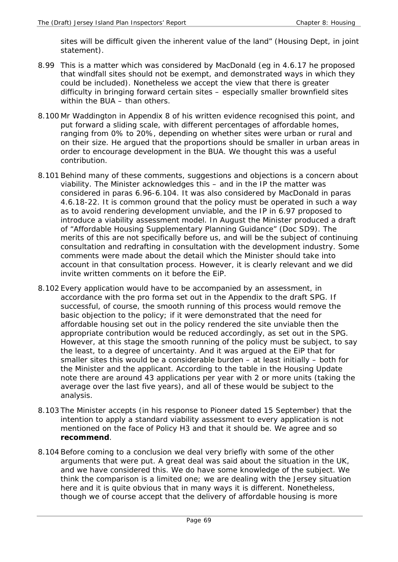sites will be difficult given the inherent value of the land" (Housing Dept, in joint statement).

- 8.99 This is a matter which was considered by MacDonald (eg in 4.6.17 he proposed that windfall sites should not be exempt, and demonstrated ways in which they could be included). Nonetheless we accept the view that there is greater difficulty in bringing forward certain sites – especially smaller brownfield sites within the BUA – than others.
- 8.100 Mr Waddington in Appendix 8 of his written evidence recognised this point, and put forward a sliding scale, with different percentages of affordable homes, ranging from 0% to 20%, depending on whether sites were urban or rural and on their size. He argued that the proportions should be smaller in urban areas in order to encourage development in the BUA. We thought this was a useful contribution.
- 8.101 Behind many of these comments, suggestions and objections is a concern about viability. The Minister acknowledges this – and in the IP the matter was considered in paras 6.96-6.104. It was also considered by MacDonald in paras 4.6.18-22. It is common ground that the policy must be operated in such a way as to avoid rendering development unviable, and the IP in 6.97 proposed to introduce a viability assessment model. In August the Minister produced a draft of "Affordable Housing Supplementary Planning Guidance" (Doc SD9). The merits of this are not specifically before us, and will be the subject of continuing consultation and redrafting in consultation with the development industry. Some comments were made about the detail which the Minister should take into account in that consultation process. However, it is clearly relevant and we did invite written comments on it before the EiP.
- 8.102 Every application would have to be accompanied by an assessment, in accordance with the pro forma set out in the Appendix to the draft SPG. If successful, of course, the smooth running of this process would remove the basic objection to the policy; if it were demonstrated that the need for affordable housing set out in the policy rendered the site unviable then the appropriate contribution would be reduced accordingly, as set out in the SPG. However, at this stage the smooth running of the policy must be subject, to say the least, to a degree of uncertainty. And it was argued at the EiP that for smaller sites this would be a considerable burden – at least initially – both for the Minister and the applicant. According to the table in the Housing Update note there are around 43 applications per year with 2 or more units (taking the average over the last five years), and all of these would be subject to the analysis.
- 8.103 The Minister accepts (in his response to Pioneer dated 15 September) that the intention to apply a standard viability assessment to every application is not mentioned on the face of Policy H3 and that it should be. We agree and so **recommend**.
- 8.104 Before coming to a conclusion we deal very briefly with some of the other arguments that were put. A great deal was said about the situation in the UK, and we have considered this. We do have some knowledge of the subject. We think the comparison is a limited one; we are dealing with the Jersey situation here and it is quite obvious that in many ways it is different. Nonetheless, though we of course accept that the delivery of affordable housing is more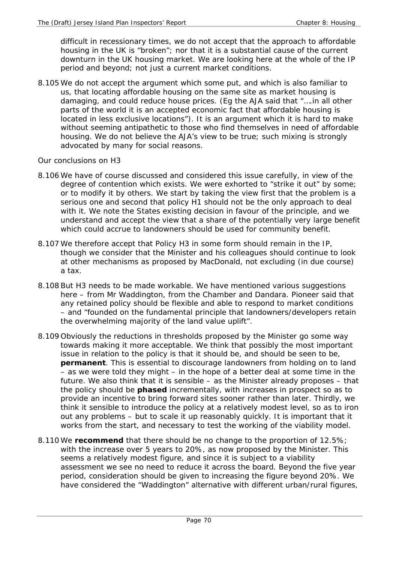difficult in recessionary times, we do not accept that the approach to affordable housing in the UK is "broken"; nor that it is a substantial cause of the current downturn in the UK housing market. We are looking here at the whole of the IP period and beyond; not just a current market conditions.

8.105 We do not accept the argument which some put, and which is also familiar to us, that locating affordable housing on the same site as market housing is damaging, and could reduce house prices. (Eg the AJA said that "….in all other parts of the world it is an accepted economic fact that affordable housing is located in less exclusive locations"). It is an argument which it is hard to make without seeming antipathetic to those who find themselves in need of affordable housing. We do not believe the AJA's view to be true; such mixing is strongly advocated by many for social reasons.

# *Our conclusions on H3*

- 8.106 We have of course discussed and considered this issue carefully, in view of the degree of contention which exists. We were exhorted to "strike it out" by some; or to modify it by others. We start by taking the view first that the problem is a serious one and second that policy H1 should not be the only approach to deal with it. We note the States existing decision in favour of the principle, and we understand and accept the view that a share of the potentially very large benefit which could accrue to landowners should be used for community benefit.
- 8.107 We therefore accept that Policy H3 in some form should remain in the IP, though we consider that the Minister and his colleagues should continue to look at other mechanisms as proposed by MacDonald, not excluding (in due course) a tax.
- 8.108 But H3 needs to be made workable. We have mentioned various suggestions here – from Mr Waddington, from the Chamber and Dandara. Pioneer said that any retained policy should be flexible and able to respond to market conditions – and "founded on the fundamental principle that landowners/developers retain the overwhelming majority of the land value uplift".
- 8.109 Obviously the reductions in thresholds proposed by the Minister go some way towards making it more acceptable. We think that possibly the most important issue in relation to the policy is that it should be, and should be seen to be, **permanent**. This is essential to discourage landowners from holding on to land – as we were told they might – in the hope of a better deal at some time in the future. We also think that it is sensible – as the Minister already proposes – that the policy should be **phased** incrementally, with increases in prospect so as to provide an incentive to bring forward sites sooner rather than later. Thirdly, we think it sensible to introduce the policy at a relatively modest level, so as to iron out any problems – but to scale it up reasonably quickly. It is important that it works from the start, and necessary to test the working of the viability model.
- 8.110 We **recommend** that there should be no change to the proportion of 12.5%; with the increase over 5 years to 20%, as now proposed by the Minister. This seems a relatively modest figure, and since it is subject to a viability assessment we see no need to reduce it across the board. Beyond the five year period, consideration should be given to increasing the figure beyond 20%. We have considered the "Waddington" alternative with different urban/rural figures,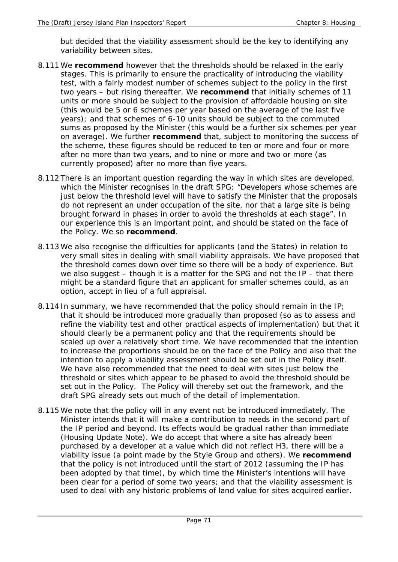but decided that the viability assessment should be the key to identifying any variability between sites.

- 8.111 We **recommend** however that the thresholds should be relaxed in the early stages. This is primarily to ensure the practicality of introducing the viability test, with a fairly modest number of schemes subject to the policy in the first two years – but rising thereafter. We **recommend** that initially schemes of 11 units or more should be subject to the provision of affordable housing on site (this would be 5 or 6 schemes per year based on the average of the last five years); and that schemes of 6-10 units should be subject to the commuted sums as proposed by the Minister (this would be a further six schemes per year on average). We further **recommend** that, subject to monitoring the success of the scheme, these figures should be reduced to ten or more and four or more after no more than two years, and to nine or more and two or more (as currently proposed) after no more than five years.
- 8.112 There is an important question regarding the way in which sites are developed, which the Minister recognises in the draft SPG: "Developers whose schemes are just below the threshold level will have to satisfy the Minister that the proposals do not represent an under occupation of the site, nor that a large site is being brought forward in phases in order to avoid the thresholds at each stage". In our experience this is an important point, and should be stated on the face of the Policy. We so **recommend**.
- 8.113 We also recognise the difficulties for applicants (and the States) in relation to very small sites in dealing with small viability appraisals. We have proposed that the threshold comes down over time so there will be a body of experience. But we also suggest – though it is a matter for the SPG and not the IP – that there might be a standard figure that an applicant for smaller schemes could, as an option, accept in lieu of a full appraisal.
- 8.114 In summary, we have recommended that the policy should remain in the IP; that it should be introduced more gradually than proposed (so as to assess and refine the viability test and other practical aspects of implementation) but that it should clearly be a permanent policy and that the requirements should be scaled up over a relatively short time. We have recommended that the intention to increase the proportions should be on the face of the Policy and also that the intention to apply a viability assessment should be set out in the Policy itself. We have also recommended that the need to deal with sites just below the threshold or sites which appear to be phased to avoid the threshold should be set out in the Policy. The Policy will thereby set out the framework, and the draft SPG already sets out much of the detail of implementation.
- 8.115 We note that the policy will in any event not be introduced immediately. The Minister intends that it will make a contribution to needs in the second part of the IP period and beyond. Its effects would be gradual rather than immediate (Housing Update Note). We do accept that where a site has already been purchased by a developer at a value which did not reflect H3, there will be a viability issue (a point made by the Style Group and others). We **recommend**  that the policy is not introduced until the start of 2012 (assuming the IP has been adopted by that time), by which time the Minister's intentions will have been clear for a period of some two years; and that the viability assessment is used to deal with any historic problems of land value for sites acquired earlier.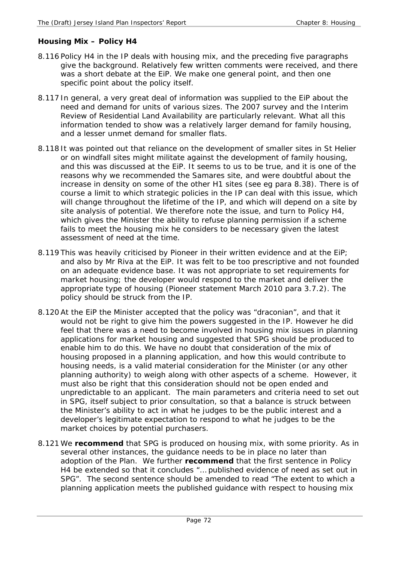# **Housing Mix – Policy H4**

- 8.116 Policy H4 in the IP deals with housing mix, and the preceding five paragraphs give the background. Relatively few written comments were received, and there was a short debate at the EiP. We make one general point, and then one specific point about the policy itself.
- 8.117 In general, a very great deal of information was supplied to the EiP about the need and demand for units of various sizes. The 2007 survey and the Interim Review of Residential Land Availability are particularly relevant. What all this information tended to show was a relatively larger demand for family housing, and a lesser unmet demand for smaller flats.
- 8.118 It was pointed out that reliance on the development of smaller sites in St Helier or on windfall sites might militate against the development of family housing, and this was discussed at the EiP. It seems to us to be true, and it is one of the reasons why we recommended the Samares site, and were doubtful about the increase in density on some of the other H1 sites (see eg para 8.38). There is of course a limit to which strategic policies in the IP can deal with this issue, which will change throughout the lifetime of the IP, and which will depend on a site by site analysis of potential. We therefore note the issue, and turn to Policy H4, which gives the Minister the ability to refuse planning permission if a scheme fails to meet the housing mix he considers to be necessary given the latest assessment of need at the time.
- 8.119 This was heavily criticised by Pioneer in their written evidence and at the EiP; and also by Mr Riva at the EiP. It was felt to be too prescriptive and not founded on an adequate evidence base. It was not appropriate to set requirements for market housing; the developer would respond to the market and deliver the appropriate type of housing (Pioneer statement March 2010 para 3.7.2). The policy should be struck from the IP.
- 8.120 At the EiP the Minister accepted that the policy was "draconian", and that it would not be right to give him the powers suggested in the IP. However he did feel that there was a need to become involved in housing mix issues in planning applications for market housing and suggested that SPG should be produced to enable him to do this. We have no doubt that consideration of the mix of housing proposed in a planning application, and how this would contribute to housing needs, is a valid material consideration for the Minister (or any other planning authority) to weigh along with other aspects of a scheme. However, it must also be right that this consideration should not be open ended and unpredictable to an applicant. The main parameters and criteria need to set out in SPG, itself subject to prior consultation, so that a balance is struck between the Minister's ability to act in what he judges to be the public interest and a developer's legitimate expectation to respond to what he judges to be the market choices by potential purchasers.
- 8.121 We **recommend** that SPG is produced on housing mix, with some priority. As in several other instances, the guidance needs to be in place no later than adoption of the Plan. We further **recommend** that the first sentence in Policy H4 be extended so that it concludes "… published evidence of need as set out in SPG". The second sentence should be amended to read "The extent to which a planning application meets the published guidance with respect to housing mix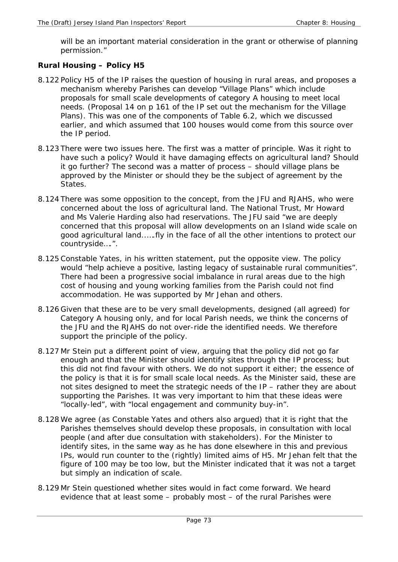will be an important material consideration in the grant or otherwise of planning permission."

## **Rural Housing – Policy H5**

- 8.122 Policy H5 of the IP raises the question of housing in rural areas, and proposes a mechanism whereby Parishes can develop "Village Plans" which include proposals for small scale developments of category A housing to meet local needs. (Proposal 14 on p 161 of the IP set out the mechanism for the Village Plans). This was one of the components of Table 6.2, which we discussed earlier, and which assumed that 100 houses would come from this source over the IP period.
- 8.123 There were two issues here. The first was a matter of principle. Was it right to have such a policy? Would it have damaging effects on agricultural land? Should it go further? The second was a matter of process – should village plans be approved by the Minister or should they be the subject of agreement by the States.
- 8.124 There was some opposition to the concept, from the JFU and RJAHS, who were concerned about the loss of agricultural land. The National Trust, Mr Howard and Ms Valerie Harding also had reservations. The JFU said "we are deeply concerned that this proposal will allow developments on an Island wide scale on good agricultural land..….fly in the face of all the other intentions to protect our countryside….".
- 8.125 Constable Yates, in his written statement, put the opposite view. The policy would "help achieve a positive, lasting legacy of sustainable rural communities". There had been a progressive social imbalance in rural areas due to the high cost of housing and young working families from the Parish could not find accommodation. He was supported by Mr Jehan and others.
- 8.126 Given that these are to be very small developments, designed (all agreed) for Category A housing only, and for local Parish needs, we think the concerns of the JFU and the RJAHS do not over-ride the identified needs. We therefore support the principle of the policy.
- 8.127 Mr Stein put a different point of view, arguing that the policy did not go far enough and that the Minister should identify sites through the IP process; but this did not find favour with others. We do not support it either; the essence of the policy is that it is for small scale local needs. As the Minister said, these are not sites designed to meet the strategic needs of the IP – rather they are about supporting the Parishes. It was very important to him that these ideas were "locally-led", with "local engagement and community buy-in".
- 8.128 We agree (as Constable Yates and others also argued) that it is right that the Parishes themselves should develop these proposals, in consultation with local people (and after due consultation with stakeholders). For the Minister to identify sites, in the same way as he has done elsewhere in this and previous IPs, would run counter to the (rightly) limited aims of H5. Mr Jehan felt that the figure of 100 may be too low, but the Minister indicated that it was not a target but simply an indication of scale.
- 8.129 Mr Stein questioned whether sites would in fact come forward. We heard evidence that at least some – probably most – of the rural Parishes were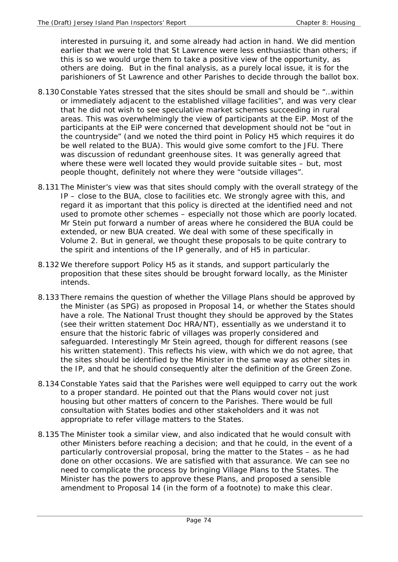interested in pursuing it, and some already had action in hand. We did mention earlier that we were told that St Lawrence were less enthusiastic than others; if this is so we would urge them to take a positive view of the opportunity, as others are doing. But in the final analysis, as a purely local issue, it is for the parishioners of St Lawrence and other Parishes to decide through the ballot box.

- 8.130 Constable Yates stressed that the sites should be small and should be "…within or immediately adjacent to the established village facilities", and was very clear that he did not wish to see speculative market schemes succeeding in rural areas. This was overwhelmingly the view of participants at the EiP. Most of the participants at the EiP were concerned that development should not be "out in the countryside" (and we noted the third point in Policy H5 which requires it do be well related to the BUA). This would give some comfort to the JFU. There was discussion of redundant greenhouse sites. It was generally agreed that where these were well located they would provide suitable sites – but, most people thought, definitely not where they were "outside villages".
- 8.131 The Minister's view was that sites should comply with the overall strategy of the IP – close to the BUA, close to facilities etc. We strongly agree with this, and regard it as important that this policy is directed at the identified need and not used to promote other schemes – especially not those which are poorly located. Mr Stein put forward a number of areas where he considered the BUA could be extended, or new BUA created. We deal with some of these specifically in Volume 2. But in general, we thought these proposals to be quite contrary to the spirit and intentions of the IP generally, and of H5 in particular.
- 8.132 We therefore support Policy H5 as it stands, and support particularly the proposition that these sites should be brought forward locally, as the Minister intends.
- 8.133 There remains the question of whether the Village Plans should be approved by the Minister (as SPG) as proposed in Proposal 14, or whether the States should have a role. The National Trust thought they should be approved by the States (see their written statement Doc HRA/NT), essentially as we understand it to ensure that the historic fabric of villages was properly considered and safeguarded. Interestingly Mr Stein agreed, though for different reasons (see his written statement). This reflects his view, with which we do not agree, that the sites should be identified by the Minister in the same way as other sites in the IP, and that he should consequently alter the definition of the Green Zone.
- 8.134 Constable Yates said that the Parishes were well equipped to carry out the work to a proper standard. He pointed out that the Plans would cover not just housing but other matters of concern to the Parishes. There would be full consultation with States bodies and other stakeholders and it was not appropriate to refer village matters to the States.
- 8.135 The Minister took a similar view, and also indicated that he would consult with other Ministers before reaching a decision; and that he could, in the event of a particularly controversial proposal, bring the matter to the States – as he had done on other occasions. We are satisfied with that assurance. We can see no need to complicate the process by bringing Village Plans to the States. The Minister has the powers to approve these Plans, and proposed a sensible amendment to Proposal 14 (in the form of a footnote) to make this clear.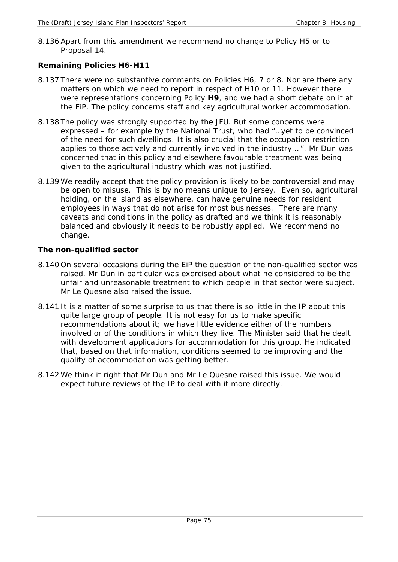8.136 Apart from this amendment we recommend no change to Policy H5 or to Proposal 14.

# **Remaining Policies H6-H11**

- 8.137 There were no substantive comments on Policies H6, 7 or 8. Nor are there any matters on which we need to report in respect of H10 or 11. However there were representations concerning Policy **H9**, and we had a short debate on it at the EiP. The policy concerns staff and key agricultural worker accommodation.
- 8.138 The policy was strongly supported by the JFU. But some concerns were expressed – for example by the National Trust, who had "…yet to be convinced of the need for such dwellings. It is also crucial that the occupation restriction applies to those actively and currently involved in the industry….". Mr Dun was concerned that in this policy and elsewhere favourable treatment was being given to the agricultural industry which was not justified.
- 8.139 We readily accept that the policy provision is likely to be controversial and may be open to misuse. This is by no means unique to Jersey. Even so, agricultural holding, on the island as elsewhere, can have genuine needs for resident employees in ways that do not arise for most businesses. There are many caveats and conditions in the policy as drafted and we think it is reasonably balanced and obviously it needs to be robustly applied. We recommend no change.

# **The non-qualified sector**

- 8.140 On several occasions during the EiP the question of the non-qualified sector was raised. Mr Dun in particular was exercised about what he considered to be the unfair and unreasonable treatment to which people in that sector were subject. Mr Le Quesne also raised the issue.
- 8.141 It is a matter of some surprise to us that there is so little in the IP about this quite large group of people. It is not easy for us to make specific recommendations about it; we have little evidence either of the numbers involved or of the conditions in which they live. The Minister said that he dealt with development applications for accommodation for this group. He indicated that, based on that information, conditions seemed to be improving and the quality of accommodation was getting better.
- 8.142 We think it right that Mr Dun and Mr Le Quesne raised this issue. We would expect future reviews of the IP to deal with it more directly.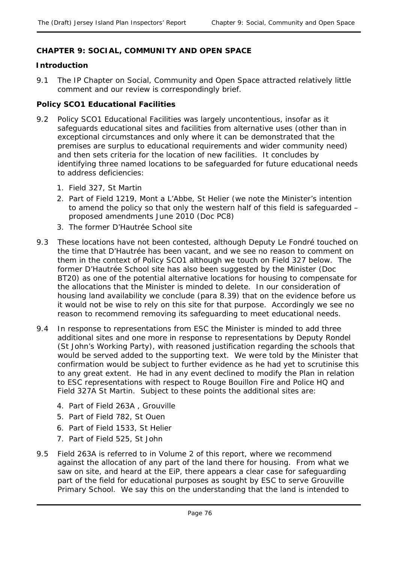# **CHAPTER 9: SOCIAL, COMMUNITY AND OPEN SPACE**

## **Introduction**

9.1 The IP Chapter on Social, Community and Open Space attracted relatively little comment and our review is correspondingly brief.

## **Policy SCO1 Educational Facilities**

- 9.2 Policy SCO1 Educational Facilities was largely uncontentious, insofar as it safeguards educational sites and facilities from alternative uses (other than in exceptional circumstances and only where it can be demonstrated that the premises are surplus to educational requirements and wider community need) and then sets criteria for the location of new facilities. It concludes by identifying three named locations to be safeguarded for future educational needs to address deficiencies:
	- 1. Field 327, St Martin
	- 2. Part of Field 1219, Mont a L'Abbe, St Helier (we note the Minister's intention to amend the policy so that only the western half of this field is safeguarded – proposed amendments June 2010 (Doc PC8)
	- 3. The former D'Hautrée School site
- 9.3 These locations have not been contested, although Deputy Le Fondré touched on the time that D'Hautrée has been vacant, and we see no reason to comment on them in the context of Policy SCO1 although we touch on Field 327 below. The former D'Hautrée School site has also been suggested by the Minister (Doc BT20) as one of the potential alternative locations for housing to compensate for the allocations that the Minister is minded to delete. In our consideration of housing land availability we conclude (para 8.39) that on the evidence before us it would not be wise to rely on this site for that purpose. Accordingly we see no reason to recommend removing its safeguarding to meet educational needs.
- 9.4 In response to representations from ESC the Minister is minded to add three additional sites and one more in response to representations by Deputy Rondel (St John's Working Party), with reasoned justification regarding the schools that would be served added to the supporting text. We were told by the Minister that confirmation would be subject to further evidence as he had yet to scrutinise this to any great extent. He had in any event declined to modify the Plan in relation to ESC representations with respect to Rouge Bouillon Fire and Police HQ and Field 327A St Martin. Subject to these points the additional sites are:
	- 4. Part of Field 263A , Grouville
	- 5. Part of Field 782, St Ouen
	- 6. Part of Field 1533, St Helier
	- 7. Part of Field 525, St John
- 9.5 Field 263A is referred to in Volume 2 of this report, where we recommend against the allocation of any part of the land there for housing. From what we saw on site, and heard at the EiP, there appears a clear case for safeguarding part of the field for educational purposes as sought by ESC to serve Grouville Primary School. We say this on the understanding that the land is intended to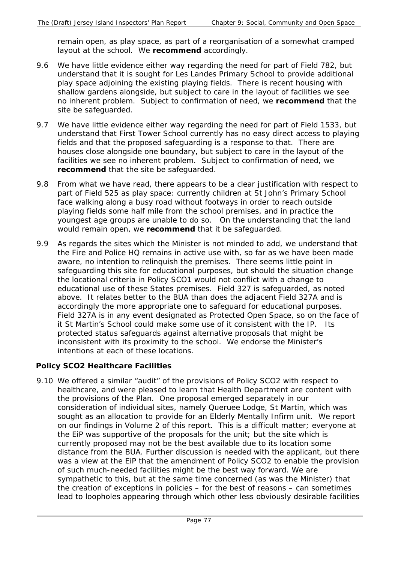remain open, as play space, as part of a reorganisation of a somewhat cramped layout at the school. We **recommend** accordingly.

- 9.6 We have little evidence either way regarding the need for part of Field 782, but understand that it is sought for Les Landes Primary School to provide additional play space adjoining the existing playing fields. There is recent housing with shallow gardens alongside, but subject to care in the layout of facilities we see no inherent problem. Subject to confirmation of need, we **recommend** that the site be safeguarded.
- 9.7 We have little evidence either way regarding the need for part of Field 1533, but understand that First Tower School currently has no easy direct access to playing fields and that the proposed safeguarding is a response to that. There are houses close alongside one boundary, but subject to care in the layout of the facilities we see no inherent problem. Subject to confirmation of need, we **recommend** that the site be safeguarded.
- 9.8 From what we have read, there appears to be a clear justification with respect to part of Field 525 as play space: currently children at St John's Primary School face walking along a busy road without footways in order to reach outside playing fields some half mile from the school premises, and in practice the youngest age groups are unable to do so. On the understanding that the land would remain open, we **recommend** that it be safeguarded.
- 9.9 As regards the sites which the Minister is not minded to add, we understand that the Fire and Police HQ remains in active use with, so far as we have been made aware, no intention to relinquish the premises. There seems little point in safeguarding this site for educational purposes, but should the situation change the locational criteria in Policy SCO1 would not conflict with a change to educational use of these States premises. Field 327 is safeguarded, as noted above. It relates better to the BUA than does the adjacent Field 327A and is accordingly the more appropriate one to safeguard for educational purposes. Field 327A is in any event designated as Protected Open Space, so on the face of it St Martin's School could make some use of it consistent with the IP. Its protected status safeguards against alternative proposals that might be inconsistent with its proximity to the school. We endorse the Minister's intentions at each of these locations.

## **Policy SCO2 Healthcare Facilities**

9.10 We offered a similar "audit" of the provisions of Policy SCO2 with respect to healthcare, and were pleased to learn that Health Department are content with the provisions of the Plan. One proposal emerged separately in our consideration of individual sites, namely Queruee Lodge, St Martin, which was sought as an allocation to provide for an Elderly Mentally Infirm unit. We report on our findings in Volume 2 of this report. This is a difficult matter; everyone at the EiP was supportive of the proposals for the unit; but the site which is currently proposed may not be the best available due to its location some distance from the BUA. Further discussion is needed with the applicant, but there was a view at the EiP that the amendment of Policy SCO2 to enable the provision of such much-needed facilities might be the best way forward. We are sympathetic to this, but at the same time concerned (as was the Minister) that the creation of exceptions in policies – for the best of reasons – can sometimes lead to loopholes appearing through which other less obviously desirable facilities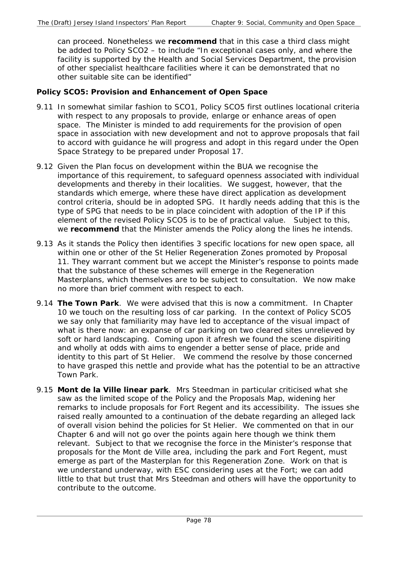can proceed. Nonetheless we **recommend** that in this case a third class might be added to Policy SCO2 – to include "In exceptional cases only, and where the facility is supported by the Health and Social Services Department, the provision of other specialist healthcare facilities where it can be demonstrated that no other suitable site can be identified"

## **Policy SCO5: Provision and Enhancement of Open Space**

- 9.11 In somewhat similar fashion to SCO1, Policy SCO5 first outlines locational criteria with respect to any proposals to provide, enlarge or enhance areas of open space. The Minister is minded to add requirements for the provision of open space in association with new development and not to approve proposals that fail to accord with guidance he will progress and adopt in this regard under the Open Space Strategy to be prepared under Proposal 17.
- 9.12 Given the Plan focus on development within the BUA we recognise the importance of this requirement, to safeguard openness associated with individual developments and thereby in their localities. We suggest, however, that the standards which emerge, where these have direct application as development control criteria, should be in adopted SPG. It hardly needs adding that this is the type of SPG that needs to be in place coincident with adoption of the IP if this element of the revised Policy SCO5 is to be of practical value. Subject to this, we **recommend** that the Minister amends the Policy along the lines he intends.
- 9.13 As it stands the Policy then identifies 3 specific locations for new open space, all within one or other of the St Helier Regeneration Zones promoted by Proposal 11. They warrant comment but we accept the Minister's response to points made that the substance of these schemes will emerge in the Regeneration Masterplans, which themselves are to be subject to consultation. We now make no more than brief comment with respect to each.
- 9.14 **The Town Park**. We were advised that this is now a commitment. In Chapter 10 we touch on the resulting loss of car parking. In the context of Policy SCO5 we say only that familiarity may have led to acceptance of the visual impact of what is there now: an expanse of car parking on two cleared sites unrelieved by soft or hard landscaping. Coming upon it afresh we found the scene dispiriting and wholly at odds with aims to engender a better sense of place, pride and identity to this part of St Helier. We commend the resolve by those concerned to have grasped this nettle and provide what has the potential to be an attractive Town Park.
- 9.15 **Mont de la Ville linear park**. Mrs Steedman in particular criticised what she saw as the limited scope of the Policy and the Proposals Map, widening her remarks to include proposals for Fort Regent and its accessibility. The issues she raised really amounted to a continuation of the debate regarding an alleged lack of overall vision behind the policies for St Helier. We commented on that in our Chapter 6 and will not go over the points again here though we think them relevant. Subject to that we recognise the force in the Minister's response that proposals for the Mont de Ville area, including the park and Fort Regent, must emerge as part of the Masterplan for this Regeneration Zone. Work on that is we understand underway, with ESC considering uses at the Fort; we can add little to that but trust that Mrs Steedman and others will have the opportunity to contribute to the outcome.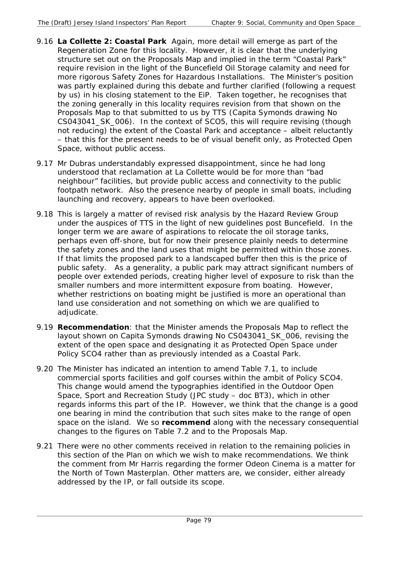- 9.16 **La Collette 2: Coastal Park** Again, more detail will emerge as part of the Regeneration Zone for this locality. However, it is clear that the underlying structure set out on the Proposals Map and implied in the term "Coastal Park" require revision in the light of the Buncefield Oil Storage calamity and need for more rigorous Safety Zones for Hazardous Installations. The Minister's position was partly explained during this debate and further clarified (following a request by us) in his closing statement to the EiP. Taken together, he recognises that the zoning generally in this locality requires revision from that shown on the Proposals Map to that submitted to us by TTS (Capita Symonds drawing No CS043041\_SK\_006). In the context of SCO5, this will require revising (though not reducing) the extent of the Coastal Park and acceptance – albeit reluctantly – that this for the present needs to be of visual benefit only, as Protected Open Space, without public access.
- 9.17 Mr Dubras understandably expressed disappointment, since he had long understood that reclamation at La Collette would be for more than "bad neighbour" facilities, but provide public access and connectivity to the public footpath network. Also the presence nearby of people in small boats, including launching and recovery, appears to have been overlooked.
- 9.18 This is largely a matter of revised risk analysis by the Hazard Review Group under the auspices of TTS in the light of new guidelines post Buncefield. In the longer term we are aware of aspirations to relocate the oil storage tanks, perhaps even off-shore, but for now their presence plainly needs to determine the safety zones and the land uses that might be permitted within those zones. If that limits the proposed park to a landscaped buffer then this is the price of public safety. As a generality, a public park may attract significant numbers of people over extended periods, creating higher level of exposure to risk than the smaller numbers and more intermittent exposure from boating. However, whether restrictions on boating might be justified is more an operational than land use consideration and not something on which we are qualified to adjudicate.
- 9.19 **Recommendation**: that the Minister amends the Proposals Map to reflect the layout shown on Capita Symonds drawing No CS043041\_SK\_006, revising the extent of the open space and designating it as Protected Open Space under Policy SCO4 rather than as previously intended as a Coastal Park.
- 9.20 The Minister has indicated an intention to amend Table 7.1, to include commercial sports facilities and golf courses within the ambit of Policy SCO4. This change would amend the typographies identified in the Outdoor Open Space, Sport and Recreation Study (JPC study – doc BT3), which in other regards informs this part of the IP. However, we think that the change is a good one bearing in mind the contribution that such sites make to the range of open space on the island. We so **recommend** along with the necessary consequential changes to the figures on Table 7.2 and to the Proposals Map.
- 9.21 There were no other comments received in relation to the remaining policies in this section of the Plan on which we wish to make recommendations. We think the comment from Mr Harris regarding the former Odeon Cinema is a matter for the North of Town Masterplan. Other matters are, we consider, either already addressed by the IP, or fall outside its scope.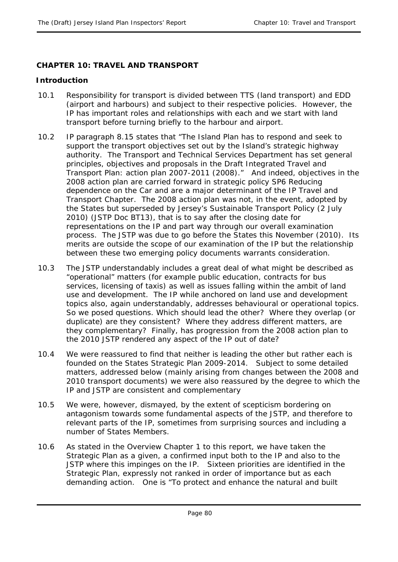# **CHAPTER 10: TRAVEL AND TRANSPORT**

## **Introduction**

- 10.1 Responsibility for transport is divided between TTS (land transport) and EDD (airport and harbours) and subject to their respective policies. However, the IP has important roles and relationships with each and we start with land transport before turning briefly to the harbour and airport.
- 10.2 IP paragraph 8.15 states that "The Island Plan has to respond and seek to support the transport objectives set out by the Island's strategic highway authority. The Transport and Technical Services Department has set general principles, objectives and proposals in the Draft Integrated Travel and Transport Plan: action plan 2007-2011 (2008)." And indeed, objectives in the 2008 action plan are carried forward in strategic policy SP6 Reducing dependence on the Car and are a major determinant of the IP Travel and Transport Chapter. The 2008 action plan was not, in the event, adopted by the States but superseded by Jersey's Sustainable Transport Policy (2 July 2010) (JSTP Doc BT13), that is to say after the closing date for representations on the IP and part way through our overall examination process. The JSTP was due to go before the States this November (2010). Its merits are outside the scope of our examination of the IP but the relationship between these two emerging policy documents warrants consideration.
- 10.3 The JSTP understandably includes a great deal of what might be described as "operational" matters (for example public education, contracts for bus services, licensing of taxis) as well as issues falling within the ambit of land use and development. The IP while anchored on land use and development topics also, again understandably, addresses behavioural or operational topics. So we posed questions. Which should lead the other? Where they overlap (or duplicate) are they consistent? Where they address different matters, are they complementary? Finally, has progression from the 2008 action plan to the 2010 JSTP rendered any aspect of the IP out of date?
- 10.4 We were reassured to find that neither is leading the other but rather each is founded on the States Strategic Plan 2009-2014. Subject to some detailed matters, addressed below (mainly arising from changes between the 2008 and 2010 transport documents) we were also reassured by the degree to which the IP and JSTP are consistent and complementary
- 10.5 We were, however, dismayed, by the extent of scepticism bordering on antagonism towards some fundamental aspects of the JSTP, and therefore to relevant parts of the IP, sometimes from surprising sources and including a number of States Members.
- 10.6 As stated in the Overview Chapter 1 to this report, we have taken the Strategic Plan as a given, a confirmed input both to the IP and also to the JSTP where this impinges on the IP. Sixteen priorities are identified in the Strategic Plan, expressly not ranked in order of importance but as each demanding action. One is "To protect and enhance the natural and built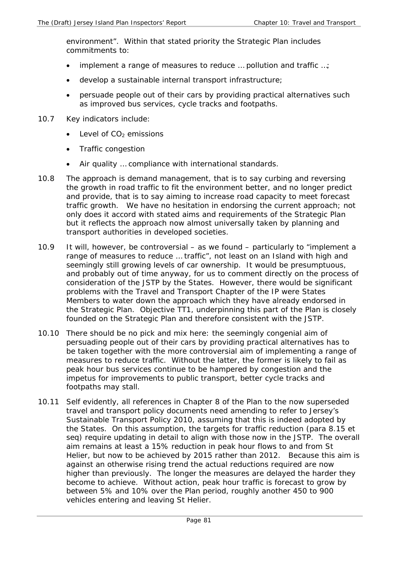environment". Within that stated priority the Strategic Plan includes commitments to:

- implement a range of measures to reduce ... pollution and traffic ...;
- develop a sustainable internal transport infrastructure;
- persuade people out of their cars by providing practical alternatives such as improved bus services, cycle tracks and footpaths.
- 10.7 Key indicators include:
	- Level of  $CO<sub>2</sub>$  emissions
	- Traffic congestion
	- Air quality ... compliance with international standards.
- 10.8 The approach is demand management, that is to say curbing and reversing the growth in road traffic to fit the environment better, and no longer predict and provide, that is to say aiming to increase road capacity to meet forecast traffic growth. We have no hesitation in endorsing the current approach; not only does it accord with stated aims and requirements of the Strategic Plan but it reflects the approach now almost universally taken by planning and transport authorities in developed societies.
- 10.9 It will, however, be controversial as we found particularly to "implement a range of measures to reduce … traffic", not least on an Island with high and seemingly still growing levels of car ownership. It would be presumptuous, and probably out of time anyway, for us to comment directly on the process of consideration of the JSTP by the States. However, there would be significant problems with the Travel and Transport Chapter of the IP were States Members to water down the approach which they have already endorsed in the Strategic Plan. Objective TT1, underpinning this part of the Plan is closely founded on the Strategic Plan and therefore consistent with the JSTP.
- 10.10 There should be no pick and mix here: the seemingly congenial aim of persuading people out of their cars by providing practical alternatives has to be taken together with the more controversial aim of implementing a range of measures to reduce traffic. Without the latter, the former is likely to fail as peak hour bus services continue to be hampered by congestion and the impetus for improvements to public transport, better cycle tracks and footpaths may stall.
- 10.11 Self evidently, all references in Chapter 8 of the Plan to the now superseded travel and transport policy documents need amending to refer to Jersey's Sustainable Transport Policy 2010, assuming that this is indeed adopted by the States. On this assumption, the targets for traffic reduction (para 8.15 et seq) require updating in detail to align with those now in the JSTP. The overall aim remains at least a 15% reduction in peak hour flows to and from St Helier, but now to be achieved by 2015 rather than 2012. Because this aim is against an otherwise rising trend the actual reductions required are now higher than previously. The longer the measures are delayed the harder they become to achieve. Without action, peak hour traffic is forecast to grow by between 5% and 10% over the Plan period, roughly another 450 to 900 vehicles entering and leaving St Helier.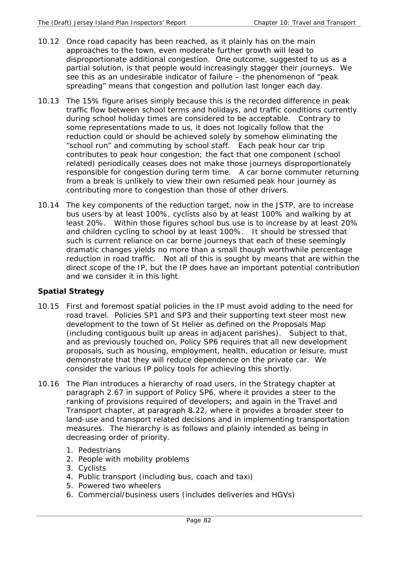- 10.12 Once road capacity has been reached, as it plainly has on the main approaches to the town, even moderate further growth will lead to disproportionate additional congestion. One outcome, suggested to us as a partial solution, is that people would increasingly stagger their journeys. We see this as an undesirable indicator of failure – the phenomenon of "peak spreading" means that congestion and pollution last longer each day.
- 10.13 The 15% figure arises simply because this is the recorded difference in peak traffic flow between school terms and holidays, and traffic conditions currently during school holiday times are considered to be acceptable. Contrary to some representations made to us, it does not logically follow that the reduction could or should be achieved solely by somehow eliminating the "school run" and commuting by school staff. Each peak hour car trip contributes to peak hour congestion; the fact that one component (school related) periodically ceases does not make those journeys disproportionately responsible for congestion during term time. A car borne commuter returning from a break is unlikely to view their own resumed peak hour journey as contributing more to congestion than those of other drivers.
- 10.14 The key components of the reduction target, now in the JSTP, are to increase bus users by at least 100%, cyclists also by at least 100% and walking by at least 20%. Within those figures school bus use is to increase by at least 20% and children cycling to school by at least 100%. It should be stressed that such is current reliance on car borne journeys that each of these seemingly dramatic changes yields no more than a small though worthwhile percentage reduction in road traffic. Not all of this is sought by means that are within the direct scope of the IP, but the IP does have an important potential contribution and we consider it in this light.

# **Spatial Strategy**

- 10.15 First and foremost spatial policies in the IP must avoid adding to the need for road travel. Policies SP1 and SP3 and their supporting text steer most new development to the town of St Helier as defined on the Proposals Map (including contiguous built up areas in adjacent parishes). Subject to that, and as previously touched on, Policy SP6 requires that all new development proposals, such as housing, employment, health, education or leisure, must demonstrate that they will reduce dependence on the private car. We consider the various IP policy tools for achieving this shortly.
- 10.16 The Plan introduces a hierarchy of road users, in the Strategy chapter at paragraph 2.67 in support of Policy SP6, where it provides a steer to the ranking of provisions required of developers; and again in the Travel and Transport chapter, at paragraph 8.22, where it provides a broader steer to land-use and transport related decisions and in implementing transportation measures. The hierarchy is as follows and plainly intended as being in decreasing order of priority.
	- 1. Pedestrians
	- 2. People with mobility problems
	- 3. Cyclists
	- 4. Public transport (including bus, coach and taxi)
	- 5. Powered two wheelers
	- 6. Commercial/business users (includes deliveries and HGVs)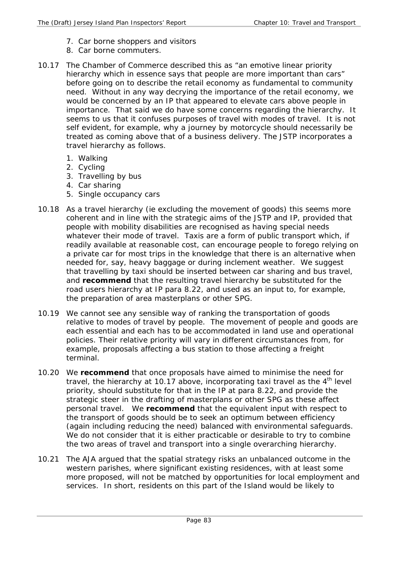- 7. Car borne shoppers and visitors
- 8. Car borne commuters.
- 10.17 The Chamber of Commerce described this as "an emotive linear priority hierarchy which in essence says that people are more important than cars" before going on to describe the retail economy as fundamental to community need. Without in any way decrying the importance of the retail economy, we would be concerned by an IP that appeared to elevate cars above people in importance. That said we do have some concerns regarding the hierarchy. It seems to us that it confuses purposes of travel with modes of travel. It is not self evident, for example, why a journey by motorcycle should necessarily be treated as coming above that of a business delivery. The JSTP incorporates a travel hierarchy as follows.
	- 1. Walking
	- 2. Cycling
	- 3. Travelling by bus
	- 4. Car sharing
	- 5. Single occupancy cars
- 10.18 As a *travel* hierarchy (ie excluding the movement of goods) this seems more coherent and in line with the strategic aims of the JSTP and IP, provided that people with mobility disabilities are recognised as having special needs whatever their mode of travel. Taxis are a form of public transport which, if readily available at reasonable cost, can encourage people to forego relying on a private car for most trips in the knowledge that there is an alternative when needed for, say, heavy baggage or during inclement weather. We suggest that travelling by taxi should be inserted between car sharing and bus travel, and **recommend** that the resulting travel hierarchy be substituted for the road users hierarchy at IP para 8.22, and used as an input to, for example, the preparation of area masterplans or other SPG.
- 10.19 We cannot see any sensible way of ranking the transportation of goods relative to modes of travel by people. The movement of people and goods are each essential and each has to be accommodated in land use and operational policies. Their relative priority will vary in different circumstances from, for example, proposals affecting a bus station to those affecting a freight terminal.
- 10.20 We **recommend** that once proposals have aimed to minimise the need for travel, the hierarchy at 10.17 above, incorporating taxi travel as the  $4<sup>th</sup>$  level priority, should substitute for that in the IP at para 8.22, and provide the strategic steer in the drafting of masterplans or other SPG as these affect personal travel. We **recommend** that the equivalent input with respect to the transport of goods should be to seek an optimum between efficiency (again including reducing the need) balanced with environmental safeguards. We do not consider that it is either practicable or desirable to try to combine the two areas of travel and transport into a single overarching hierarchy.
- 10.21 The AJA argued that the spatial strategy risks an unbalanced outcome in the western parishes, where significant existing residences, with at least some more proposed, will not be matched by opportunities for local employment and services. In short, residents on this part of the Island would be likely to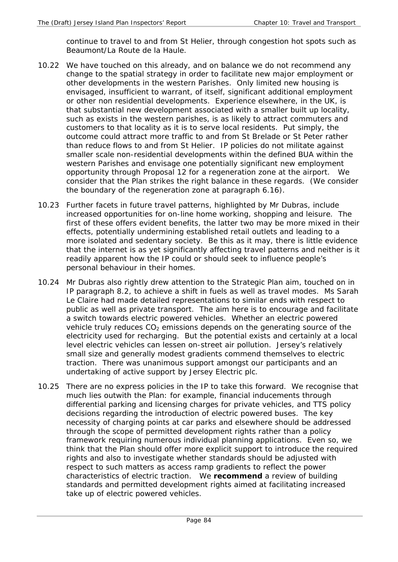continue to travel to and from St Helier, through congestion hot spots such as Beaumont/La Route de la Haule.

- 10.22 We have touched on this already, and on balance we do not recommend any change to the spatial strategy in order to facilitate new major employment or other developments in the western Parishes. Only limited new housing is envisaged, insufficient to warrant, of itself, significant additional employment or other non residential developments. Experience elsewhere, in the UK, is that substantial new development associated with a smaller built up locality, such as exists in the western parishes, is as likely to attract commuters and customers to that locality as it is to serve local residents. Put simply, the outcome could attract more traffic to and from St Brelade or St Peter rather than reduce flows to and from St Helier. IP policies do not militate against smaller scale non-residential developments within the defined BUA within the western Parishes and envisage one potentially significant new employment opportunity through Proposal 12 for a regeneration zone at the airport. We consider that the Plan strikes the right balance in these regards. (We consider the boundary of the regeneration zone at paragraph 6.16).
- 10.23 Further facets in future travel patterns, highlighted by Mr Dubras, include increased opportunities for on-line home working, shopping and leisure. The first of these offers evident benefits, the latter two may be more mixed in their effects, potentially undermining established retail outlets and leading to a more isolated and sedentary society. Be this as it may, there is little evidence that the internet is as yet significantly affecting travel patterns and neither is it readily apparent how the IP could or should seek to influence people's personal behaviour in their homes.
- 10.24 Mr Dubras also rightly drew attention to the Strategic Plan aim, touched on in IP paragraph 8.2, to achieve a shift in fuels as well as travel modes. Ms Sarah Le Claire had made detailed representations to similar ends with respect to public as well as private transport. The aim here is to encourage and facilitate a switch towards electric powered vehicles. Whether an electric powered vehicle truly reduces  $CO<sub>2</sub>$  emissions depends on the generating source of the electricity used for recharging. But the potential exists and certainly at a local level electric vehicles can lessen on-street air pollution. Jersey's relatively small size and generally modest gradients commend themselves to electric traction. There was unanimous support amongst our participants and an undertaking of active support by Jersey Electric plc.
- 10.25 There are no express policies in the IP to take this forward. We recognise that much lies outwith the Plan: for example, financial inducements through differential parking and licensing charges for private vehicles, and TTS policy decisions regarding the introduction of electric powered buses. The key necessity of charging points at car parks and elsewhere should be addressed through the scope of permitted development rights rather than a policy framework requiring numerous individual planning applications. Even so, we think that the Plan should offer more explicit support to introduce the required rights and also to investigate whether standards should be adjusted with respect to such matters as access ramp gradients to reflect the power characteristics of electric traction. We **recommend** a review of building standards and permitted development rights aimed at facilitating increased take up of electric powered vehicles.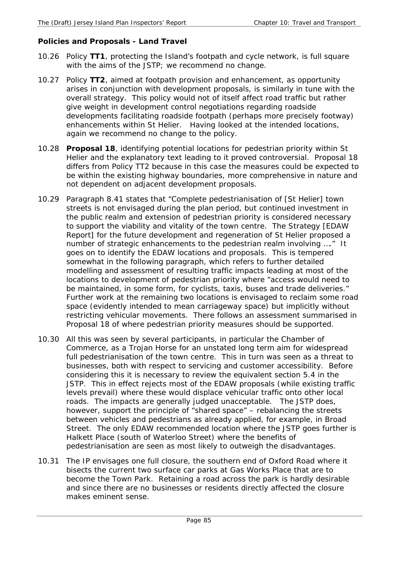## **Policies and Proposals - Land Travel**

- 10.26 Policy **TT1**, protecting the Island's footpath and cycle network, is full square with the aims of the JSTP; we recommend no change.
- 10.27 Policy **TT2**, aimed at footpath provision and enhancement, as opportunity arises in conjunction with development proposals, is similarly in tune with the overall strategy. This policy would not of itself affect road traffic but rather give weight in development control negotiations regarding roadside developments facilitating roadside footpath (perhaps more precisely footway) enhancements within St Helier. Having looked at the intended locations, again we recommend no change to the policy.
- 10.28 **Proposal 18**, identifying potential locations for pedestrian priority within St Helier and the explanatory text leading to it proved controversial. Proposal 18 differs from Policy TT2 because in this case the measures could be expected to be within the existing highway boundaries, more comprehensive in nature and not dependent on adjacent development proposals.
- 10.29 Paragraph 8.41 states that "Complete pedestrianisation of [St Helier] town streets is not envisaged during the plan period, but continued investment in the public realm and extension of pedestrian priority is considered necessary to support the viability and vitality of the town centre. The Strategy [EDAW Report] for the future development and regeneration of St Helier proposed a number of strategic enhancements to the pedestrian realm involving …." It goes on to identify the EDAW locations and proposals. This is tempered somewhat in the following paragraph, which refers to further detailed modelling and assessment of resulting traffic impacts leading at most of the locations to development of pedestrian priority where "access would need to be maintained, in some form, for cyclists, taxis, buses and trade deliveries." Further work at the remaining two locations is envisaged to reclaim some road space (evidently intended to mean carriageway space) but implicitly without restricting vehicular movements. There follows an assessment summarised in Proposal 18 of where pedestrian priority measures should be supported.
- 10.30 All this was seen by several participants, in particular the Chamber of Commerce, as a Trojan Horse for an unstated long term aim for widespread full pedestrianisation of the town centre. This in turn was seen as a threat to businesses, both with respect to servicing and customer accessibility. Before considering this it is necessary to review the equivalent section 5.4 in the JSTP. This in effect rejects most of the EDAW proposals (while existing traffic levels prevail) where these would displace vehicular traffic onto other local roads. The impacts are generally judged unacceptable. The JSTP does, however, support the principle of "shared space" – rebalancing the streets between vehicles and pedestrians as already applied, for example, in Broad Street. The only EDAW recommended location where the JSTP goes further is Halkett Place (south of Waterloo Street) where the benefits of pedestrianisation are seen as most likely to outweigh the disadvantages.
- 10.31 The IP envisages one full closure, the southern end of Oxford Road where it bisects the current two surface car parks at Gas Works Place that are to become the Town Park. Retaining a road across the park is hardly desirable and since there are no businesses or residents directly affected the closure makes eminent sense.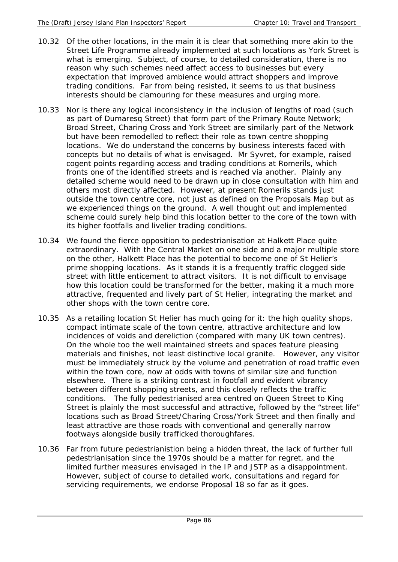- 10.32 Of the other locations, in the main it is clear that something more akin to the Street Life Programme already implemented at such locations as York Street is what is emerging. Subject, of course, to detailed consideration, there is no reason why such schemes need affect access to businesses but every expectation that improved ambience would attract shoppers and improve trading conditions. Far from being resisted, it seems to us that business interests should be clamouring for these measures and urging more.
- 10.33 Nor is there any logical inconsistency in the inclusion of lengths of road (such as part of Dumaresq Street) that form part of the Primary Route Network; Broad Street, Charing Cross and York Street are similarly part of the Network but have been remodelled to reflect their role as town centre shopping locations. We do understand the concerns by business interests faced with concepts but no details of what is envisaged. Mr Syvret, for example, raised cogent points regarding access and trading conditions at Romerils, which fronts one of the identified streets and is reached via another. Plainly any detailed scheme would need to be drawn up in close consultation with him and others most directly affected. However, at present Romerils stands just outside the town centre core, not just as defined on the Proposals Map but as we experienced things on the ground. A well thought out and implemented scheme could surely help bind this location better to the core of the town with its higher footfalls and livelier trading conditions.
- 10.34 We found the fierce opposition to pedestrianisation at Halkett Place quite extraordinary. With the Central Market on one side and a major multiple store on the other, Halkett Place has the potential to become one of St Helier's prime shopping locations. As it stands it is a frequently traffic clogged side street with little enticement to attract visitors. It is not difficult to envisage how this location could be transformed for the better, making it a much more attractive, frequented and lively part of St Helier, integrating the market and other shops with the town centre core.
- 10.35 As a retailing location St Helier has much going for it: the high quality shops, compact intimate scale of the town centre, attractive architecture and low incidences of voids and dereliction (compared with many UK town centres). On the whole too the well maintained streets and spaces feature pleasing materials and finishes, not least distinctive local granite. However, any visitor must be immediately struck by the volume and penetration of road traffic even within the town core, now at odds with towns of similar size and function elsewhere. There is a striking contrast in footfall and evident vibrancy between different shopping streets, and this closely reflects the traffic conditions. The fully pedestrianised area centred on Queen Street to King Street is plainly the most successful and attractive, followed by the "street life" locations such as Broad Street/Charing Cross/York Street and then finally and least attractive are those roads with conventional and generally narrow footways alongside busily trafficked thoroughfares.
- 10.36 Far from future pedestrianistion being a hidden threat, the lack of further full pedestrianisation since the 1970s should be a matter for regret, and the limited further measures envisaged in the IP and JSTP as a disappointment. However, subject of course to detailed work, consultations and regard for servicing requirements, we endorse Proposal 18 so far as it goes.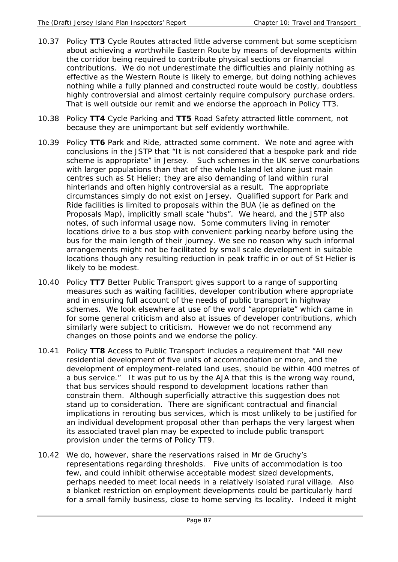- 10.37 Policy **TT3** Cycle Routes attracted little adverse comment but some scepticism about achieving a worthwhile Eastern Route by means of developments within the corridor being required to contribute physical sections or financial contributions. We do not underestimate the difficulties and plainly nothing as effective as the Western Route is likely to emerge, but doing nothing achieves nothing while a fully planned and constructed route would be costly, doubtless highly controversial and almost certainly require compulsory purchase orders. That is well outside our remit and we endorse the approach in Policy TT3.
- 10.38 Policy **TT4** Cycle Parking and **TT5** Road Safety attracted little comment, not because they are unimportant but self evidently worthwhile.
- 10.39 Policy **TT6** Park and Ride, attracted some comment. We note and agree with conclusions in the JSTP that "It is not considered that a bespoke park and ride scheme is appropriate" in Jersey. Such schemes in the UK serve conurbations with larger populations than that of the whole Island let alone just main centres such as St Helier; they are also demanding of land within rural hinterlands and often highly controversial as a result. The appropriate circumstances simply do not exist on Jersey. Qualified support for Park and Ride facilities is limited to proposals within the BUA (ie as defined on the Proposals Map), implicitly small scale "hubs". We heard, and the JSTP also notes, of such informal usage now. Some commuters living in remoter locations drive to a bus stop with convenient parking nearby before using the bus for the main length of their journey. We see no reason why such informal arrangements might not be facilitated by small scale development in suitable locations though any resulting reduction in peak traffic in or out of St Helier is likely to be modest.
- 10.40 Policy **TT7** Better Public Transport gives support to a range of supporting measures such as waiting facilities, developer contribution where appropriate and in ensuring full account of the needs of public transport in highway schemes. We look elsewhere at use of the word "appropriate" which came in for some general criticism and also at issues of developer contributions, which similarly were subject to criticism. However we do not recommend any changes on those points and we endorse the policy.
- 10.41 Policy **TT8** Access to Public Transport includes a requirement that "All new residential development of five units of accommodation or more, and the development of employment-related land uses, should be within 400 metres of a bus service." It was put to us by the AJA that this is the wrong way round, that bus services should respond to development locations rather than constrain them. Although superficially attractive this suggestion does not stand up to consideration. There are significant contractual and financial implications in rerouting bus services, which is most unlikely to be justified for an individual development proposal other than perhaps the very largest when its associated travel plan may be expected to include public transport provision under the terms of Policy TT9.
- 10.42 We do, however, share the reservations raised in Mr de Gruchy's representations regarding thresholds. Five units of accommodation is too few, and could inhibit otherwise acceptable modest sized developments, perhaps needed to meet local needs in a relatively isolated rural village. Also a blanket restriction on employment developments could be particularly hard for a small family business, close to home serving its locality. Indeed it might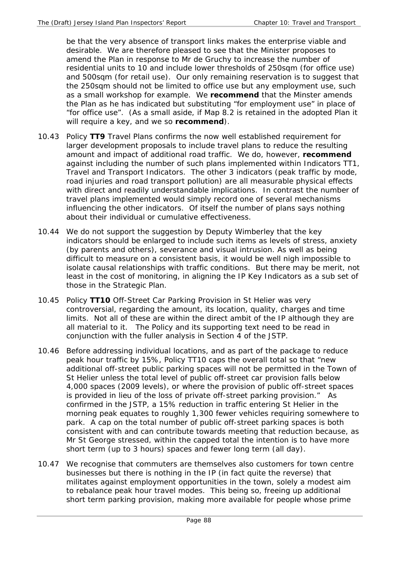be that the very absence of transport links makes the enterprise viable and desirable. We are therefore pleased to see that the Minister proposes to amend the Plan in response to Mr de Gruchy to increase the number of residential units to 10 and include lower thresholds of 250sqm (for office use) and 500sqm (for retail use). Our only remaining reservation is to suggest that the 250sqm should not be limited to office use but any employment use, such as a small workshop for example. We **recommend** that the Minster amends the Plan as he has indicated but substituting "for employment use" in place of "for office use". (As a small aside, if Map 8.2 is retained in the adopted Plan it will require a key, and we so **recommend**).

- 10.43 Policy **TT9** Travel Plans confirms the now well established requirement for larger development proposals to include travel plans to reduce the resulting amount and impact of additional road traffic. We do, however, **recommend**  against including the number of such plans implemented within Indicators TT1, Travel and Transport Indicators. The other 3 indicators (peak traffic by mode, road injuries and road transport pollution) are all measurable physical effects with direct and readily understandable implications. In contrast the number of travel plans implemented would simply record one of several mechanisms influencing the other indicators. Of itself the number of plans says nothing about their individual or cumulative effectiveness.
- 10.44 We do not support the suggestion by Deputy Wimberley that the key indicators should be enlarged to include such items as levels of stress, anxiety (by parents and others), severance and visual intrusion. As well as being difficult to measure on a consistent basis, it would be well nigh impossible to isolate causal relationships with traffic conditions. But there may be merit, not least in the cost of monitoring, in aligning the IP Key Indicators as a sub set of those in the Strategic Plan.
- 10.45 Policy **TT10** Off-Street Car Parking Provision in St Helier was very controversial, regarding the amount, its location, quality, charges and time limits. Not all of these are within the direct ambit of the IP although they are all material to it. The Policy and its supporting text need to be read in conjunction with the fuller analysis in Section 4 of the JSTP.
- 10.46 Before addressing individual locations, and as part of the package to reduce peak hour traffic by 15%, Policy TT10 caps the overall total so that "new additional off-street public parking spaces will not be permitted in the Town of St Helier unless the total level of public off-street car provision falls below 4,000 spaces (2009 levels), or where the provision of public off-street spaces is provided in lieu of the loss of private off-street parking provision." As confirmed in the JSTP, a 15% reduction in traffic entering St Helier in the morning peak equates to roughly 1,300 fewer vehicles requiring somewhere to park. A cap on the total number of public off-street parking spaces is both consistent with and can contribute towards meeting that reduction because, as Mr St George stressed, within the capped total the intention is to have more short term (up to 3 hours) spaces and fewer long term (all day).
- 10.47 We recognise that commuters are themselves also customers for town centre businesses but there is nothing in the IP (in fact quite the reverse) that militates against employment opportunities in the town, solely a modest aim to rebalance peak hour travel modes. This being so, freeing up additional short term parking provision, making more available for people whose prime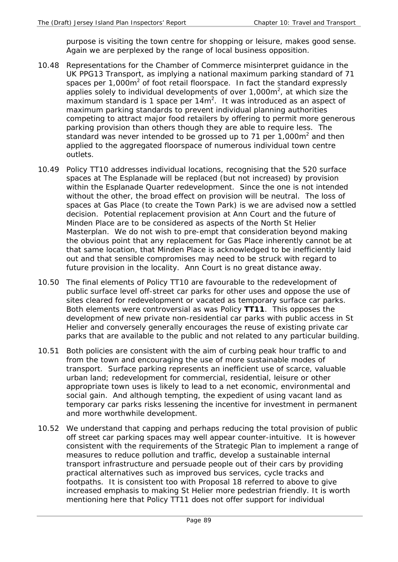purpose is visiting the town centre for shopping or leisure, makes good sense. Again we are perplexed by the range of local business opposition.

- 10.48 Representations for the Chamber of Commerce misinterpret guidance in the UK PPG13 Transport, as implying a national maximum parking standard of 71 spaces per 1,000 $m^2$  of foot retail floorspace. In fact the standard expressly applies solely to individual developments of over  $1,000m^2$ , at which size the maximum standard is 1 space per  $14m^2$ . It was introduced as an aspect of maximum parking standards to prevent individual planning authorities competing to attract major food retailers by offering to permit more generous parking provision than others though they are able to require less. The standard was never intended to be grossed up to 71 per 1,000 $m<sup>2</sup>$  and then applied to the aggregated floorspace of numerous individual town centre outlets.
- 10.49 Policy TT10 addresses individual locations, recognising that the 520 surface spaces at The Esplanade will be replaced (but not increased) by provision within the Esplanade Quarter redevelopment. Since the one is not intended without the other, the broad effect on provision will be neutral. The loss of spaces at Gas Place (to create the Town Park) is we are advised now a settled decision. Potential replacement provision at Ann Court and the future of Minden Place are to be considered as aspects of the North St Helier Masterplan. We do not wish to pre-empt that consideration beyond making the obvious point that any replacement for Gas Place inherently cannot be at that same location, that Minden Place is acknowledged to be inefficiently laid out and that sensible compromises may need to be struck with regard to future provision in the locality. Ann Court is no great distance away.
- 10.50 The final elements of Policy TT10 are favourable to the redevelopment of public surface level off-street car parks for other uses and oppose the use of sites cleared for redevelopment or vacated as temporary surface car parks. Both elements were controversial as was Policy **TT11**. This opposes the development of new private non-residential car parks with public access in St Helier and conversely generally encourages the reuse of existing private car parks that are available to the public and not related to any particular building.
- 10.51 Both policies are consistent with the aim of curbing peak hour traffic to and from the town and encouraging the use of more sustainable modes of transport. Surface parking represents an inefficient use of scarce, valuable urban land; redevelopment for commercial, residential, leisure or other appropriate town uses is likely to lead to a net economic, environmental and social gain. And although tempting, the expedient of using vacant land as temporary car parks risks lessening the incentive for investment in permanent and more worthwhile development.
- 10.52 We understand that capping and perhaps reducing the total provision of public off street car parking spaces may well appear counter-intuitive. It is however consistent with the requirements of the Strategic Plan to implement a range of measures to reduce pollution and traffic, develop a sustainable internal transport infrastructure and persuade people out of their cars by providing practical alternatives such as improved bus services, cycle tracks and footpaths. It is consistent too with Proposal 18 referred to above to give increased emphasis to making St Helier more pedestrian friendly. It is worth mentioning here that Policy TT11 does not offer support for individual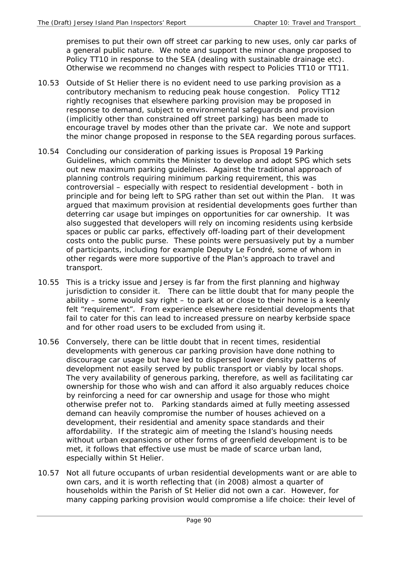premises to put their own off street car parking to new uses, only car parks of a general public nature. We note and support the minor change proposed to Policy TT10 in response to the SEA (dealing with sustainable drainage etc). Otherwise we recommend no changes with respect to Policies TT10 or TT11.

- 10.53 Outside of St Helier there is no evident need to use parking provision as a contributory mechanism to reducing peak house congestion. Policy TT12 rightly recognises that elsewhere parking provision may be proposed in response to demand, subject to environmental safeguards and provision (implicitly other than constrained off street parking) has been made to encourage travel by modes other than the private car. We note and support the minor change proposed in response to the SEA regarding porous surfaces.
- 10.54 Concluding our consideration of parking issues is Proposal 19 Parking Guidelines, which commits the Minister to develop and adopt SPG which sets out new maximum parking guidelines. Against the traditional approach of planning controls requiring minimum parking requirement, this was controversial – especially with respect to residential development - both in principle and for being left to SPG rather than set out within the Plan. It was argued that maximum provision at residential developments goes further than deterring car *usage* but impinges on opportunities for car *ownership*. It was also suggested that developers will rely on incoming residents using kerbside spaces or public car parks, effectively off-loading part of their development costs onto the public purse. These points were persuasively put by a number of participants, including for example Deputy Le Fondré, some of whom in other regards were more supportive of the Plan's approach to travel and transport.
- 10.55 This is a tricky issue and Jersey is far from the first planning and highway jurisdiction to consider it. There can be little doubt that for many people the ability – some would say right – to park at or close to their home is a keenly felt "requirement". From experience elsewhere residential developments that fail to cater for this can lead to increased pressure on nearby kerbside space and for other road users to be excluded from using it.
- 10.56 Conversely, there can be little doubt that in recent times, residential developments with generous car parking provision have done nothing to discourage car usage but have led to dispersed lower density patterns of development not easily served by public transport or viably by local shops. The very availability of generous parking, therefore, as well as facilitating car ownership for those who wish and can afford it also arguably reduces choice by reinforcing a need for car ownership and usage for those who might otherwise prefer not to. Parking standards aimed at fully meeting assessed demand can heavily compromise the number of houses achieved on a development, their residential and amenity space standards and their affordability. If the strategic aim of meeting the Island's housing needs without urban expansions or other forms of greenfield development is to be met, it follows that effective use must be made of scarce urban land, especially within St Helier.
- 10.57 Not all future occupants of urban residential developments want or are able to own cars, and it is worth reflecting that (in 2008) almost a quarter of households within the Parish of St Helier did not own a car. However, for many capping parking provision would compromise a life choice: their level of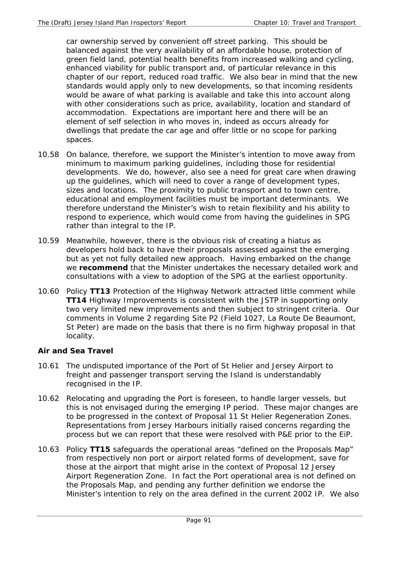car ownership served by convenient off street parking. This should be balanced against the very availability of an affordable house, protection of green field land, potential health benefits from increased walking and cycling, enhanced viability for public transport and, of particular relevance in this chapter of our report, reduced road traffic. We also bear in mind that the new standards would apply only to new developments, so that incoming residents would be aware of what parking is available and take this into account along with other considerations such as price, availability, location and standard of accommodation. Expectations are important here and there will be an element of self selection in who moves in, indeed as occurs already for dwellings that predate the car age and offer little or no scope for parking spaces.

- 10.58 On balance, therefore, we support the Minister's intention to move away from minimum to maximum parking guidelines, including those for residential developments. We do, however, also see a need for great care when drawing up the guidelines, which will need to cover a range of development types, sizes and locations. The proximity to public transport and to town centre, educational and employment facilities must be important determinants. We therefore understand the Minister's wish to retain flexibility and his ability to respond to experience, which would come from having the guidelines in SPG rather than integral to the IP.
- 10.59 Meanwhile, however, there is the obvious risk of creating a hiatus as developers hold back to have their proposals assessed against the emerging but as yet not fully detailed new approach. Having embarked on the change we **recommend** that the Minister undertakes the necessary detailed work and consultations with a view to adoption of the SPG at the earliest opportunity.
- 10.60 Policy **TT13** Protection of the Highway Network attracted little comment while **TT14** Highway Improvements is consistent with the JSTP in supporting only two very limited new improvements and then subject to stringent criteria. Our comments in Volume 2 regarding Site P2 (Field 1027, La Route De Beaumont, St Peter) are made on the basis that there is no firm highway proposal in that locality.

# **Air and Sea Travel**

- 10.61 The undisputed importance of the Port of St Helier and Jersey Airport to freight and passenger transport serving the Island is understandably recognised in the IP.
- 10.62 Relocating and upgrading the Port is foreseen, to handle larger vessels, but this is not envisaged during the emerging IP period. These major changes are to be progressed in the context of Proposal 11 St Helier Regeneration Zones. Representations from Jersey Harbours initially raised concerns regarding the process but we can report that these were resolved with P&E prior to the EiP.
- 10.63 Policy **TT15** safeguards the operational areas "defined on the Proposals Map" from respectively non port or airport related forms of development, save for those at the airport that might arise in the context of Proposal 12 Jersey Airport Regeneration Zone. In fact the Port operational area is not defined on the Proposals Map, and pending any further definition we endorse the Minister's intention to rely on the area defined in the current 2002 IP. We also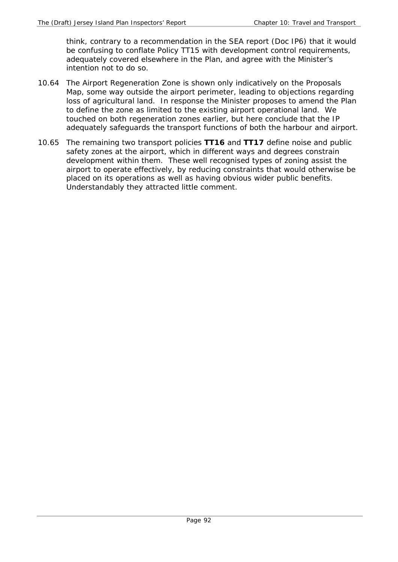think, contrary to a recommendation in the SEA report (Doc IP6) that it would be confusing to conflate Policy TT15 with development control requirements, adequately covered elsewhere in the Plan, and agree with the Minister's intention not to do so.

- 10.64 The Airport Regeneration Zone is shown only indicatively on the Proposals Map, some way outside the airport perimeter, leading to objections regarding loss of agricultural land. In response the Minister proposes to amend the Plan to define the zone as limited to the existing airport operational land. We touched on both regeneration zones earlier, but here conclude that the IP adequately safeguards the transport functions of both the harbour and airport.
- 10.65 The remaining two transport policies **TT16** and **TT17** define noise and public safety zones at the airport, which in different ways and degrees constrain development within them. These well recognised types of zoning assist the airport to operate effectively, by reducing constraints that would otherwise be placed on its operations as well as having obvious wider public benefits. Understandably they attracted little comment.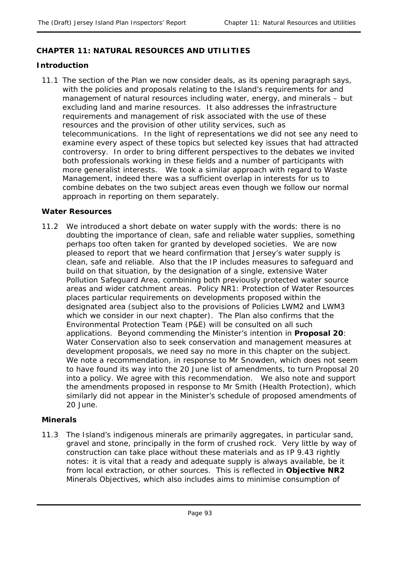# **CHAPTER 11: NATURAL RESOURCES AND UTILITIES**

## **Introduction**

11.1 The section of the Plan we now consider deals, as its opening paragraph says, with the policies and proposals relating to the Island's requirements for and management of natural resources including water, energy, and minerals – but excluding land and marine resources. It also addresses the infrastructure requirements and management of risk associated with the use of these resources and the provision of other utility services, such as telecommunications. In the light of representations we did not see any need to examine every aspect of these topics but selected key issues that had attracted controversy. In order to bring different perspectives to the debates we invited both professionals working in these fields and a number of participants with more generalist interests. We took a similar approach with regard to Waste Management, indeed there was a sufficient overlap in interests for us to combine debates on the two subject areas even though we follow our normal approach in reporting on them separately.

## **Water Resources**

11.2 We introduced a short debate on water supply with the words: there is no doubting the importance of clean, safe and reliable water supplies, something perhaps too often taken for granted by developed societies. We are now pleased to report that we heard confirmation that Jersey's water supply is clean, safe and reliable. Also that the IP includes measures to safeguard and build on that situation, by the designation of a single, extensive Water Pollution Safeguard Area, combining both previously protected water source areas and wider catchment areas. Policy NR1: Protection of Water Resources places particular requirements on developments proposed within the designated area (subject also to the provisions of Policies LWM2 and LWM3 which we consider in our next chapter). The Plan also confirms that the Environmental Protection Team (P&E) will be consulted on all such applications. Beyond commending the Minister's intention in **Proposal 20**: Water Conservation also to seek conservation and management measures at development proposals, we need say no more in this chapter on the subject. We note a recommendation, in response to Mr Snowden, which does not seem to have found its way into the 20 June list of amendments, to turn Proposal 20 into a policy. We agree with this recommendation. We also note and support the amendments proposed in response to Mr Smith (Health Protection), which similarly did not appear in the Minister's schedule of proposed amendments of 20 June.

## **Minerals**

11.3 The Island's indigenous minerals are primarily aggregates, in particular sand, gravel and stone, principally in the form of crushed rock. Very little by way of construction can take place without these materials and as IP 9.43 rightly notes: it is vital that a ready and adequate supply is always available, be it from local extraction, or other sources. This is reflected in **Objective NR2**  Minerals Objectives, which also includes aims to minimise consumption of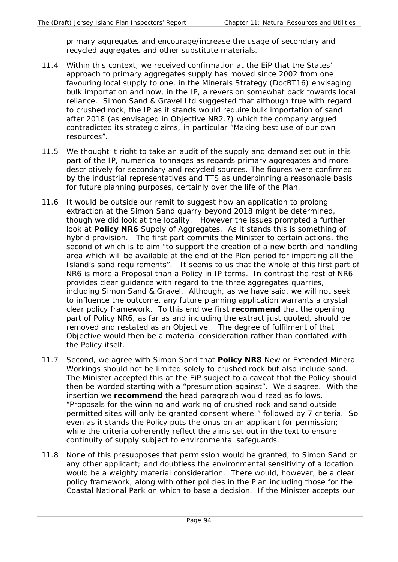primary aggregates and encourage/increase the usage of secondary and recycled aggregates and other substitute materials.

- 11.4 Within this context, we received confirmation at the EiP that the States' approach to primary aggregates supply has moved since 2002 from one favouring local supply to one, in the Minerals Strategy (DocBT16) envisaging bulk importation and now, in the IP, a reversion somewhat back towards local reliance. Simon Sand & Gravel Ltd suggested that although true with regard to crushed rock, the IP as it stands would require bulk importation of sand after 2018 (as envisaged in Objective NR2.7) which the company argued contradicted its strategic aims, in particular "Making best use of our own resources".
- 11.5 We thought it right to take an audit of the supply and demand set out in this part of the IP, numerical tonnages as regards primary aggregates and more descriptively for secondary and recycled sources. The figures were confirmed by the industrial representatives and TTS as underpinning a reasonable basis for future planning purposes, certainly over the life of the Plan.
- 11.6 It would be outside our remit to suggest how an application to prolong extraction at the Simon Sand quarry beyond 2018 might be determined, though we did look at the locality. However the issues prompted a further look at **Policy NR6** Supply of Aggregates. As it stands this is something of hybrid provision. The first part commits the Minister to certain actions, the second of which is to aim "to support the creation of a new berth and handling area which will be available at the end of the Plan period for importing all the Island's sand requirements". It seems to us that the whole of this first part of NR6 is more a Proposal than a Policy in IP terms. In contrast the rest of NR6 provides clear guidance with regard to the three aggregates quarries, including Simon Sand & Gravel. Although, as we have said, we will not seek to influence the outcome, any future planning application warrants a crystal clear policy framework. To this end we first **recommend** that the opening part of Policy NR6, as far as and including the extract just quoted, should be removed and restated as an Objective. The degree of fulfilment of that Objective would then be a material consideration rather than conflated with the Policy itself.
- 11.7 Second, we agree with Simon Sand that **Policy NR8** New or Extended Mineral Workings should not be limited solely to crushed rock but also include sand. The Minister accepted this at the EiP subject to a caveat that the Policy should then be worded starting with a "presumption against". We disagree. With the insertion we **recommend** the head paragraph would read as follows. "Proposals for the winning and working of crushed rock *and sand* outside permitted sites will only be granted consent where:" followed by 7 criteria. So even as it stands the Policy puts the onus on an applicant for permission; while the criteria coherently reflect the aims set out in the text to ensure continuity of supply subject to environmental safeguards.
- 11.8 None of this presupposes that permission would be granted, to Simon Sand or any other applicant; and doubtless the environmental sensitivity of a location would be a weighty material consideration. There would, however, be a clear policy framework, along with other policies in the Plan including those for the Coastal National Park on which to base a decision. If the Minister accepts our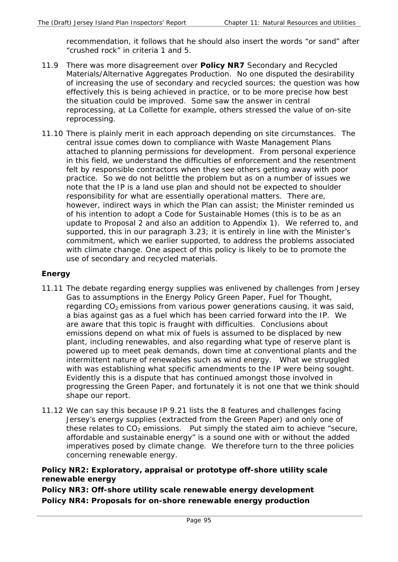recommendation, it follows that he should also insert the words "or sand" after "crushed rock" in criteria 1 and 5.

- 11.9 There was more disagreement over **Policy NR7** Secondary and Recycled Materials/Alternative Aggregates Production. No one disputed the desirability of increasing the use of secondary and recycled sources; the question was how effectively this is being achieved in practice, or to be more precise how best the situation could be improved. Some saw the answer in central reprocessing, at La Collette for example, others stressed the value of on-site reprocessing.
- 11.10 There is plainly merit in each approach depending on site circumstances. The central issue comes down to compliance with Waste Management Plans attached to planning permissions for development. From personal experience in this field, we understand the difficulties of enforcement and the resentment felt by responsible contractors when they see others getting away with poor practice. So we do not belittle the problem but as on a number of issues we note that the IP is a land use plan and should not be expected to shoulder responsibility for what are essentially operational matters. There are, however, indirect ways in which the Plan can assist; the Minister reminded us of his intention to adopt a Code for Sustainable Homes (this is to be as an update to Proposal 2 and also an addition to Appendix 1). We referred to, and supported, this in our paragraph 3.23; it is entirely in line with the Minister's commitment, which we earlier supported, to address the problems associated with climate change. One aspect of this policy is likely to be to promote the use of secondary and recycled materials.

# **Energy**

- 11.11 The debate regarding energy supplies was enlivened by challenges from Jersey Gas to assumptions in the Energy Policy Green Paper, Fuel for Thought, regarding  $CO<sub>2</sub>$  emissions from various power generations causing, it was said, a bias against gas as a fuel which has been carried forward into the IP. We are aware that this topic is fraught with difficulties. Conclusions about emissions depend on what mix of fuels is assumed to be displaced by new plant, including renewables, and also regarding what type of reserve plant is powered up to meet peak demands, down time at conventional plants and the intermittent nature of renewables such as wind energy. What we struggled with was establishing what specific amendments to the IP were being sought. Evidently this is a dispute that has continued amongst those involved in progressing the Green Paper, and fortunately it is not one that we think should shape our report.
- 11.12 We can say this because IP 9.21 lists the 8 features and challenges facing Jersey's energy supplies (extracted from the Green Paper) and only one of these relates to  $CO<sub>2</sub>$  emissions. Put simply the stated aim to achieve "secure, affordable and sustainable energy" is a sound one with or without the added imperatives posed by climate change. We therefore turn to the three policies concerning renewable energy.

# **Policy NR2: Exploratory, appraisal or prototype off-shore utility scale renewable energy**

**Policy NR3: Off-shore utility scale renewable energy development Policy NR4: Proposals for on-shore renewable energy production**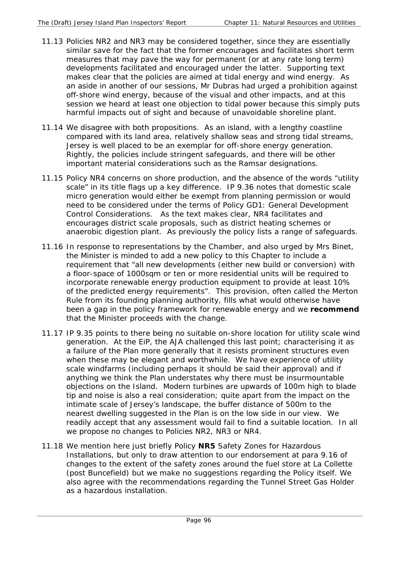- 11.13 Policies NR2 and NR3 may be considered together, since they are essentially similar save for the fact that the former encourages and facilitates short term measures that may pave the way for permanent (or at any rate long term) developments facilitated and encouraged under the latter. Supporting text makes clear that the policies are aimed at tidal energy and wind energy. As an aside in another of our sessions, Mr Dubras had urged a prohibition against off-shore wind energy, because of the visual and other impacts, and at this session we heard at least one objection to tidal power because this simply puts harmful impacts out of sight and because of unavoidable shoreline plant.
- 11.14 We disagree with both propositions. As an island, with a lengthy coastline compared with its land area, relatively shallow seas and strong tidal streams, Jersey is well placed to be an exemplar for off-shore energy generation. Rightly, the policies include stringent safeguards, and there will be other important material considerations such as the Ramsar designations.
- 11.15 Policy NR4 concerns on shore production, and the absence of the words "utility scale" in its title flags up a key difference. IP 9.36 notes that domestic scale micro generation would either be exempt from planning permission or would need to be considered under the terms of Policy GD1: General Development Control Considerations. As the text makes clear, NR4 facilitates and encourages district scale proposals, such as district heating schemes or anaerobic digestion plant. As previously the policy lists a range of safeguards.
- 11.16 In response to representations by the Chamber, and also urged by Mrs Binet, the Minister is minded to add a new policy to this Chapter to include a requirement that "all new developments (either new build or conversion) with a floor-space of 1000sqm or ten or more residential units will be required to incorporate renewable energy production equipment to provide at least 10% of the predicted energy requirements". This provision, often called the Merton Rule from its founding planning authority, fills what would otherwise have been a gap in the policy framework for renewable energy and we **recommend** that the Minister proceeds with the change.
- 11.17 IP 9.35 points to there being no suitable on-shore location for utility scale wind generation. At the EiP, the AJA challenged this last point; characterising it as a failure of the Plan more generally that it resists prominent structures even when these may be elegant and worthwhile. We have experience of utility scale windfarms (including perhaps it should be said their approval) and if anything we think the Plan understates why there must be insurmountable objections on the Island. Modern turbines are upwards of 100m high to blade tip and noise is also a real consideration; quite apart from the impact on the intimate scale of Jersey's landscape, the buffer distance of 500m to the nearest dwelling suggested in the Plan is on the low side in our view. We readily accept that any assessment would fail to find a suitable location. In all we propose no changes to Policies NR2, NR3 or NR4.
- 11.18 We mention here just briefly Policy **NR5** Safety Zones for Hazardous Installations, but only to draw attention to our endorsement at para 9.16 of changes to the extent of the safety zones around the fuel store at La Collette (post Buncefield) but we make no suggestions regarding the Policy itself. We also agree with the recommendations regarding the Tunnel Street Gas Holder as a hazardous installation.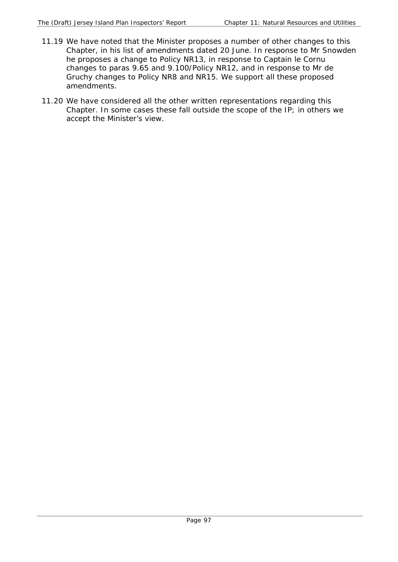- 11.19 We have noted that the Minister proposes a number of other changes to this Chapter, in his list of amendments dated 20 June. In response to Mr Snowden he proposes a change to Policy NR13, in response to Captain le Cornu changes to paras 9.65 and 9.100/Policy NR12, and in response to Mr de Gruchy changes to Policy NR8 and NR15. We support all these proposed amendments*.*
- 11.20 We have considered all the other written representations regarding this Chapter. In some cases these fall outside the scope of the IP; in others we accept the Minister's view.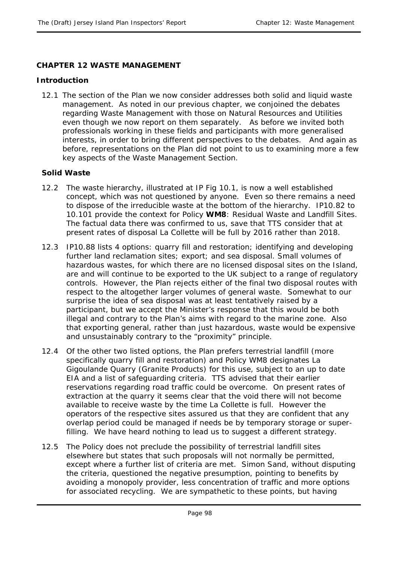## **CHAPTER 12 WASTE MANAGEMENT**

## **Introduction**

12.1 The section of the Plan we now consider addresses both solid and liquid waste management. As noted in our previous chapter, we conjoined the debates regarding Waste Management with those on Natural Resources and Utilities even though we now report on them separately. As before we invited both professionals working in these fields and participants with more generalised interests, in order to bring different perspectives to the debates. And again as before, representations on the Plan did not point to us to examining more a few key aspects of the Waste Management Section.

## **Solid Waste**

- 12.2 The waste hierarchy, illustrated at IP Fig 10.1, is now a well established concept, which was not questioned by anyone. Even so there remains a need to dispose of the irreducible waste at the bottom of the hierarchy. IP10.82 to 10.101 provide the context for Policy **WM8**: Residual Waste and Landfill Sites. The factual data there was confirmed to us, save that TTS consider that at present rates of disposal La Collette will be full by 2016 rather than 2018.
- 12.3 IP10.88 lists 4 options: quarry fill and restoration; identifying and developing further land reclamation sites; export; and sea disposal. Small volumes of hazardous wastes, for which there are no licensed disposal sites on the Island, are and will continue to be exported to the UK subject to a range of regulatory controls. However, the Plan rejects either of the final two disposal routes with respect to the altogether larger volumes of general waste. Somewhat to our surprise the idea of sea disposal was at least tentatively raised by a participant, but we accept the Minister's response that this would be both illegal and contrary to the Plan's aims with regard to the marine zone. Also that exporting general, rather than just hazardous, waste would be expensive and unsustainably contrary to the "proximity" principle.
- 12.4 Of the other two listed options, the Plan prefers terrestrial landfill (more specifically quarry fill and restoration) and Policy WM8 designates La Gigoulande Quarry (Granite Products) for this use, subject to an up to date EIA and a list of safeguarding criteria. TTS advised that their earlier reservations regarding road traffic could be overcome. On present rates of extraction at the quarry it seems clear that the void there will not become available to receive waste by the time La Collette is full. However the operators of the respective sites assured us that they are confident that any overlap period could be managed if needs be by temporary storage or superfilling. We have heard nothing to lead us to suggest a different strategy.
- 12.5 The Policy does not preclude the possibility of terrestrial landfill sites elsewhere but states that such proposals will not normally be permitted, except where a further list of criteria are met. Simon Sand, without disputing the criteria, questioned the negative presumption, pointing to benefits by avoiding a monopoly provider, less concentration of traffic and more options for associated recycling. We are sympathetic to these points, but having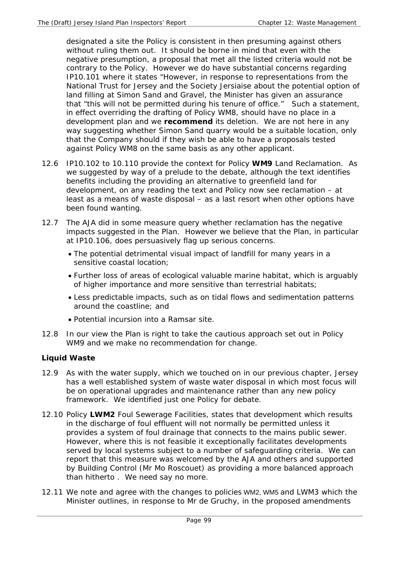designated a site the Policy is consistent in then presuming against others without ruling them out. It should be borne in mind that even with the negative presumption, a proposal that met all the listed criteria would not be contrary to the Policy. However we do have substantial concerns regarding IP10.101 where it states "However, in response to representations from the National Trust for Jersey and the Society Jersiaise about the potential option of land filling at Simon Sand and Gravel, the Minister has given an assurance that "this will not be permitted during his tenure of office." Such a statement, in effect overriding the drafting of Policy WM8, should have no place in a development plan and we **recommend** its deletion. We are not here in any way suggesting whether Simon Sand quarry would be a suitable location, only that the Company should if they wish be able to have a proposals tested against Policy WM8 on the same basis as any other applicant.

- 12.6 IP10.102 to 10.110 provide the context for Policy **WM9** Land Reclamation. As we suggested by way of a prelude to the debate, although the text identifies benefits including the providing an alternative to greenfield land for development, on any reading the text and Policy now see reclamation – at least as a means of waste disposal – as a last resort when other options have been found wanting.
- 12.7 The AJA did in some measure query whether reclamation has the negative impacts suggested in the Plan. However we believe that the Plan, in particular at IP10.106, does persuasively flag up serious concerns.
	- The potential detrimental visual impact of landfill for many years in a sensitive coastal location;
	- Further loss of areas of ecological valuable marine habitat, which is arguably of higher importance and more sensitive than terrestrial habitats;
	- Less predictable impacts, such as on tidal flows and sedimentation patterns around the coastline; and
	- Potential incursion into a Ramsar site.
- 12.8 In our view the Plan is right to take the cautious approach set out in Policy WM9 and we make no recommendation for change.

# **Liquid Waste**

- 12.9 As with the water supply, which we touched on in our previous chapter, Jersey has a well established system of waste water disposal in which most focus will be on operational upgrades and maintenance rather than any new policy framework. We identified just one Policy for debate.
- 12.10 Policy **LWM2** Foul Sewerage Facilities, states that development which results in the discharge of foul effluent will not normally be permitted unless it provides a system of foul drainage that connects to the mains public sewer. However, where this is not feasible it exceptionally facilitates developments served by local systems subject to a number of safeguarding criteria. We can report that this measure was welcomed by the AJA and others and supported by Building Control (Mr Mo Roscouet) as providing a more balanced approach than hitherto . We need say no more.
- 12.11 We note and agree with the changes to policies WM2, WM5 and LWM3 which the Minister outlines, in response to Mr de Gruchy, in the proposed amendments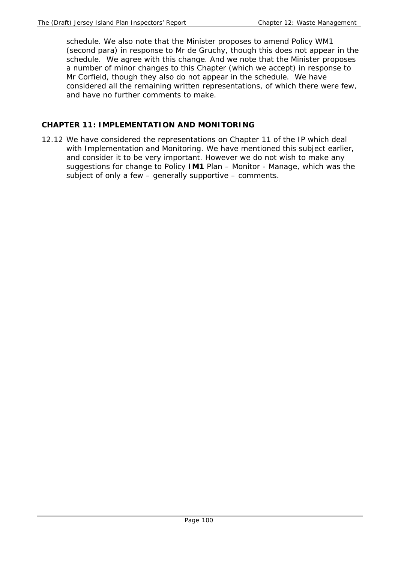schedule. We also note that the Minister proposes to amend Policy WM1 (second para) in response to Mr de Gruchy, though this does not appear in the schedule. We agree with this change. And we note that the Minister proposes a number of minor changes to this Chapter (which we accept) in response to Mr Corfield, though they also do not appear in the schedule. We have considered all the remaining written representations, of which there were few, and have no further comments to make.

# **CHAPTER 11: IMPLEMENTATION AND MONITORING**

12.12 We have considered the representations on Chapter 11 of the IP which deal with Implementation and Monitoring. We have mentioned this subject earlier, and consider it to be very important. However we do not wish to make any suggestions for change to Policy **IM1** Plan – Monitor - Manage, which was the subject of only a few – generally supportive – comments.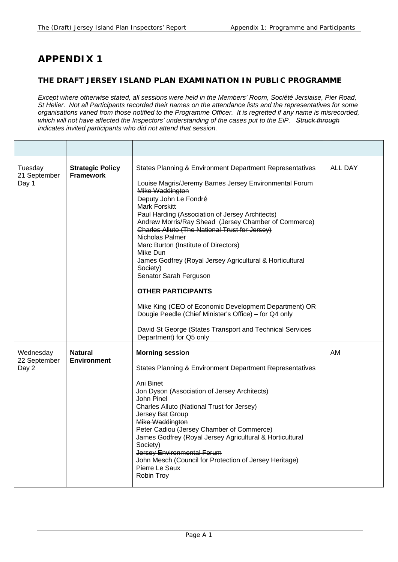# **APPENDIX 1**

## **THE DRAFT JERSEY ISLAND PLAN EXAMINATION IN PUBLIC PROGRAMME**

*Except where otherwise stated, all sessions were held in the Members' Room, Société Jersiaise, Pier Road, St Helier. Not all Participants recorded their names on the attendance lists and the representatives for some organisations varied from those notified to the Programme Officer. It is regretted if any name is misrecorded, which will not have affected the Inspectors' understanding of the cases put to the EiP. Struck through indicates invited participants who did not attend that session.* 

| Tuesday<br>21 September<br>Day 1   | <b>Strategic Policy</b><br><b>Framework</b> | States Planning & Environment Department Representatives<br>Louise Magris/Jeremy Barnes Jersey Environmental Forum<br>Mike Waddington<br>Deputy John Le Fondré<br>Mark Forskitt<br>Paul Harding (Association of Jersey Architects)<br>Andrew Morris/Ray Shead (Jersey Chamber of Commerce)<br>Charles Alluto (The National Trust for Jersey)<br>Nicholas Palmer<br><b>Marc Burton (Institute of Directors)</b><br>Mike Dun<br>James Godfrey (Royal Jersey Agricultural & Horticultural<br>Society)<br>Senator Sarah Ferguson<br><b>OTHER PARTICIPANTS</b><br>Mike King (CEO of Economic Development Department) OR<br>Dougie Peedle (Chief Minister's Office) - for Q4 only<br>David St George (States Transport and Technical Services<br>Department) for Q5 only | ALL DAY |
|------------------------------------|---------------------------------------------|--------------------------------------------------------------------------------------------------------------------------------------------------------------------------------------------------------------------------------------------------------------------------------------------------------------------------------------------------------------------------------------------------------------------------------------------------------------------------------------------------------------------------------------------------------------------------------------------------------------------------------------------------------------------------------------------------------------------------------------------------------------------|---------|
| Wednesday<br>22 September<br>Day 2 | <b>Natural</b><br><b>Environment</b>        | <b>Morning session</b><br>States Planning & Environment Department Representatives<br>Ani Binet<br>Jon Dyson (Association of Jersey Architects)<br>John Pinel<br>Charles Alluto (National Trust for Jersey)<br>Jersey Bat Group<br>Mike Waddington<br>Peter Cadiou (Jersey Chamber of Commerce)<br>James Godfrey (Royal Jersey Agricultural & Horticultural<br>Society)<br>Jersey Environmental Forum<br>John Mesch (Council for Protection of Jersey Heritage)<br>Pierre Le Saux<br>Robin Troy                                                                                                                                                                                                                                                                    | AM      |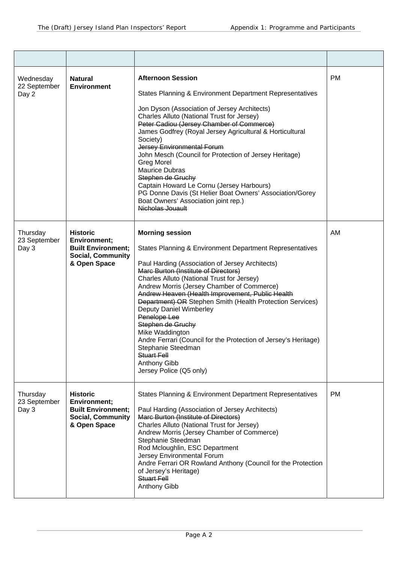| Wednesday<br>22 September<br>Day 2 | <b>Natural</b><br><b>Environment</b>                                                                            | <b>Afternoon Session</b><br>States Planning & Environment Department Representatives<br>Jon Dyson (Association of Jersey Architects)<br>Charles Alluto (National Trust for Jersey)<br>Peter Cadiou (Jersey Chamber of Commerce)<br>James Godfrey (Royal Jersey Agricultural & Horticultural<br>Society)<br>Jersey Environmental Forum<br>John Mesch (Council for Protection of Jersey Heritage)<br><b>Greg Morel</b><br><b>Maurice Dubras</b><br>Stephen de Gruchy<br>Captain Howard Le Cornu (Jersey Harbours)<br>PG Donne Davis (St Helier Boat Owners' Association/Gorey<br>Boat Owners' Association joint rep.)<br>Nicholas Jouault        | <b>PM</b> |
|------------------------------------|-----------------------------------------------------------------------------------------------------------------|------------------------------------------------------------------------------------------------------------------------------------------------------------------------------------------------------------------------------------------------------------------------------------------------------------------------------------------------------------------------------------------------------------------------------------------------------------------------------------------------------------------------------------------------------------------------------------------------------------------------------------------------|-----------|
| Thursday<br>23 September<br>Day 3  | <b>Historic</b><br><b>Environment;</b><br><b>Built Environment;</b><br><b>Social, Community</b><br>& Open Space | <b>Morning session</b><br>States Planning & Environment Department Representatives<br>Paul Harding (Association of Jersey Architects)<br>Marc Burton (Institute of Directors)<br>Charles Alluto (National Trust for Jersey)<br>Andrew Morris (Jersey Chamber of Commerce)<br>Andrew Heaven (Health Improvement, Public Health<br>Department) OR Stephen Smith (Health Protection Services)<br><b>Deputy Daniel Wimberley</b><br>Penelope Lee<br>Stephen de Gruchy<br>Mike Waddington<br>Andre Ferrari (Council for the Protection of Jersey's Heritage)<br>Stephanie Steedman<br>Stuart Fell<br><b>Anthony Gibb</b><br>Jersey Police (Q5 only) | AM        |
| Thursday<br>23 September<br>Day 3  | <b>Historic</b><br><b>Environment;</b><br><b>Built Environment;</b><br><b>Social, Community</b><br>& Open Space | <b>States Planning &amp; Environment Department Representatives</b><br>Paul Harding (Association of Jersey Architects)<br>Marc Burton (Institute of Directors)<br>Charles Alluto (National Trust for Jersey)<br>Andrew Morris (Jersey Chamber of Commerce)<br>Stephanie Steedman<br>Rod Mcloughlin, ESC Department<br>Jersey Environmental Forum<br>Andre Ferrari OR Rowland Anthony (Council for the Protection<br>of Jersey's Heritage)<br>Stuart Fell<br><b>Anthony Gibb</b>                                                                                                                                                                | <b>PM</b> |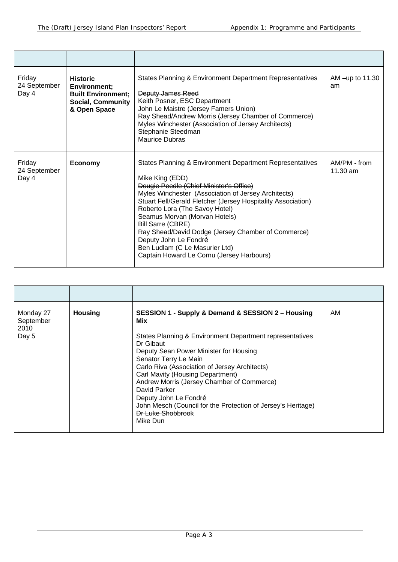| Friday<br>24 September<br>Day 4 | <b>Historic</b><br>Environment;<br><b>Built Environment;</b><br><b>Social, Community</b><br>& Open Space | States Planning & Environment Department Representatives<br>Deputy James Reed<br>Keith Posner, ESC Department<br>John Le Maistre (Jersey Famers Union)<br>Ray Shead/Andrew Morris (Jersey Chamber of Commerce)<br>Myles Winchester (Association of Jersey Architects)<br>Stephanie Steedman<br>Maurice Dubras                                                                                                                                                                                              | AM $-\mu p$ to 11.30<br>am         |
|---------------------------------|----------------------------------------------------------------------------------------------------------|------------------------------------------------------------------------------------------------------------------------------------------------------------------------------------------------------------------------------------------------------------------------------------------------------------------------------------------------------------------------------------------------------------------------------------------------------------------------------------------------------------|------------------------------------|
| Friday<br>24 September<br>Day 4 | <b>Economy</b>                                                                                           | States Planning & Environment Department Representatives<br>Mike King (EDD)<br>Dougie Peedle (Chief Minister's Office)<br>Myles Winchester (Association of Jersey Architects)<br>Stuart Fell/Gerald Fletcher (Jersey Hospitality Association)<br>Roberto Lora (The Savoy Hotel)<br>Seamus Morvan (Morvan Hotels)<br><b>Bill Sarre (CBRE)</b><br>Ray Shead/David Dodge (Jersey Chamber of Commerce)<br>Deputy John Le Fondré<br>Ben Ludlam (C Le Masurier Ltd)<br>Captain Howard Le Cornu (Jersey Harbours) | AM/PM - from<br>$11.30 \text{ am}$ |

| Monday 27<br>September<br>2010<br>Day 5 | <b>Housing</b> | SESSION 1 - Supply & Demand & SESSION 2 - Housing<br>Mix<br>States Planning & Environment Department representatives<br>Dr Gibaut<br>Deputy Sean Power Minister for Housing<br>Senator Terry Le Main<br>Carlo Riva (Association of Jersey Architects)<br>Carl Mavity (Housing Department)<br>Andrew Morris (Jersey Chamber of Commerce)<br>David Parker<br>Deputy John Le Fondré<br>John Mesch (Council for the Protection of Jersey's Heritage)<br><b>Dr Luke Shobbrook</b> | AM |
|-----------------------------------------|----------------|------------------------------------------------------------------------------------------------------------------------------------------------------------------------------------------------------------------------------------------------------------------------------------------------------------------------------------------------------------------------------------------------------------------------------------------------------------------------------|----|
|                                         |                | Mike Dun                                                                                                                                                                                                                                                                                                                                                                                                                                                                     |    |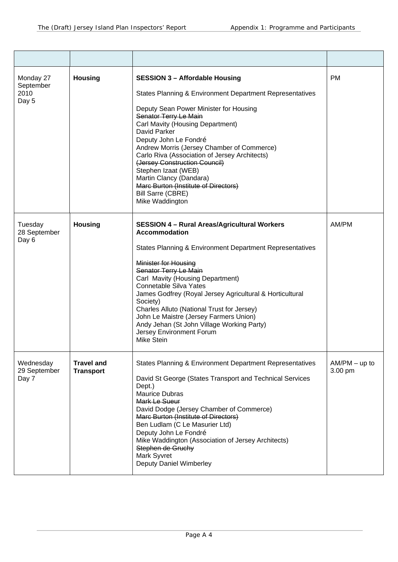| Monday 27<br>September<br>2010<br>Day 5 | <b>Housing</b>                        | <b>SESSION 3 - Affordable Housing</b><br>States Planning & Environment Department Representatives<br>Deputy Sean Power Minister for Housing<br>Senator Terry Le Main<br>Carl Mavity (Housing Department)<br>David Parker<br>Deputy John Le Fondré<br>Andrew Morris (Jersey Chamber of Commerce)<br>Carlo Riva (Association of Jersey Architects)<br>(Jersey Construction Council)<br>Stephen Izaat (WEB)<br>Martin Clancy (Dandara)<br>Marc Burton (Institute of Directors)<br><b>Bill Sarre (CBRE)</b><br>Mike Waddington   | <b>PM</b>                  |
|-----------------------------------------|---------------------------------------|------------------------------------------------------------------------------------------------------------------------------------------------------------------------------------------------------------------------------------------------------------------------------------------------------------------------------------------------------------------------------------------------------------------------------------------------------------------------------------------------------------------------------|----------------------------|
| Tuesday<br>28 September<br>Day 6        | <b>Housing</b>                        | <b>SESSION 4 - Rural Areas/Agricultural Workers</b><br>Accommodation<br>States Planning & Environment Department Representatives<br>Minister for Housing<br>Senator Terry Le Main<br>Carl Mavity (Housing Department)<br><b>Connetable Silva Yates</b><br>James Godfrey (Royal Jersey Agricultural & Horticultural<br>Society)<br>Charles Alluto (National Trust for Jersey)<br>John Le Maistre (Jersey Farmers Union)<br>Andy Jehan (St John Village Working Party)<br><b>Jersey Environment Forum</b><br><b>Mike Stein</b> | AM/PM                      |
| Wednesday<br>29 September<br>Day 7      | <b>Travel and</b><br><b>Transport</b> | States Planning & Environment Department Representatives<br>David St George (States Transport and Technical Services<br>Dept.)<br><b>Maurice Dubras</b><br>Mark Le Sueur<br>David Dodge (Jersey Chamber of Commerce)<br>Marc Burton (Institute of Directors)<br>Ben Ludlam (C Le Masurier Ltd)<br>Deputy John Le Fondré<br>Mike Waddington (Association of Jersey Architects)<br>Stephen de Gruchy<br>Mark Syvret<br>Deputy Daniel Wimberley                                                                                 | $AM/PM - up to$<br>3.00 pm |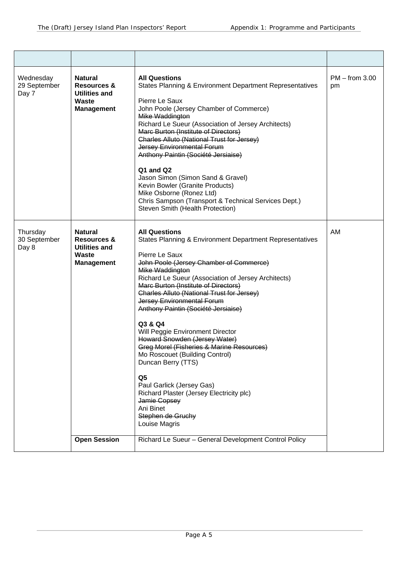| Wednesday<br>29 September<br>Day 7 | <b>Natural</b><br><b>Resources &amp;</b><br><b>Utilities and</b><br><b>Waste</b><br><b>Management</b> | <b>All Questions</b><br><b>States Planning &amp; Environment Department Representatives</b><br>Pierre Le Saux<br>John Poole (Jersey Chamber of Commerce)<br>Mike Waddington<br>Richard Le Sueur (Association of Jersey Architects)<br>Marc Burton (Institute of Directors)<br>Charles Alluto (National Trust for Jersey)<br>Jersey Environmental Forum<br>Anthony Paintin (Société Jersiaise)<br>Q1 and Q2<br>Jason Simon (Simon Sand & Gravel)<br>Kevin Bowler (Granite Products)<br>Mike Osborne (Ronez Ltd)<br>Chris Sampson (Transport & Technical Services Dept.)<br>Steven Smith (Health Protection)                                                                                                                                              | $PM - from 3.00$<br>pm |
|------------------------------------|-------------------------------------------------------------------------------------------------------|---------------------------------------------------------------------------------------------------------------------------------------------------------------------------------------------------------------------------------------------------------------------------------------------------------------------------------------------------------------------------------------------------------------------------------------------------------------------------------------------------------------------------------------------------------------------------------------------------------------------------------------------------------------------------------------------------------------------------------------------------------|------------------------|
| Thursday<br>30 September<br>Day 8  | <b>Natural</b><br><b>Resources &amp;</b><br><b>Utilities and</b><br>Waste<br><b>Management</b>        | <b>All Questions</b><br><b>States Planning &amp; Environment Department Representatives</b><br>Pierre Le Saux<br>John Poole (Jersey Chamber of Commerce)<br>Mike Waddington<br>Richard Le Sueur (Association of Jersey Architects)<br>Marc Burton (Institute of Directors)<br>Charles Alluto (National Trust for Jersey)<br><b>Jersey Environmental Forum</b><br>Anthony Paintin (Société Jersiaise)<br>Q3 & Q4<br>Will Peggie Environment Director<br>Howard Snowden (Jersey Water)<br>Greg Morel (Fisheries & Marine Resources)<br>Mo Roscouet (Building Control)<br>Duncan Berry (TTS)<br>Q <sub>5</sub><br>Paul Garlick (Jersey Gas)<br>Richard Plaster (Jersey Electricity plc)<br>Jamie Copsey<br>Ani Binet<br>Stephen de Gruchy<br>Louise Magris | AM                     |
|                                    | <b>Open Session</b>                                                                                   | Richard Le Sueur - General Development Control Policy                                                                                                                                                                                                                                                                                                                                                                                                                                                                                                                                                                                                                                                                                                   |                        |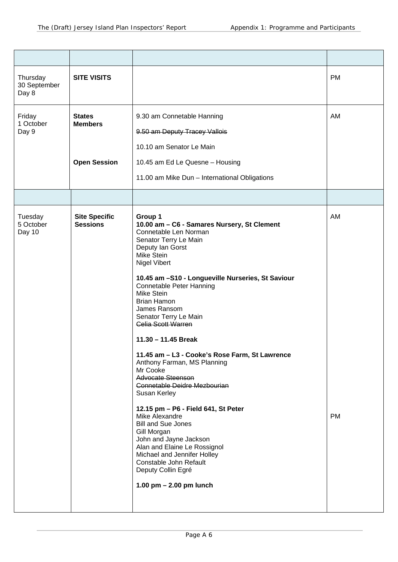| Thursday<br>30 September<br>Day 8 | <b>SITE VISITS</b>                                     |                                                                                                                                                                                                                                                                                                                                                                                                                                                                                                                                                                                                                                                                                                                                                                                                                                                       | <b>PM</b>       |
|-----------------------------------|--------------------------------------------------------|-------------------------------------------------------------------------------------------------------------------------------------------------------------------------------------------------------------------------------------------------------------------------------------------------------------------------------------------------------------------------------------------------------------------------------------------------------------------------------------------------------------------------------------------------------------------------------------------------------------------------------------------------------------------------------------------------------------------------------------------------------------------------------------------------------------------------------------------------------|-----------------|
| Friday<br>1 October<br>Day 9      | <b>States</b><br><b>Members</b><br><b>Open Session</b> | 9.30 am Connetable Hanning<br>9.50 am Deputy Tracey Vallois<br>10.10 am Senator Le Main<br>10.45 am Ed Le Quesne - Housing                                                                                                                                                                                                                                                                                                                                                                                                                                                                                                                                                                                                                                                                                                                            | AM              |
|                                   |                                                        | 11.00 am Mike Dun - International Obligations                                                                                                                                                                                                                                                                                                                                                                                                                                                                                                                                                                                                                                                                                                                                                                                                         |                 |
|                                   |                                                        |                                                                                                                                                                                                                                                                                                                                                                                                                                                                                                                                                                                                                                                                                                                                                                                                                                                       |                 |
| Tuesday<br>5 October<br>Day 10    | <b>Site Specific</b><br><b>Sessions</b>                | Group 1<br>10.00 am - C6 - Samares Nursery, St Clement<br>Connetable Len Norman<br>Senator Terry Le Main<br>Deputy lan Gorst<br>Mike Stein<br><b>Nigel Vibert</b><br>10.45 am -S10 - Longueville Nurseries, St Saviour<br><b>Connetable Peter Hanning</b><br><b>Mike Stein</b><br><b>Brian Hamon</b><br>James Ransom<br>Senator Terry Le Main<br><b>Gelia Scott Warren</b><br>11.30 - 11.45 Break<br>11.45 am - L3 - Cooke's Rose Farm, St Lawrence<br>Anthony Farman, MS Planning<br>Mr Cooke<br><b>Advocate Steenson</b><br>Connetable Deidre Mezbourian<br>Susan Kerley<br>12.15 pm - P6 - Field 641, St Peter<br>Mike Alexandre<br><b>Bill and Sue Jones</b><br>Gill Morgan<br>John and Jayne Jackson<br>Alan and Elaine Le Rossignol<br>Michael and Jennifer Holley<br>Constable John Refault<br>Deputy Collin Egré<br>1.00 $pm - 2.00$ pm lunch | AM<br><b>PM</b> |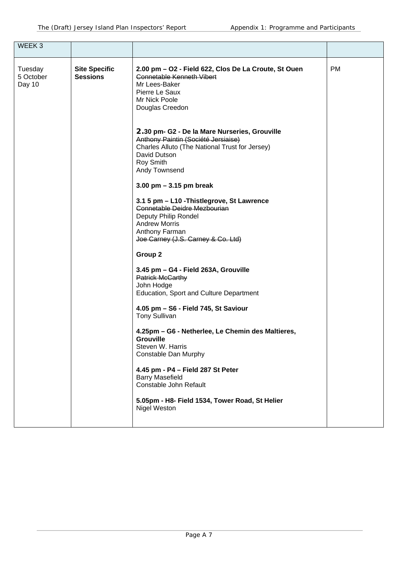| WEEK <sub>3</sub>              |                                         |                                                                                                                                                                                                                                                                                                                                                                                                                                                                                                                                                                                                                                                                                                                                                                                                                                                                                                                                                                                                                                                                   |           |
|--------------------------------|-----------------------------------------|-------------------------------------------------------------------------------------------------------------------------------------------------------------------------------------------------------------------------------------------------------------------------------------------------------------------------------------------------------------------------------------------------------------------------------------------------------------------------------------------------------------------------------------------------------------------------------------------------------------------------------------------------------------------------------------------------------------------------------------------------------------------------------------------------------------------------------------------------------------------------------------------------------------------------------------------------------------------------------------------------------------------------------------------------------------------|-----------|
| Tuesday<br>5 October<br>Day 10 | <b>Site Specific</b><br><b>Sessions</b> | 2.00 pm – O2 - Field 622, Clos De La Croute, St Ouen<br><b>Connetable Kenneth Vibert</b><br>Mr Lees-Baker<br>Pierre Le Saux<br>Mr Nick Poole<br>Douglas Creedon<br>2.30 pm- G2 - De la Mare Nurseries, Grouville<br>Anthony Paintin (Société Jersiaise)<br>Charles Alluto (The National Trust for Jersey)<br>David Dutson<br>Roy Smith<br>Andy Townsend<br>3.00 pm $-$ 3.15 pm break<br>3.1 5 pm - L10 - Thistlegrove, St Lawrence<br>Connetable Deidre Mezbourian<br>Deputy Philip Rondel<br><b>Andrew Morris</b><br>Anthony Farman<br>Joe Carney (J.S. Carney & Co. Ltd)<br>Group 2<br>3.45 pm - G4 - Field 263A, Grouville<br><b>Patrick McGarthy</b><br>John Hodge<br>Education, Sport and Culture Department<br>4.05 pm - S6 - Field 745, St Saviour<br><b>Tony Sullivan</b><br>4.25pm - G6 - Netherlee, Le Chemin des Maltieres,<br><b>Grouville</b><br>Steven W. Harris<br>Constable Dan Murphy<br>4.45 pm - P4 - Field 287 St Peter<br><b>Barry Masefield</b><br>Constable John Refault<br>5.05pm - H8- Field 1534, Tower Road, St Helier<br>Nigel Weston | <b>PM</b> |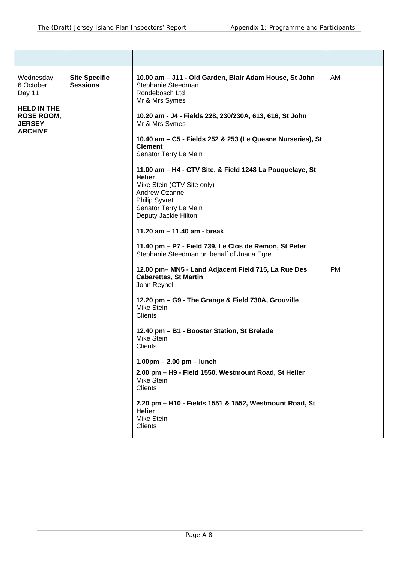| Wednesday<br>6 October<br>Day 11<br><b>HELD IN THE</b><br><b>ROSE ROOM,</b><br><b>JERSEY</b><br><b>ARCHIVE</b> | <b>Site Specific</b><br><b>Sessions</b> | 10.00 am - J11 - Old Garden, Blair Adam House, St John<br>Stephanie Steedman<br>Rondebosch Ltd<br>Mr & Mrs Symes<br>10.20 am - J4 - Fields 228, 230/230A, 613, 616, St John<br>Mr & Mrs Symes<br>10.40 am - C5 - Fields 252 & 253 (Le Quesne Nurseries), St<br><b>Clement</b><br>Senator Terry Le Main<br>11.00 am - H4 - CTV Site, & Field 1248 La Pouquelaye, St<br><b>Helier</b><br>Mike Stein (CTV Site only)<br>Andrew Ozanne<br><b>Philip Syvret</b><br>Senator Terry Le Main<br>Deputy Jackie Hilton<br>11.20 am - 11.40 am - break<br>11.40 pm - P7 - Field 739, Le Clos de Remon, St Peter<br>Stephanie Steedman on behalf of Juana Egre<br>12.00 pm- MN5 - Land Adjacent Field 715, La Rue Des<br><b>Cabarettes, St Martin</b><br>John Reynel<br>12.20 pm - G9 - The Grange & Field 730A, Grouville<br><b>Mike Stein</b><br>Clients<br>12.40 pm - B1 - Booster Station, St Brelade | AM<br><b>PM</b> |
|----------------------------------------------------------------------------------------------------------------|-----------------------------------------|----------------------------------------------------------------------------------------------------------------------------------------------------------------------------------------------------------------------------------------------------------------------------------------------------------------------------------------------------------------------------------------------------------------------------------------------------------------------------------------------------------------------------------------------------------------------------------------------------------------------------------------------------------------------------------------------------------------------------------------------------------------------------------------------------------------------------------------------------------------------------------------------|-----------------|
|                                                                                                                |                                         | Mike Stein<br>Clients                                                                                                                                                                                                                                                                                                                                                                                                                                                                                                                                                                                                                                                                                                                                                                                                                                                                        |                 |
|                                                                                                                |                                         | $1.00 \text{pm} - 2.00 \text{pm} - \text{lunch}$<br>2.00 pm - H9 - Field 1550, Westmount Road, St Helier<br>Mike Stein<br><b>Clients</b>                                                                                                                                                                                                                                                                                                                                                                                                                                                                                                                                                                                                                                                                                                                                                     |                 |
|                                                                                                                |                                         | 2.20 pm - H10 - Fields 1551 & 1552, Westmount Road, St<br><b>Helier</b><br>Mike Stein<br>Clients                                                                                                                                                                                                                                                                                                                                                                                                                                                                                                                                                                                                                                                                                                                                                                                             |                 |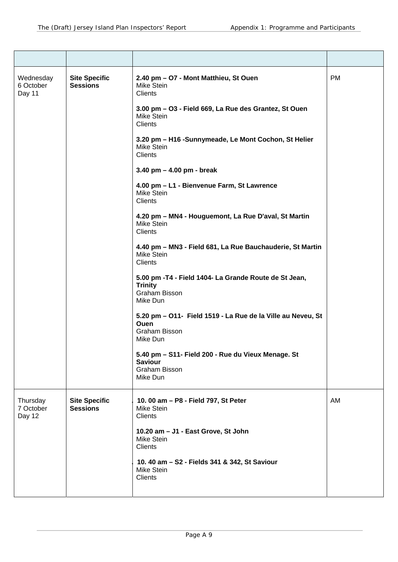| Wednesday<br>6 October<br>Day 11 | <b>Site Specific</b><br><b>Sessions</b> | 2.40 pm - O7 - Mont Matthieu, St Ouen<br><b>Mike Stein</b><br><b>Clients</b>                                   | <b>PM</b> |
|----------------------------------|-----------------------------------------|----------------------------------------------------------------------------------------------------------------|-----------|
|                                  |                                         | 3.00 pm - O3 - Field 669, La Rue des Grantez, St Ouen<br><b>Mike Stein</b><br><b>Clients</b>                   |           |
|                                  |                                         | 3.20 pm - H16 -Sunnymeade, Le Mont Cochon, St Helier<br><b>Mike Stein</b><br><b>Clients</b>                    |           |
|                                  |                                         | 3.40 pm $-$ 4.00 pm - break                                                                                    |           |
|                                  |                                         | 4.00 pm - L1 - Bienvenue Farm, St Lawrence<br>Mike Stein<br><b>Clients</b>                                     |           |
|                                  |                                         | 4.20 pm - MN4 - Houguemont, La Rue D'aval, St Martin<br><b>Mike Stein</b><br><b>Clients</b>                    |           |
|                                  |                                         | 4.40 pm - MN3 - Field 681, La Rue Bauchauderie, St Martin<br><b>Mike Stein</b><br>Clients                      |           |
|                                  |                                         | 5.00 pm - T4 - Field 1404- La Grande Route de St Jean,<br><b>Trinity</b><br>Graham Bisson<br>Mike Dun          |           |
|                                  |                                         | 5.20 pm - O11- Field 1519 - La Rue de la Ville au Neveu, St<br><b>Ouen</b><br><b>Graham Bisson</b><br>Mike Dun |           |
|                                  |                                         | 5.40 pm - S11- Field 200 - Rue du Vieux Menage. St<br><b>Saviour</b><br><b>Graham Bisson</b><br>Mike Dun       |           |
| Thursday<br>7 October<br>Day 12  | <b>Site Specific</b><br><b>Sessions</b> | 10.00 am - P8 - Field 797, St Peter<br><b>Mike Stein</b><br><b>Clients</b>                                     | AM        |
|                                  |                                         | 10.20 am - J1 - East Grove, St John<br><b>Mike Stein</b><br><b>Clients</b>                                     |           |
|                                  |                                         | 10. 40 am - S2 - Fields 341 & 342, St Saviour<br><b>Mike Stein</b><br><b>Clients</b>                           |           |
|                                  |                                         |                                                                                                                |           |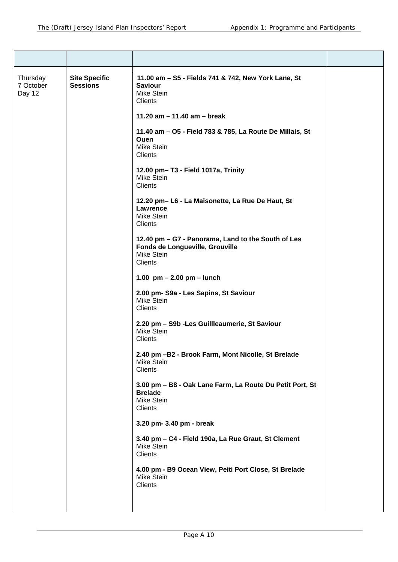| Thursday<br>7 October<br>Day 12 | <b>Site Specific</b><br><b>Sessions</b> | 11.00 am - S5 - Fields 741 & 742, New York Lane, St<br><b>Saviour</b><br><b>Mike Stein</b><br>Clients                 |  |
|---------------------------------|-----------------------------------------|-----------------------------------------------------------------------------------------------------------------------|--|
|                                 |                                         | 11.20 am $-$ 11.40 am $-$ break                                                                                       |  |
|                                 |                                         | 11.40 am - O5 - Field 783 & 785, La Route De Millais, St<br><b>Ouen</b><br><b>Mike Stein</b><br>Clients               |  |
|                                 |                                         | 12.00 pm-T3 - Field 1017a, Trinity<br><b>Mike Stein</b><br><b>Clients</b>                                             |  |
|                                 |                                         | 12.20 pm-L6 - La Maisonette, La Rue De Haut, St<br>Lawrence<br><b>Mike Stein</b><br>Clients                           |  |
|                                 |                                         | 12.40 pm - G7 - Panorama, Land to the South of Les<br>Fonds de Longueville, Grouville<br><b>Mike Stein</b><br>Clients |  |
|                                 |                                         | 1.00 $pm - 2.00$ pm $-$ lunch                                                                                         |  |
|                                 |                                         | 2.00 pm- S9a - Les Sapins, St Saviour<br><b>Mike Stein</b><br>Clients                                                 |  |
|                                 |                                         | 2.20 pm - S9b - Les Guillleaumerie, St Saviour<br><b>Mike Stein</b><br>Clients                                        |  |
|                                 |                                         | 2.40 pm -B2 - Brook Farm, Mont Nicolle, St Brelade<br><b>Mike Stein</b><br>Clients                                    |  |
|                                 |                                         | 3.00 pm - B8 - Oak Lane Farm, La Route Du Petit Port, St<br><b>Brelade</b><br><b>Mike Stein</b><br>Clients            |  |
|                                 |                                         | 3.20 pm- 3.40 pm - break                                                                                              |  |
|                                 |                                         | 3.40 pm - C4 - Field 190a, La Rue Graut, St Clement<br>Mike Stein<br>Clients                                          |  |
|                                 |                                         | 4.00 pm - B9 Ocean View, Peiti Port Close, St Brelade<br>Mike Stein<br>Clients                                        |  |
|                                 |                                         |                                                                                                                       |  |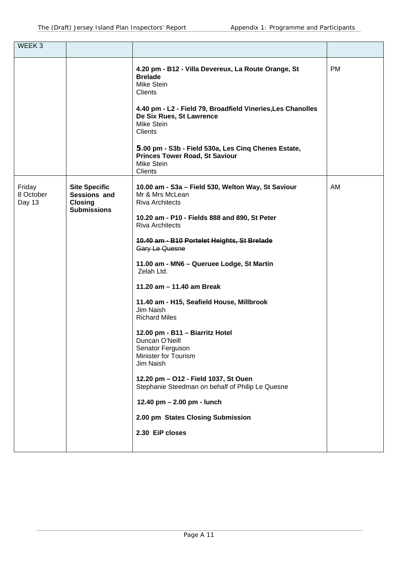| WEEK <sub>3</sub>             |                                                                              |                                                                                                                                                                                                                                                                                                                                                                                                                                                                                                                                                                                                                                                                                                                       |           |
|-------------------------------|------------------------------------------------------------------------------|-----------------------------------------------------------------------------------------------------------------------------------------------------------------------------------------------------------------------------------------------------------------------------------------------------------------------------------------------------------------------------------------------------------------------------------------------------------------------------------------------------------------------------------------------------------------------------------------------------------------------------------------------------------------------------------------------------------------------|-----------|
|                               |                                                                              | 4.20 pm - B12 - Villa Devereux, La Route Orange, St<br><b>Brelade</b><br>Mike Stein<br><b>Clients</b><br>4.40 pm - L2 - Field 79, Broadfield Vineries, Les Chanolles<br>De Six Rues, St Lawrence<br>Mike Stein<br><b>Clients</b>                                                                                                                                                                                                                                                                                                                                                                                                                                                                                      | <b>PM</b> |
|                               |                                                                              | 5.00 pm - S3b - Field 530a, Les Cinq Chenes Estate,<br><b>Princes Tower Road, St Saviour</b><br>Mike Stein<br><b>Clients</b>                                                                                                                                                                                                                                                                                                                                                                                                                                                                                                                                                                                          |           |
| Friday<br>8 October<br>Day 13 | <b>Site Specific</b><br>Sessions and<br><b>Closing</b><br><b>Submissions</b> | 10.00 am - S3a - Field 530, Welton Way, St Saviour<br>Mr & Mrs McLean<br><b>Riva Architects</b><br>10.20 am - P10 - Fields 888 and 890, St Peter<br><b>Riva Architects</b><br>10.40 am - B10 Portelet Heights, St Brelade<br>Gary Le Quesne<br>11.00 am - MN6 - Queruee Lodge, St Martin<br>Zelah Ltd.<br>11.20 am - 11.40 am Break<br>11.40 am - H15, Seafield House, Millbrook<br>Jim Naish<br><b>Richard Miles</b><br>12.00 pm - B11 - Biarritz Hotel<br>Duncan O'Neill<br>Senator Ferguson<br>Minister for Tourism<br>Jim Naish<br>12.20 pm - O12 - Field 1037, St Ouen<br>Stephanie Steedman on behalf of Philip Le Quesne<br>12.40 pm - 2.00 pm - lunch<br>2.00 pm States Closing Submission<br>2.30 EiP closes | AM        |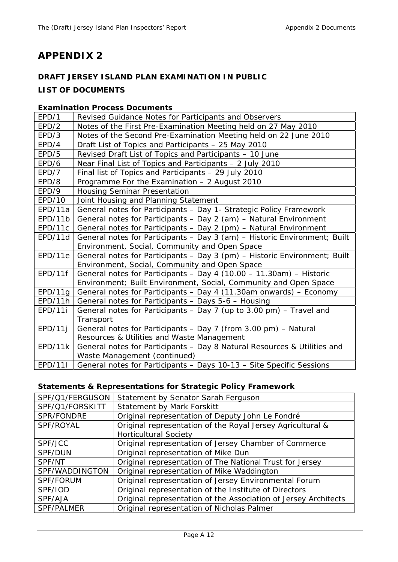# **APPENDIX 2**

# **DRAFT JERSEY ISLAND PLAN EXAMINATION IN PUBLIC**

## **LIST OF DOCUMENTS**

## **Examination Process Documents**

| EPD/1   | Revised Guidance Notes for Participants and Observers                     |
|---------|---------------------------------------------------------------------------|
| EPD/2   | Notes of the First Pre-Examination Meeting held on 27 May 2010            |
| EPD/3   | Notes of the Second Pre-Examination Meeting held on 22 June 2010          |
| EPD/4   | Draft List of Topics and Participants - 25 May 2010                       |
| EPD/5   | Revised Draft List of Topics and Participants - 10 June                   |
| EPD/6   | Near Final List of Topics and Participants - 2 July 2010                  |
| EPD/7   | Final list of Topics and Participants - 29 July 2010                      |
| EPD/8   | Programme For the Examination - 2 August 2010                             |
| EPD/9   | <b>Housing Seminar Presentation</b>                                       |
| EPD/10  | Joint Housing and Planning Statement                                      |
| EPD/11a | General notes for Participants - Day 1- Strategic Policy Framework        |
| EPD/11b | General notes for Participants - Day 2 (am) - Natural Environment         |
| EPD/11c | General notes for Participants - Day 2 (pm) - Natural Environment         |
| EPD/11d | General notes for Participants - Day 3 (am) - Historic Environment; Built |
|         | Environment, Social, Community and Open Space                             |
| EPD/11e | General notes for Participants - Day 3 (pm) - Historic Environment; Built |
|         | Environment, Social, Community and Open Space                             |
| EPD/11f | General notes for Participants - Day 4 (10.00 - 11.30am) - Historic       |
|         | Environment; Built Environment, Social, Community and Open Space          |
| EPD/11g | General notes for Participants - Day 4 (11.30am onwards) - Economy        |
| EPD/11h | General notes for Participants - Days 5-6 - Housing                       |
| EPD/11i | General notes for Participants - Day 7 (up to 3.00 pm) - Travel and       |
|         | Transport                                                                 |
| EPD/11j | General notes for Participants - Day 7 (from 3.00 pm) - Natural           |
|         | Resources & Utilities and Waste Management                                |
| EPD/11k | General notes for Participants - Day 8 Natural Resources & Utilities and  |
|         | Waste Management (continued)                                              |
| EPD/11  | General notes for Participants - Days 10-13 - Site Specific Sessions      |

# **Statements & Representations for Strategic Policy Framework**

| SPF/Q1/FERGUSON | Statement by Senator Sarah Ferguson                             |
|-----------------|-----------------------------------------------------------------|
| SPF/Q1/FORSKITT | Statement by Mark Forskitt                                      |
| SPR/FONDRE      | Original representation of Deputy John Le Fondré                |
| SPF/ROYAL       | Original representation of the Royal Jersey Agricultural &      |
|                 | <b>Horticultural Society</b>                                    |
| SPF/JCC         | Original representation of Jersey Chamber of Commerce           |
| SPF/DUN         | Original representation of Mike Dun                             |
| SPF/NT          | Original representation of The National Trust for Jersey        |
| SPF/WADDINGTON  | Original representation of Mike Waddington                      |
| SPF/FORUM       | Original representation of Jersey Environmental Forum           |
| SPF/IOD         | Original representation of the Institute of Directors           |
| SPF/AJA         | Original representation of the Association of Jersey Architects |
| SPF/PALMER      | Original representation of Nicholas Palmer                      |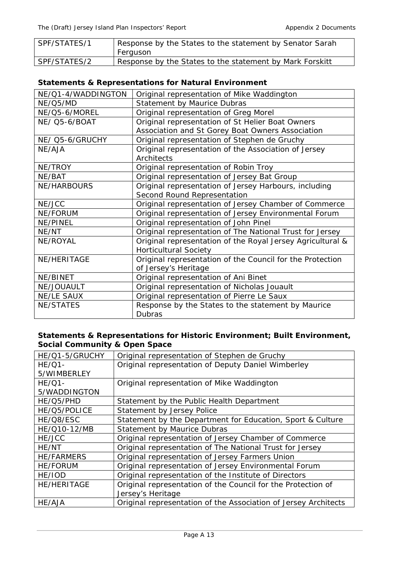| SPF/STATES/1 | Response by the States to the statement by Senator Sarah<br>Ferguson |
|--------------|----------------------------------------------------------------------|
| SPF/STATES/2 | Response by the States to the statement by Mark Forskitt             |

# **Statements & Representations for Natural Environment**

| NE/Q1-4/WADDINGTON   | Original representation of Mike Waddington                 |
|----------------------|------------------------------------------------------------|
| NE/Q5/MD             | <b>Statement by Maurice Dubras</b>                         |
| NE/Q5-6/MOREL        | Original representation of Greg Morel                      |
| <b>NE/ Q5-6/BOAT</b> | Original representation of St Helier Boat Owners           |
|                      | Association and St Gorey Boat Owners Association           |
| NE/ Q5-6/GRUCHY      | Original representation of Stephen de Gruchy               |
| NE/AJA               | Original representation of the Association of Jersey       |
|                      | Architects                                                 |
| NE/TROY              | Original representation of Robin Troy                      |
| NE/BAT               | Original representation of Jersey Bat Group                |
| <b>NE/HARBOURS</b>   | Original representation of Jersey Harbours, including      |
|                      | Second Round Representation                                |
| NE/JCC               | Original representation of Jersey Chamber of Commerce      |
| NE/FORUM             | Original representation of Jersey Environmental Forum      |
| NE/PINEL             | Original representation of John Pinel                      |
| NE/NT                | Original representation of The National Trust for Jersey   |
| NE/ROYAL             | Original representation of the Royal Jersey Agricultural & |
|                      | <b>Horticultural Society</b>                               |
| NE/HERITAGE          | Original representation of the Council for the Protection  |
|                      | of Jersey's Heritage                                       |
| NE/BINET             | Original representation of Ani Binet                       |
| NE/JOUAULT           | Original representation of Nicholas Jouault                |
| <b>NE/LE SAUX</b>    | Original representation of Pierre Le Saux                  |
| <b>NE/STATES</b>     | Response by the States to the statement by Maurice         |
|                      | <b>Dubras</b>                                              |

## **Statements & Representations for Historic Environment; Built Environment, Social Community & Open Space**

| HE/Q1-5/GRUCHY     | Original representation of Stephen de Gruchy                    |
|--------------------|-----------------------------------------------------------------|
| $HE/Q1-$           | Original representation of Deputy Daniel Wimberley              |
| 5/WIMBERLEY        |                                                                 |
| $HE/Q1-$           | Original representation of Mike Waddington                      |
| 5/WADDINGTON       |                                                                 |
| HE/Q5/PHD          | Statement by the Public Health Department                       |
| HE/Q5/POLICE       | Statement by Jersey Police                                      |
| HE/Q8/ESC          | Statement by the Department for Education, Sport & Culture      |
| HE/Q10-12/MB       | <b>Statement by Maurice Dubras</b>                              |
| HE/JCC             | Original representation of Jersey Chamber of Commerce           |
| HE/NT              | Original representation of The National Trust for Jersey        |
| <b>HE/FARMERS</b>  | Original representation of Jersey Farmers Union                 |
| <b>HE/FORUM</b>    | Original representation of Jersey Environmental Forum           |
| HE/IOD             | Original representation of the Institute of Directors           |
| <b>HE/HERITAGE</b> | Original representation of the Council for the Protection of    |
|                    | Jersey's Heritage                                               |
| HE/AJA             | Original representation of the Association of Jersey Architects |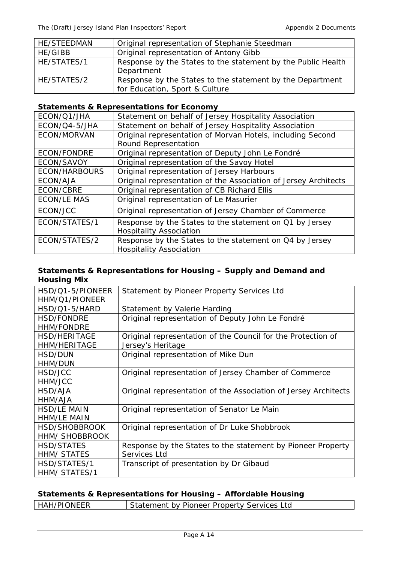| <b>HE/STEEDMAN</b> | Original representation of Stephanie Steedman                                               |
|--------------------|---------------------------------------------------------------------------------------------|
| HE/GIBB            | Original representation of Antony Gibb                                                      |
| HE/STATES/1        | Response by the States to the statement by the Public Health<br>Department                  |
| HE/STATES/2        | Response by the States to the statement by the Department<br>for Education, Sport & Culture |

### **Statements & Representations for Economy**

| ECON/Q1/JHA        | Statement on behalf of Jersey Hospitality Association           |
|--------------------|-----------------------------------------------------------------|
| ECON/Q4-5/JHA      | Statement on behalf of Jersey Hospitality Association           |
| ECON/MORVAN        | Original representation of Morvan Hotels, including Second      |
|                    | Round Representation                                            |
| <b>ECON/FONDRE</b> | Original representation of Deputy John Le Fondré                |
| ECON/SAVOY         | Original representation of the Savoy Hotel                      |
| ECON/HARBOURS      | Original representation of Jersey Harbours                      |
| ECON/AJA           | Original representation of the Association of Jersey Architects |
| ECON/CBRE          | Original representation of CB Richard Ellis                     |
| <b>ECON/LE MAS</b> | Original representation of Le Masurier                          |
| ECON/JCC           | Original representation of Jersey Chamber of Commerce           |
| ECON/STATES/1      | Response by the States to the statement on Q1 by Jersey         |
|                    | <b>Hospitality Association</b>                                  |
| ECON/STATES/2      | Response by the States to the statement on Q4 by Jersey         |
|                    | <b>Hospitality Association</b>                                  |

### **Statements & Representations for Housing – Supply and Demand and Housing Mix**

| HSD/Q1-5/PIONEER<br>HHM/Q1/PIONEER | Statement by Pioneer Property Services Ltd                      |
|------------------------------------|-----------------------------------------------------------------|
| HSD/Q1-5/HARD                      | Statement by Valerie Harding                                    |
| <b>HSD/FONDRE</b>                  | Original representation of Deputy John Le Fondré                |
| <b>HHM/FONDRE</b>                  |                                                                 |
| <b>HSD/HERITAGE</b>                | Original representation of the Council for the Protection of    |
| <b>HHM/HERITAGE</b>                | Jersey's Heritage                                               |
| HSD/DUN                            | Original representation of Mike Dun                             |
| HHM/DUN                            |                                                                 |
| HSD/JCC                            | Original representation of Jersey Chamber of Commerce           |
| HHM/JCC                            |                                                                 |
| HSD/AJA                            | Original representation of the Association of Jersey Architects |
| HHM/AJA                            |                                                                 |
| <b>HSD/LE MAIN</b>                 | Original representation of Senator Le Main                      |
| <b>HHM/LE MAIN</b>                 |                                                                 |
| HSD/SHOBBROOK                      | Original representation of Dr Luke Shobbrook                    |
| <b>HHM/ SHOBBROOK</b>              |                                                                 |
| <b>HSD/STATES</b>                  | Response by the States to the statement by Pioneer Property     |
| <b>HHM/ STATES</b>                 | Services Ltd                                                    |
| HSD/STATES/1                       | Transcript of presentation by Dr Gibaud                         |
| HHM/ STATES/1                      |                                                                 |

# **Statements & Representations for Housing – Affordable Housing**

| <b>HAH/PIONEER</b> | Statement by Pioneer Property Services Ltd |
|--------------------|--------------------------------------------|
|                    |                                            |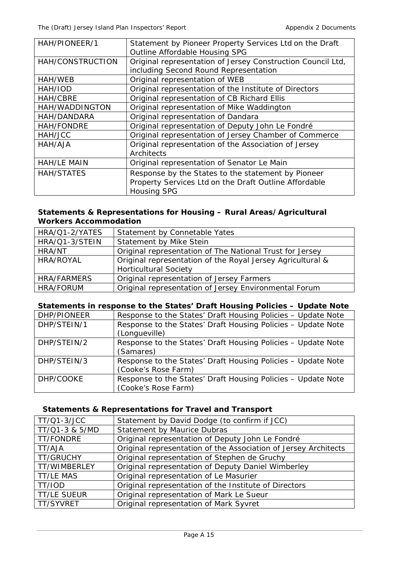| HAH/PIONEER/1      | Statement by Pioneer Property Services Ltd on the Draft<br>Outline Affordable Housing SPG                                         |
|--------------------|-----------------------------------------------------------------------------------------------------------------------------------|
| HAH/CONSTRUCTION   | Original representation of Jersey Construction Council Ltd,<br>including Second Round Representation                              |
| HAH/WEB            | Original representation of WEB                                                                                                    |
| HAH/IOD            | Original representation of the Institute of Directors                                                                             |
| HAH/CBRE           | Original representation of CB Richard Ellis                                                                                       |
| HAH/WADDINGTON     | Original representation of Mike Waddington                                                                                        |
| HAH/DANDARA        | Original representation of Dandara                                                                                                |
| HAH/FONDRE         | Original representation of Deputy John Le Fondré                                                                                  |
| HAH/JCC            | Original representation of Jersey Chamber of Commerce                                                                             |
| HAH/AJA            | Original representation of the Association of Jersey<br>Architects                                                                |
| <b>HAH/LE MAIN</b> | Original representation of Senator Le Main                                                                                        |
| <b>HAH/STATES</b>  | Response by the States to the statement by Pioneer<br>Property Services Ltd on the Draft Outline Affordable<br><b>Housing SPG</b> |

## **Statements & Representations for Housing – Rural Areas/Agricultural Workers Accommodation**

| HRA/Q1-2/YATES     | Statement by Connetable Yates                              |
|--------------------|------------------------------------------------------------|
| HRA/Q1-3/STEIN     | Statement by Mike Stein                                    |
| HRA/NT             | Original representation of The National Trust for Jersey   |
| HRA/ROYAL          | Original representation of the Royal Jersey Agricultural & |
|                    | <b>Horticultural Society</b>                               |
| <b>HRA/FARMERS</b> | Original representation of Jersey Farmers                  |
| <b>HRA/FORUM</b>   | Original representation of Jersey Environmental Forum      |

## **Statements in response to the States' Draft Housing Policies – Update Note**

| DHP/PIONEER | Response to the States' Draft Housing Policies - Update Note |
|-------------|--------------------------------------------------------------|
| DHP/STEIN/1 | Response to the States' Draft Housing Policies - Update Note |
|             | (Longueville)                                                |
| DHP/STEIN/2 | Response to the States' Draft Housing Policies - Update Note |
|             | (Samares)                                                    |
| DHP/STEIN/3 | Response to the States' Draft Housing Policies - Update Note |
|             | (Cooke's Rose Farm)                                          |
| DHP/COOKE   | Response to the States' Draft Housing Policies - Update Note |
|             | (Cooke's Rose Farm)                                          |

## **Statements & Representations for Travel and Transport**

| <b>TT/Q1-3/JCC</b> | Statement by David Dodge (to confirm if JCC)                    |
|--------------------|-----------------------------------------------------------------|
| TT/Q1-3 & 5/MD     | <b>Statement by Maurice Dubras</b>                              |
| TT/FONDRE          | Original representation of Deputy John Le Fondré                |
| TT/AJA             | Original representation of the Association of Jersey Architects |
| <b>TT/GRUCHY</b>   | Original representation of Stephen de Gruchy                    |
| TT/WIMBERLEY       | Original representation of Deputy Daniel Wimberley              |
| <b>TT/LE MAS</b>   | Original representation of Le Masurier                          |
| TT/IOD             | Original representation of the Institute of Directors           |
| <b>TT/LE SUEUR</b> | Original representation of Mark Le Sueur                        |
| TT/SYVRET          | Original representation of Mark Syvret                          |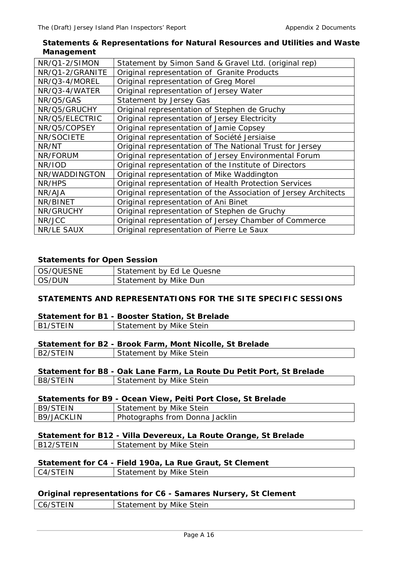## **Statements & Representations for Natural Resources and Utilities and Waste Management**

| NR/Q1-2/SIMON   | Statement by Simon Sand & Gravel Ltd. (original rep)            |
|-----------------|-----------------------------------------------------------------|
| NR/Q1-2/GRANITE | Original representation of Granite Products                     |
| NR/Q3-4/MOREL   | Original representation of Greg Morel                           |
| NR/Q3-4/WATER   | Original representation of Jersey Water                         |
| NR/Q5/GAS       | Statement by Jersey Gas                                         |
| NR/Q5/GRUCHY    | Original representation of Stephen de Gruchy                    |
| NR/Q5/ELECTRIC  | Original representation of Jersey Electricity                   |
| NR/Q5/COPSEY    | Original representation of Jamie Copsey                         |
| NR/SOCIETE      | Original representation of Société Jersiaise                    |
| NR/NT           | Original representation of The National Trust for Jersey        |
| NR/FORUM        | Original representation of Jersey Environmental Forum           |
| NR/IOD          | Original representation of the Institute of Directors           |
| NR/WADDINGTON   | Original representation of Mike Waddington                      |
| NR/HPS          | Original representation of Health Protection Services           |
| NR/AJA          | Original representation of the Association of Jersey Architects |
| NR/BINET        | Original representation of Ani Binet                            |
| NR/GRUCHY       | Original representation of Stephen de Gruchy                    |
| NR/JCC          | Original representation of Jersey Chamber of Commerce           |
| NR/LE SAUX      | Original representation of Pierre Le Saux                       |

### **Statements for Open Session**

| OS/QUESNE | Statement by Ed Le Quesne |
|-----------|---------------------------|
| OS/DUN    | Statement by Mike Dun     |

## **STATEMENTS AND REPRESENTATIONS FOR THE SITE SPECIFIC SESSIONS**

### **Statement for B1 - Booster Station, St Brelade**

| TEIN<br>B <sub>1</sub> | Stein<br>- - -<br>nv.<br>Mike<br>naten<br>∵члепы…<br>் ⊶ |
|------------------------|----------------------------------------------------------|
|                        |                                                          |

### **Statement for B2 - Brook Farm, Mont Nicolle, St Brelade**

| $\overline{F}$ IN | Mike Stein    |
|-------------------|---------------|
| R2                | $\sim$ $\sim$ |
| ້                 | iatement hv   |
|                   |               |

|          | Statement for B8 - Oak Lane Farm, La Route Du Petit Port, St Brelade |
|----------|----------------------------------------------------------------------|
| B8/STEIN | Statement by Mike Stein                                              |

#### **Statements for B9 - Ocean View, Peiti Port Close, St Brelade**

| B9/STEIN   | Statement by Mike Stein        |
|------------|--------------------------------|
| B9/JACKLIN | Photographs from Donna Jacklin |

### **Statement for B12 - Villa Devereux, La Route Orange, St Brelade**

| B12/STEIN | Statement by Mike Stein |
|-----------|-------------------------|
|           |                         |

## **Statement for C4 - Field 190a, La Rue Graut, St Clement**

| ⊡ N<br>$\Delta V$ | Statement by Mike Stein |
|-------------------|-------------------------|
|                   |                         |

### **Original representations for C6 - Samares Nursery, St Clement**

| C6/STEIN | Statement by Mike Stein |
|----------|-------------------------|
|          |                         |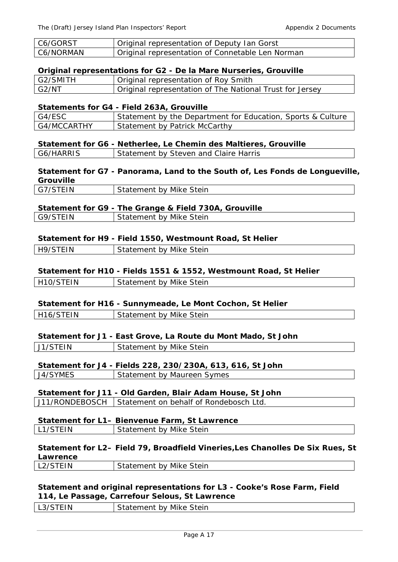| C6/GORST  | Original representation of Deputy Ian Gorst      |
|-----------|--------------------------------------------------|
| C6/NORMAN | Original representation of Connetable Len Norman |

#### **Original representations for G2 - De la Mare Nurseries, Grouville**

| G2/SMITH | Original representation of Roy Smith                                  |
|----------|-----------------------------------------------------------------------|
| G2/NT    | <sup>1</sup> Original representation of The National Trust for Jersey |

#### **Statements for G4 - Field 263A, Grouville**

| ' G4/ESC      | Statement by the Department for Education, Sports & Culture |
|---------------|-------------------------------------------------------------|
| l G4/MCCARTHY | Statement by Patrick McCarthy                               |

#### **Statement for G6 - Netherlee, Le Chemin des Maltieres, Grouville**

| G6/HARRIS |  | Statement by Steven and Claire Harris |
|-----------|--|---------------------------------------|
|-----------|--|---------------------------------------|

**Statement for G7 - Panorama, Land to the South of, Les Fonds de Longueville, Grouville**

| G7/STEIN | Statement by Mike Stein |
|----------|-------------------------|
|          |                         |

## **Statement for G9 - The Grange & Field 730A, Grouville**

| G9/STEIN | Statement by Mike Stein |  |
|----------|-------------------------|--|

#### **Statement for H9 - Field 1550, Westmount Road, St Helier**

| H9/STEIN | Statement by Mike Stein |
|----------|-------------------------|
|          |                         |

#### **Statement for H10 - Fields 1551 & 1552, Westmount Road, St Helier**

| H10/STEIN | Statement by Mike Stein |
|-----------|-------------------------|
|           |                         |

#### **Statement for H16 - Sunnymeade, Le Mont Cochon, St Helier**

| H <sub>16</sub> /STFIN | Statement by Mike Stein |
|------------------------|-------------------------|
|                        |                         |

#### **Statement for J1 - East Grove, La Route du Mont Mado, St John**

| $T^{\text{H}}$<br>$11/\text{STF}$<br>ັ | Stein<br>Mike '<br>hv<br>י ווים |
|----------------------------------------|---------------------------------|
|                                        |                                 |

# **Statement for J4 - Fields 228, 230/230A, 613, 616, St John**

| J4/SYMES | Statement by Maureen Symes |
|----------|----------------------------|
|          |                            |

# **Statement for J11 - Old Garden, Blair Adam House, St John**

J11/RONDEBOSCH | Statement on behalf of Rondebosch Ltd.

#### **Statement for L1– Bienvenue Farm, St Lawrence**  L1/STEIN | Statement by Mike Stein

#### **Statement for L2– Field 79, Broadfield Vineries,Les Chanolles De Six Rues, St Lawrence**  L2/STEIN Statement by Mike Stein

### **Statement and original representations for L3 - Cooke's Rose Farm, Field 114, Le Passage, Carrefour Selous, St Lawrence**

| FIN<br>.<br>ື | Statement by Mike Stein |
|---------------|-------------------------|
|               |                         |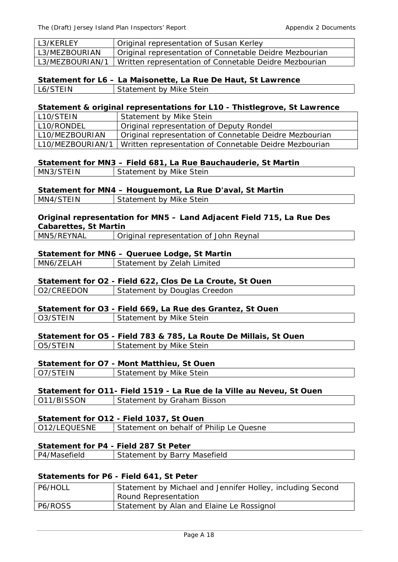| L3/KERLEY       | Original representation of Susan Kerley                 |
|-----------------|---------------------------------------------------------|
| L3/MEZBOURIAN   | Original representation of Connetable Deidre Mezbourian |
| L3/MEZBOURIAN/1 | Written representation of Connetable Deidre Mezbourian  |

 **Statement for L6 – La Maisonette, La Rue De Haut, St Lawrence**

L6/STEIN | Statement by Mike Stein

### **Statement & original representations for L10 - Thistlegrove, St Lawrence**

| L10/STEIN        | Statement by Mike Stein                                 |
|------------------|---------------------------------------------------------|
| L10/RONDEL       | Original representation of Deputy Rondel                |
| L10/MEZBOURIAN   | Original representation of Connetable Deidre Mezbourian |
| L10/MEZBOURIAN/1 | Written representation of Connetable Deidre Mezbourian  |

### **Statement for MN3 – Field 681, La Rue Bauchauderie, St Martin**

| MN3/STEIN | Statement by Mike Stein |
|-----------|-------------------------|
|           |                         |

### **Statement for MN4 – Houguemont, La Rue D'aval, St Martin**

| <b>MN</b><br>۱N | teirد<br>∸Mik.<br>hv<br>$\overline{\phantom{a}}$<br>ा⊬<br>- 11<br>- |
|-----------------|---------------------------------------------------------------------|
|                 |                                                                     |

## **Original representation for MN5 – Land Adjacent Field 715, La Rue Des Cabarettes, St Martin**

|  | MN5/REYNAL | Original representation of John Reynal |
|--|------------|----------------------------------------|
|--|------------|----------------------------------------|

### **Statement for MN6 – Queruee Lodge, St Martin**

| MN6/ZELAH | Statement by Zelah Limited |
|-----------|----------------------------|
|-----------|----------------------------|

### **Statement for O2 - Field 622, Clos De La Croute, St Ouen**

| l O2/CREEDON | Statement by Douglas Creedon |
|--------------|------------------------------|
|              |                              |

### **Statement for O3 - Field 669, La Rue des Grantez, St Ouen**

| O3/STEIN | Statement by Mike Stein |
|----------|-------------------------|
|          |                         |

# **Statement for O5 - Field 783 & 785, La Route De Millais, St Ouen**

| O <sub>5</sub> /STEIN | Statement by Mike Stein |
|-----------------------|-------------------------|
|                       |                         |

# **Statement for O7 - Mont Matthieu, St Ouen**

| O7/STEIN | Statement by Mike Stein |
|----------|-------------------------|
|          |                         |

#### **Statement for O11- Field 1519 - La Rue de la Ville au Neveu, St Ouen**  | 011/BISSON | Statement by Graham Bisson

| .                                       |  |
|-----------------------------------------|--|
|                                         |  |
|                                         |  |
|                                         |  |
| Statement for 012 - Field 1037. St Quen |  |

| Statement for OTZ - Field 1037, St Ouen |                                         |  |
|-----------------------------------------|-----------------------------------------|--|
| O12/LEQUESNE                            | Statement on behalf of Philip Le Quesne |  |
|                                         |                                         |  |

# **Statement for P4 - Field 287 St Peter**

| P4/Masefield | Statement by Barry Masefield |
|--------------|------------------------------|
|              |                              |

# **Statements for P6 - Field 641, St Peter**

| P6/HOLL | Statement by Michael and Jennifer Holley, including Second<br>Round Representation |
|---------|------------------------------------------------------------------------------------|
| P6/ROSS | Statement by Alan and Elaine Le Rossignol                                          |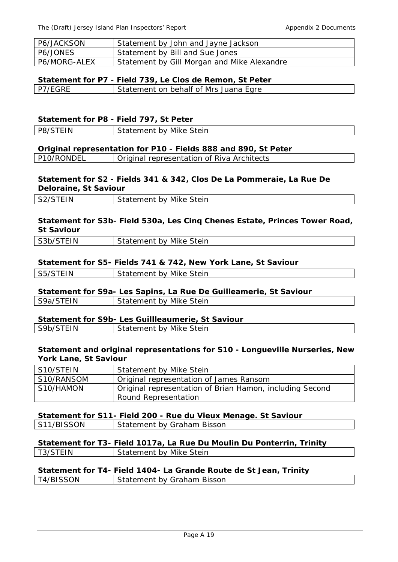| P6/JACKSON   | Statement by John and Jayne Jackson         |
|--------------|---------------------------------------------|
| P6/JONES     | Statement by Bill and Sue Jones             |
| P6/MORG-ALEX | Statement by Gill Morgan and Mike Alexandre |

# **Statement for P7 - Field 739, Le Clos de Remon, St Peter**

| P7/EGRE | Statement on behalf of Mrs Juana Egre |
|---------|---------------------------------------|
|         |                                       |

#### **Statement for P8 - Field 797, St Peter**

| EIN<br>DR/S | Mike Stein<br>Statement by |
|-------------|----------------------------|
|             |                            |

#### **Original representation for P10 - Fields 888 and 890, St Peter**

P10/RONDEL Original representation of Riva Architects

## **Statement for S2 - Fields 341 & 342, Clos De La Pommeraie, La Rue De Deloraine, St Saviour**

| ΙV | Stein<br>Mike<br>hv<br>ненг<br>. . |
|----|------------------------------------|
|    |                                    |

## **Statement for S3b- Field 530a, Les Cinq Chenes Estate, Princes Tower Road, St Saviour**

| $\overline{\mathsf{C}}$ IN<br>$\sim$ $\sim$ $\sim$<br>ັບ<br>∼ | $\sim$ $\sim$<br>Mike<br>stein<br>nv<br>۱۱ ۱۱ ۱۱ |
|---------------------------------------------------------------|--------------------------------------------------|
|                                                               |                                                  |

#### **Statement for S5- Fields 741 & 742, New York Lane, St Saviour**

| HN.<br>S5/S | by Mike Stein<br>Statement |
|-------------|----------------------------|
|             |                            |

### **Statement for S9a- Les Sapins, La Rue De Guilleamerie, St Saviour**

| S9a/STEIN | Statement by Mike Stein |  |
|-----------|-------------------------|--|
|           |                         |  |

# **Statement for S9b- Les Guillleaumerie, St Saviour**

| ٦M<br>.<br>∼<br>ັ | steir<br>Mik<br>$\mathbf{v}$<br>╶<br>--<br>$\sim$ |
|-------------------|---------------------------------------------------|
|                   |                                                   |

#### **Statement and original representations for S10 - Longueville Nurseries, New York Lane, St Saviour**

| S10/STEIN  | Statement by Mike Stein                                  |
|------------|----------------------------------------------------------|
| S10/RANSOM | Original representation of James Ransom                  |
| S10/HAMON  | Original representation of Brian Hamon, including Second |
|            | Round Representation                                     |

#### **Statement for S11- Field 200 - Rue du Vieux Menage. St Saviour**  S11/BISSON Statement by Graham Bisson

|          | Statement for T3- Field 1017a, La Rue Du Moulin Du Ponterrin, Trinity |
|----------|-----------------------------------------------------------------------|
| T3/STEIN | Statement by Mike Stein                                               |

| Statement for T4- Field 1404- La Grande Route de St Jean, Trinity |                            |
|-------------------------------------------------------------------|----------------------------|
| T4/BISSON                                                         | Statement by Graham Bisson |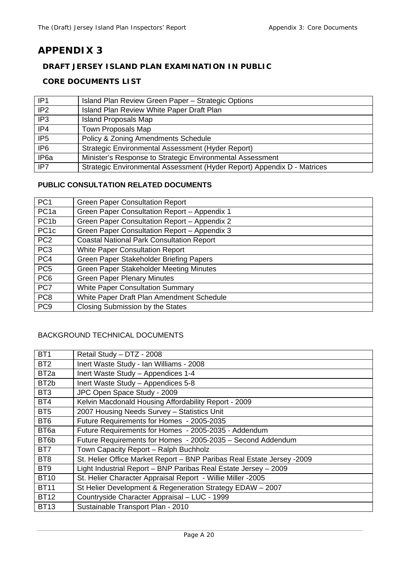# **APPENDIX 3**

## **DRAFT JERSEY ISLAND PLAN EXAMINATION IN PUBLIC**

## **CORE DOCUMENTS LIST**

| IP <sub>1</sub>  | Island Plan Review Green Paper - Strategic Options                      |
|------------------|-------------------------------------------------------------------------|
| IP <sub>2</sub>  | Island Plan Review White Paper Draft Plan                               |
| IP <sub>3</sub>  | <b>Island Proposals Map</b>                                             |
| IP4              | <b>Town Proposals Map</b>                                               |
| IP <sub>5</sub>  | <b>Policy &amp; Zoning Amendments Schedule</b>                          |
| IP <sub>6</sub>  | Strategic Environmental Assessment (Hyder Report)                       |
| IP <sub>6a</sub> | Minister's Response to Strategic Environmental Assessment               |
| IP7              | Strategic Environmental Assessment (Hyder Report) Appendix D - Matrices |

## **PUBLIC CONSULTATION RELATED DOCUMENTS**

| PC <sub>1</sub>   | <b>Green Paper Consultation Report</b>           |
|-------------------|--------------------------------------------------|
| PC <sub>1a</sub>  | Green Paper Consultation Report - Appendix 1     |
| PC <sub>1</sub> b | Green Paper Consultation Report - Appendix 2     |
| PC <sub>1c</sub>  | Green Paper Consultation Report - Appendix 3     |
| PC <sub>2</sub>   | <b>Coastal National Park Consultation Report</b> |
| PC <sub>3</sub>   | <b>White Paper Consultation Report</b>           |
| PC4               | Green Paper Stakeholder Briefing Papers          |
| PC <sub>5</sub>   | <b>Green Paper Stakeholder Meeting Minutes</b>   |
| PC <sub>6</sub>   | <b>Green Paper Plenary Minutes</b>               |
| PC7               | <b>White Paper Consultation Summary</b>          |
| PC <sub>8</sub>   | White Paper Draft Plan Amendment Schedule        |
| PC <sub>9</sub>   | Closing Submission by the States                 |

# BACKGROUND TECHNICAL DOCUMENTS

| BT <sub>1</sub>   | Retail Study - DTZ - 2008                                              |
|-------------------|------------------------------------------------------------------------|
| BT <sub>2</sub>   | Inert Waste Study - Ian Williams - 2008                                |
| BT <sub>2a</sub>  | Inert Waste Study - Appendices 1-4                                     |
| BT <sub>2</sub> b | Inert Waste Study - Appendices 5-8                                     |
| BT <sub>3</sub>   | JPC Open Space Study - 2009                                            |
| BT4               | Kelvin Macdonald Housing Affordability Report - 2009                   |
| BT <sub>5</sub>   | 2007 Housing Needs Survey - Statistics Unit                            |
| BT <sub>6</sub>   | Future Requirements for Homes - 2005-2035                              |
| BT <sub>6a</sub>  | Future Requirements for Homes - 2005-2035 - Addendum                   |
| BT <sub>6</sub> b | Future Requirements for Homes - 2005-2035 - Second Addendum            |
| BT7               | Town Capacity Report - Ralph Buchholz                                  |
| BT <sub>8</sub>   | St. Helier Office Market Report - BNP Paribas Real Estate Jersey -2009 |
| BT9               | Light Industrial Report - BNP Paribas Real Estate Jersey - 2009        |
| <b>BT10</b>       | St. Helier Character Appraisal Report - Willie Miller -2005            |
| <b>BT11</b>       | St Helier Development & Regeneration Strategy EDAW - 2007              |
| <b>BT12</b>       | Countryside Character Appraisal - LUC - 1999                           |
| <b>BT13</b>       | Sustainable Transport Plan - 2010                                      |